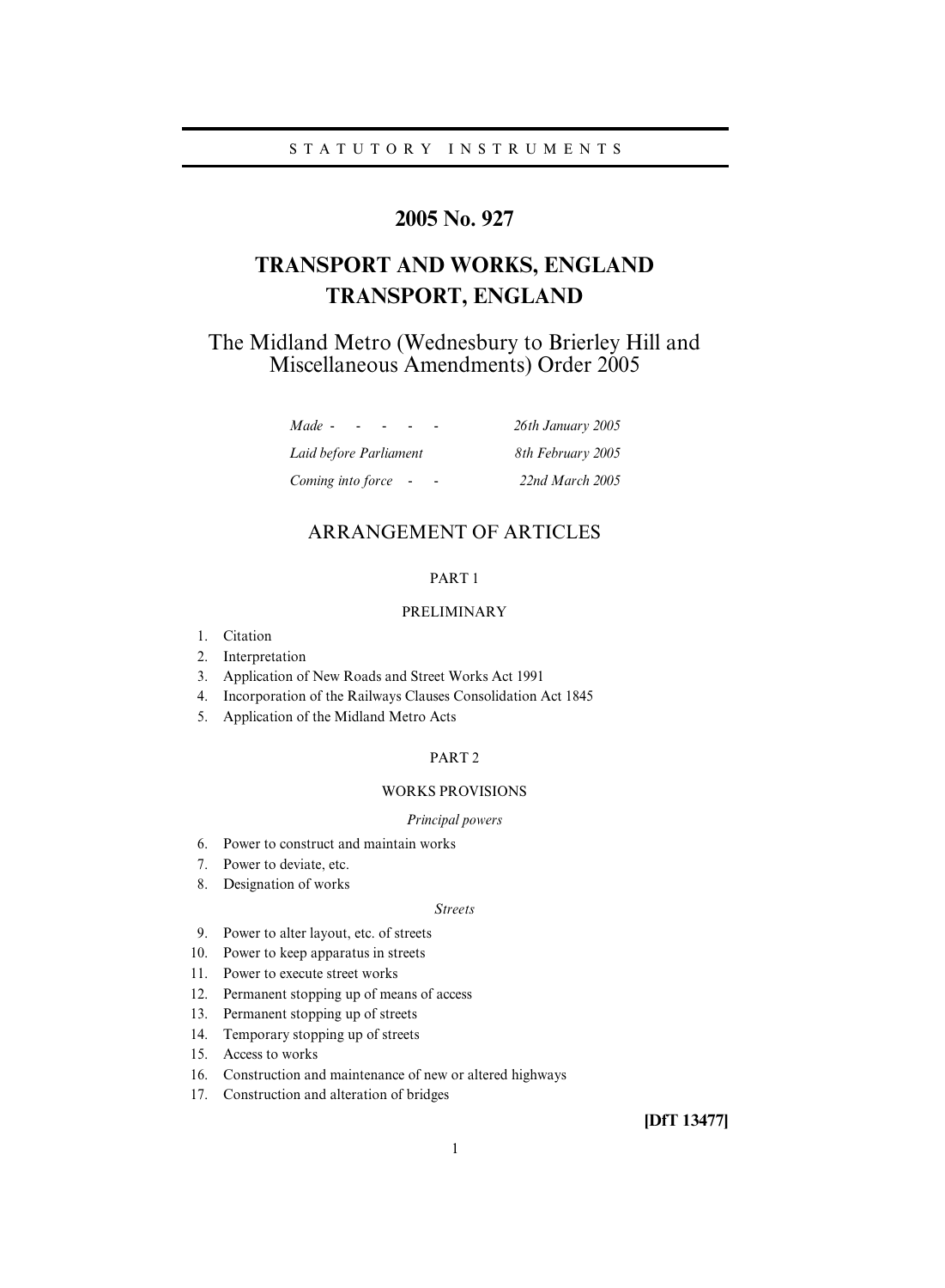# **2005 No. 927**

# **TRANSPORT AND WORKS, ENGLAND TRANSPORT, ENGLAND**

The Midland Metro (Wednesbury to Brierley Hill and Miscellaneous Amendments) Order 2005

| Made -<br>$\sim$ $\sim$ | 26th January 2005 |
|-------------------------|-------------------|
| Laid before Parliament  | 8th February 2005 |
| Coming into force -     | 22nd March 2005   |

# ARRANGEMENT OF ARTICLES

## PART 1

## PRELIMINARY

- 1. Citation
- 2. Interpretation
- 3. Application of New Roads and Street Works Act 1991
- 4. Incorporation of the Railways Clauses Consolidation Act 1845
- 5. Application of the Midland Metro Acts

## PART 2

## WORKS PROVISIONS

## *Principal powers*

- 6. Power to construct and maintain works
- 7. Power to deviate, etc.
- 8. Designation of works

## *Streets*

- 9. Power to alter layout, etc. of streets
- 10. Power to keep apparatus in streets
- 11. Power to execute street works
- 12. Permanent stopping up of means of access
- 13. Permanent stopping up of streets
- 14. Temporary stopping up of streets
- 15. Access to works
- 16. Construction and maintenance of new or altered highways
- 17. Construction and alteration of bridges

**[DfT 13477]**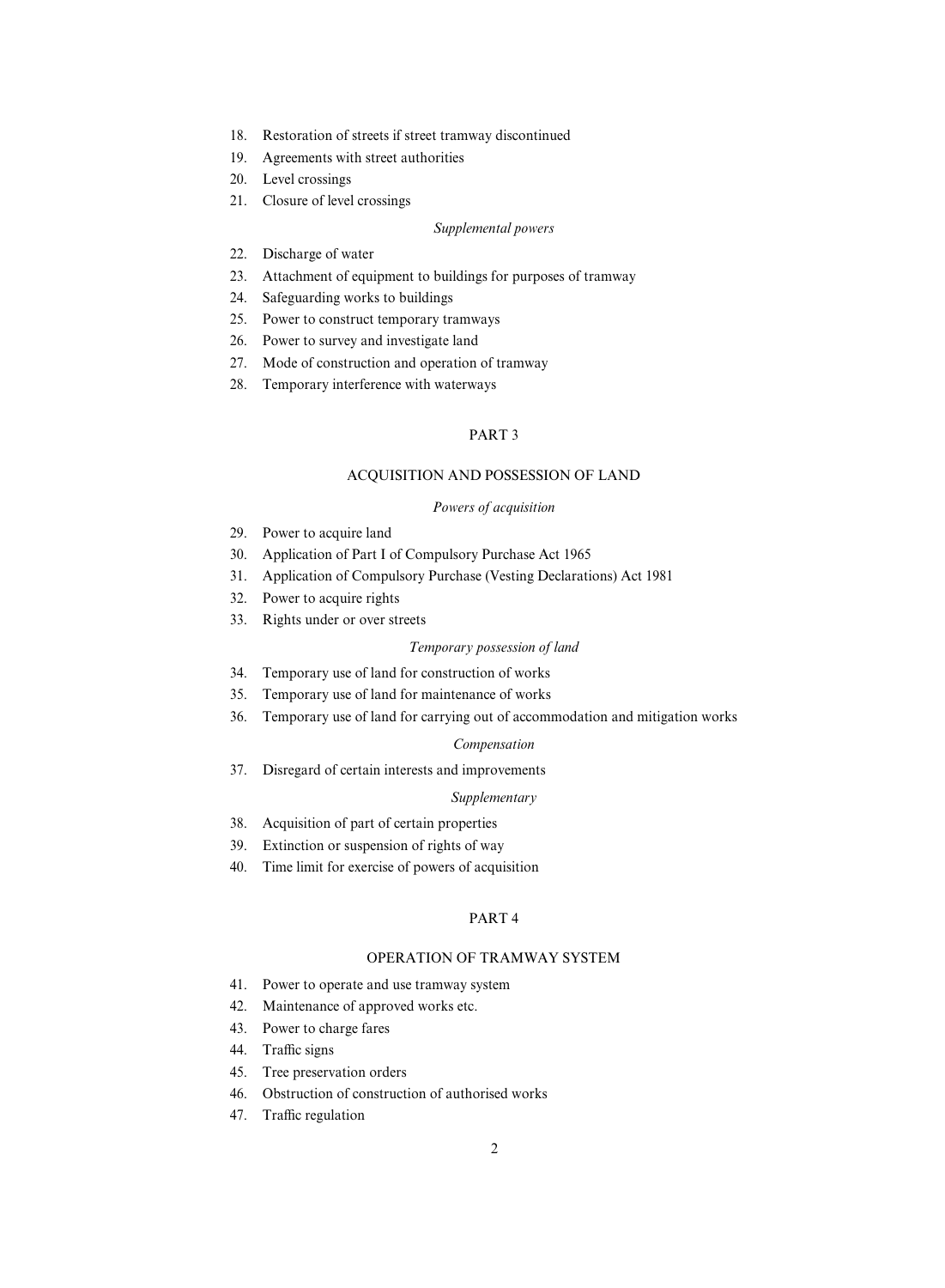- 18. Restoration of streets if street tramway discontinued
- 19. Agreements with street authorities
- 20. Level crossings
- 21. Closure of level crossings

## *Supplemental powers*

- 22. Discharge of water
- 23. Attachment of equipment to buildings for purposes of tramway
- 24. Safeguarding works to buildings
- 25. Power to construct temporary tramways
- 26. Power to survey and investigate land
- 27. Mode of construction and operation of tramway
- 28. Temporary interference with waterways

# PART 3

## ACQUISITION AND POSSESSION OF LAND

## *Powers of acquisition*

- 29. Power to acquire land
- 30. Application of Part I of Compulsory Purchase Act 1965
- 31. Application of Compulsory Purchase (Vesting Declarations) Act 1981
- 32. Power to acquire rights
- 33. Rights under or over streets

## *Temporary possession of land*

- 34. Temporary use of land for construction of works
- 35. Temporary use of land for maintenance of works
- 36. Temporary use of land for carrying out of accommodation and mitigation works

## *Compensation*

37. Disregard of certain interests and improvements

## *Supplementary*

- 38. Acquisition of part of certain properties
- 39. Extinction or suspension of rights of way
- 40. Time limit for exercise of powers of acquisition

## PART 4

## OPERATION OF TRAMWAY SYSTEM

- 41. Power to operate and use tramway system
- 42. Maintenance of approved works etc.
- 43. Power to charge fares
- 44. Traffic signs
- 45. Tree preservation orders
- 46. Obstruction of construction of authorised works
- 47. Traffic regulation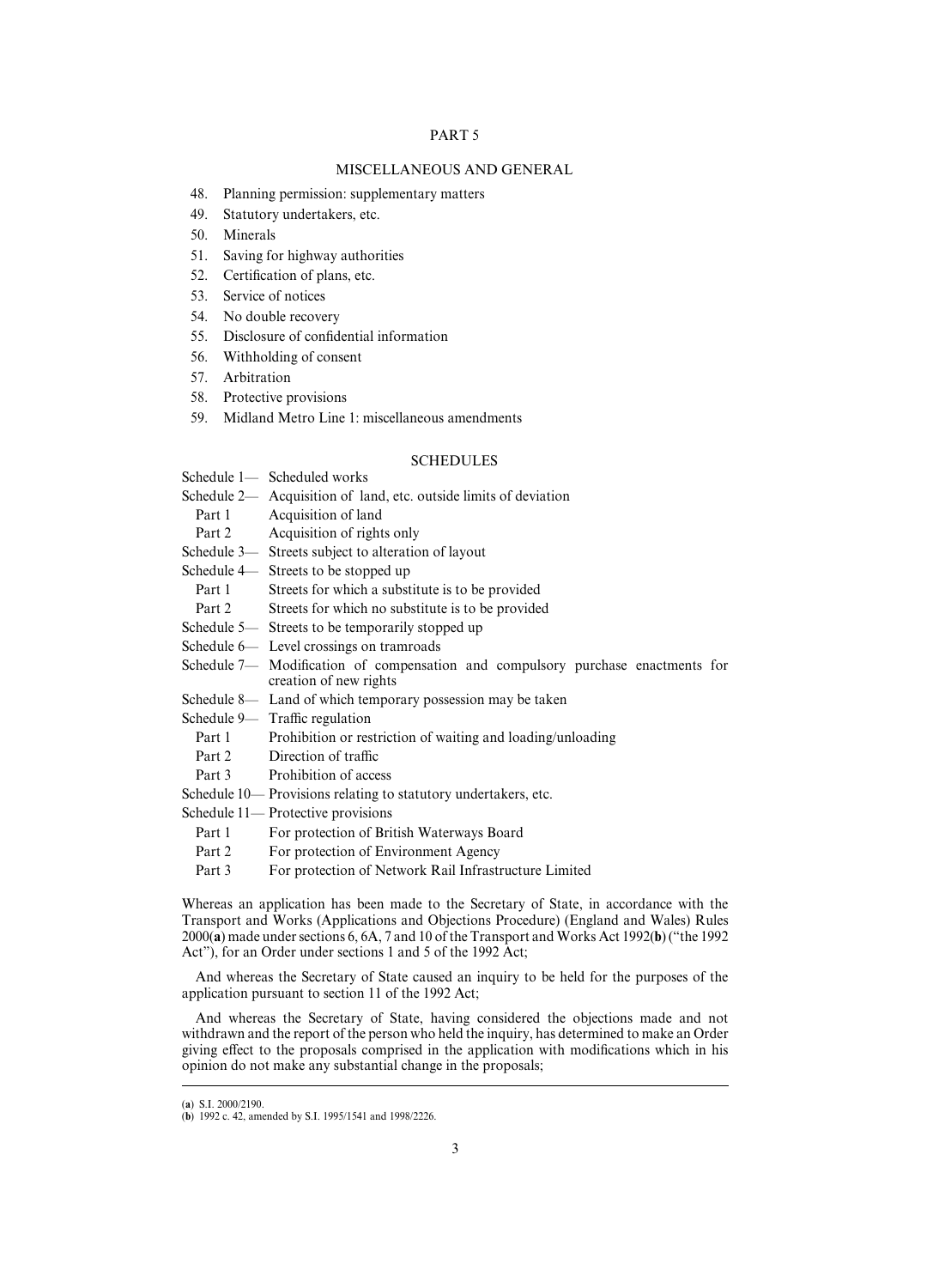## PART 5

## MISCELLANEOUS AND GENERAL

- 48. Planning permission: supplementary matters
- 49. Statutory undertakers, etc.
- 50. Minerals
- 51. Saving for highway authorities
- 52. Certification of plans, etc.
- 53. Service of notices
- 54. No double recovery
- 55. Disclosure of confidential information
- 56. Withholding of consent
- 57. Arbitration
- 58. Protective provisions
- 59. Midland Metro Line 1: miscellaneous amendments

## **SCHEDULES**

- Schedule 1— Scheduled works
- Schedule 2— Acquisition of land, etc. outside limits of deviation
	- Part 1 Acquisition of land
- Part 2 Acquisition of rights only
- Schedule 3— Streets subject to alteration of layout

Schedule 4— Streets to be stopped up

- Part 1 Streets for which a substitute is to be provided
- Part 2 Streets for which no substitute is to be provided
- Schedule 5— Streets to be temporarily stopped up
- Schedule 6— Level crossings on tramroads
- Schedule 7— Modification of compensation and compulsory purchase enactments for creation of new rights
- Schedule 8— Land of which temporary possession may be taken
- Schedule  $9-$  Traffic regulation
	- Part 1 Prohibition or restriction of waiting and loading/unloading
	- Part 2 Direction of traffic
- Part 3 Prohibition of access
- Schedule 10— Provisions relating to statutory undertakers, etc.

Schedule 11— Protective provisions

- Part 1 For protection of British Waterways Board
- Part 2 For protection of Environment Agency
- Part 3 For protection of Network Rail Infrastructure Limited

Whereas an application has been made to the Secretary of State, in accordance with the Transport and Works (Applications and Objections Procedure) (England and Wales) Rules 2000(**a**) made under sections 6, 6A, 7 and 10 of the Transport and Works Act 1992(**b**) ("the 1992 Act"), for an Order under sections 1 and 5 of the 1992 Act;

And whereas the Secretary of State caused an inquiry to be held for the purposes of the application pursuant to section 11 of the 1992 Act;

And whereas the Secretary of State, having considered the objections made and not withdrawn and the report of the person who held the inquiry, has determined to make an Order giving effect to the proposals comprised in the application with modifications which in his opinion do not make any substantial change in the proposals;

<sup>(</sup>a) S.I. 2000/2190.

<sup>(</sup>**b**) 1992 c. 42, amended by S.I. 1995/1541 and 1998/2226.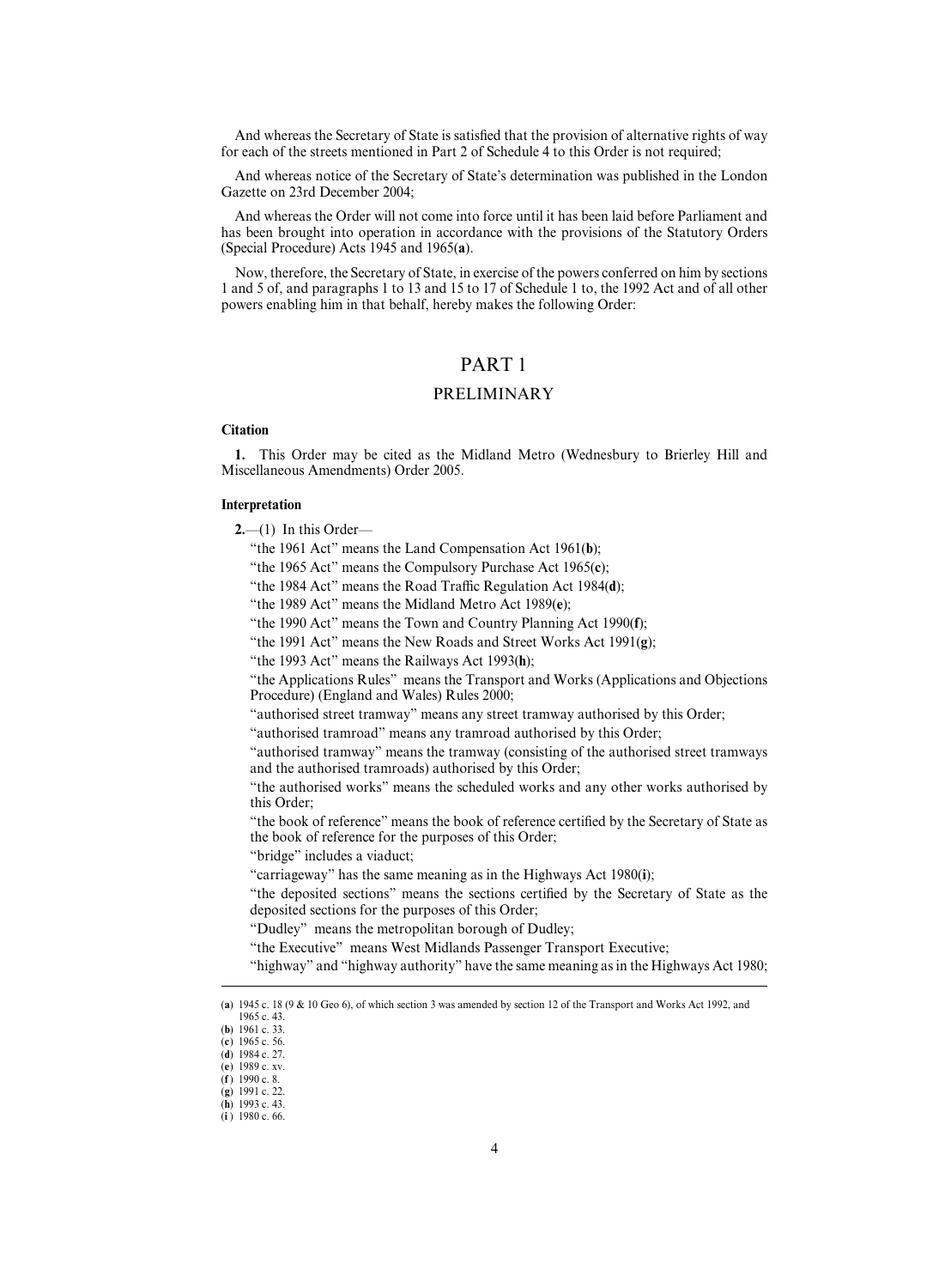And whereas the Secretary of State is satisfied that the provision of alternative rights of way for each of the streets mentioned in Part 2 of Schedule 4 to this Order is not required;

And whereas notice of the Secretary of State's determination was published in the London Gazette on 23rd December 2004;

And whereas the Order will not come into force until it has been laid before Parliament and has been brought into operation in accordance with the provisions of the Statutory Orders (Special Procedure) Acts 1945 and 1965(**a**).

Now, therefore, the Secretary of State, in exercise of the powers conferred on him by sections 1 and 5 of, and paragraphs 1 to 13 and 15 to 17 of Schedule 1 to, the 1992 Act and of all other powers enabling him in that behalf, hereby makes the following Order:

# PART 1

## PRELIMINARY

## **Citation**

**1.** This Order may be cited as the Midland Metro (Wednesbury to Brierley Hill and Miscellaneous Amendments) Order 2005.

## **Interpretation**

- **2.**—(1) In this Order—
	- "the 1961 Act" means the Land Compensation Act 1961(**b**);
	- "the 1965 Act" means the Compulsory Purchase Act 1965(**c**);
	- "the 1984 Act" means the Road Traffic Regulation Act 1984(d);
	- "the 1989 Act" means the Midland Metro Act 1989(**e**);
	- "the 1990 Act" means the Town and Country Planning Act 1990(**f**);
	- "the 1991 Act" means the New Roads and Street Works Act 1991(**g**);
	- "the 1993 Act" means the Railways Act 1993(**h**);

"the Applications Rules" means the Transport and Works (Applications and Objections Procedure) (England and Wales) Rules 2000;

"authorised street tramway" means any street tramway authorised by this Order;

"authorised tramroad" means any tramroad authorised by this Order;

"authorised tramway" means the tramway (consisting of the authorised street tramways and the authorised tramroads) authorised by this Order;

"the authorised works" means the scheduled works and any other works authorised by this Order;

"the book of reference" means the book of reference certified by the Secretary of State as the book of reference for the purposes of this Order;

"bridge" includes a viaduct;

"carriageway" has the same meaning as in the Highways Act 1980(**i**);

"the deposited sections" means the sections certified by the Secretary of State as the deposited sections for the purposes of this Order;

"Dudley" means the metropolitan borough of Dudley;

"the Executive" means West Midlands Passenger Transport Executive;

"highway" and "highway authority" have the same meaning as in the Highways Act 1980;

<sup>(</sup>a)  $1945$  c.  $18$  ( $9$  &  $10$  Geo 6), of which section 3 was amended by section 12 of the Transport and Works Act 1992, and 1965 c. 43.

<sup>(</sup>**b**) 1961 c. 33.

<sup>(</sup>c) 1965 c. 56. (d) 1984 c. 27.

<sup>(</sup>e) 1989 c. xv.

 $(f)$  1990 c. 8.

<sup>(</sup>g) 1991 c. 22.

<sup>(</sup>**h**) 1993 c. 43.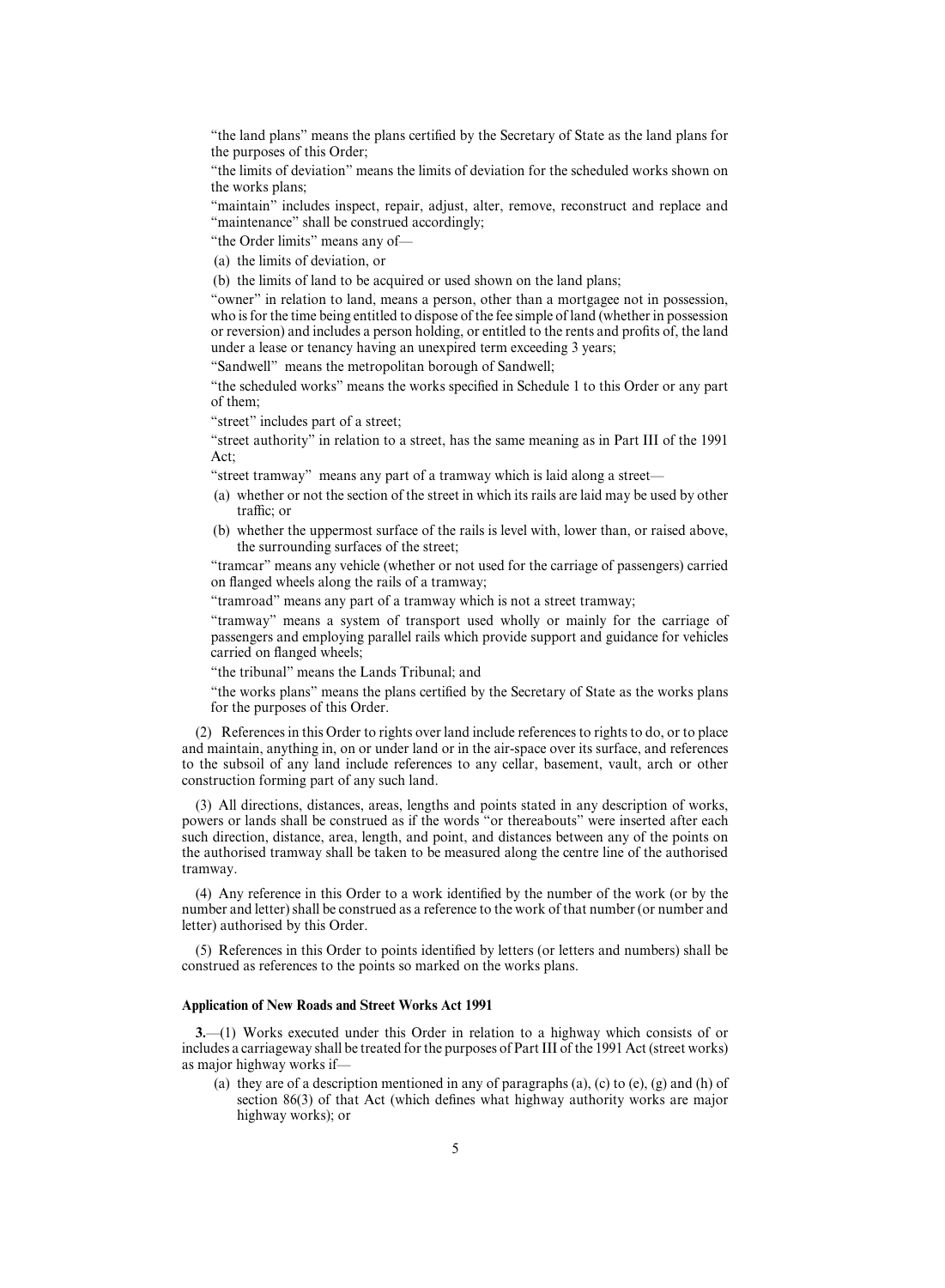"the land plans" means the plans certified by the Secretary of State as the land plans for the purposes of this Order;

"the limits of deviation" means the limits of deviation for the scheduled works shown on the works plans;

"maintain" includes inspect, repair, adjust, alter, remove, reconstruct and replace and "maintenance" shall be construed accordingly;

"the Order limits" means any of—

(a) the limits of deviation, or

(b) the limits of land to be acquired or used shown on the land plans;

"owner" in relation to land, means a person, other than a mortgagee not in possession, who is for the time being entitled to dispose of the fee simple of land (whether in possession or reversion) and includes a person holding, or entitled to the rents and profits of, the land under a lease or tenancy having an unexpired term exceeding 3 years;

"Sandwell" means the metropolitan borough of Sandwell;

"the scheduled works" means the works specified in Schedule 1 to this Order or any part of them;

"street" includes part of a street;

"street authority" in relation to a street, has the same meaning as in Part III of the 1991 Act;

"street tramway" means any part of a tramway which is laid along a street—

- (a) whether or not the section of the street in which its rails are laid may be used by other traffic; or
- (b) whether the uppermost surface of the rails is level with, lower than, or raised above, the surrounding surfaces of the street;

"tramcar" means any vehicle (whether or not used for the carriage of passengers) carried on flanged wheels along the rails of a tramway;

"tramroad" means any part of a tramway which is not a street tramway;

"tramway" means a system of transport used wholly or mainly for the carriage of passengers and employing parallel rails which provide support and guidance for vehicles carried on flanged wheels;

"the tribunal" means the Lands Tribunal; and

"the works plans" means the plans certified by the Secretary of State as the works plans for the purposes of this Order.

(2) References in this Order to rights over land include references to rights to do, or to place and maintain, anything in, on or under land or in the air-space over its surface, and references to the subsoil of any land include references to any cellar, basement, vault, arch or other construction forming part of any such land.

(3) All directions, distances, areas, lengths and points stated in any description of works, powers or lands shall be construed as if the words "or thereabouts" were inserted after each such direction, distance, area, length, and point, and distances between any of the points on the authorised tramway shall be taken to be measured along the centre line of the authorised tramway.

(4) Any reference in this Order to a work identified by the number of the work (or by the number and letter) shall be construed as a reference to the work of that number (or number and letter) authorised by this Order.

(5) References in this Order to points identified by letters (or letters and numbers) shall be construed as references to the points so marked on the works plans.

## **Application of New Roads and Street Works Act 1991**

**3.**—(1) Works executed under this Order in relation to a highway which consists of or includes a carriageway shall be treated for the purposes of Part III of the 1991 Act (street works) as major highway works if—

(a) they are of a description mentioned in any of paragraphs  $(a)$ ,  $(c)$  to  $(e)$ ,  $(g)$  and  $(h)$  of section 86(3) of that Act (which defines what highway authority works are major highway works); or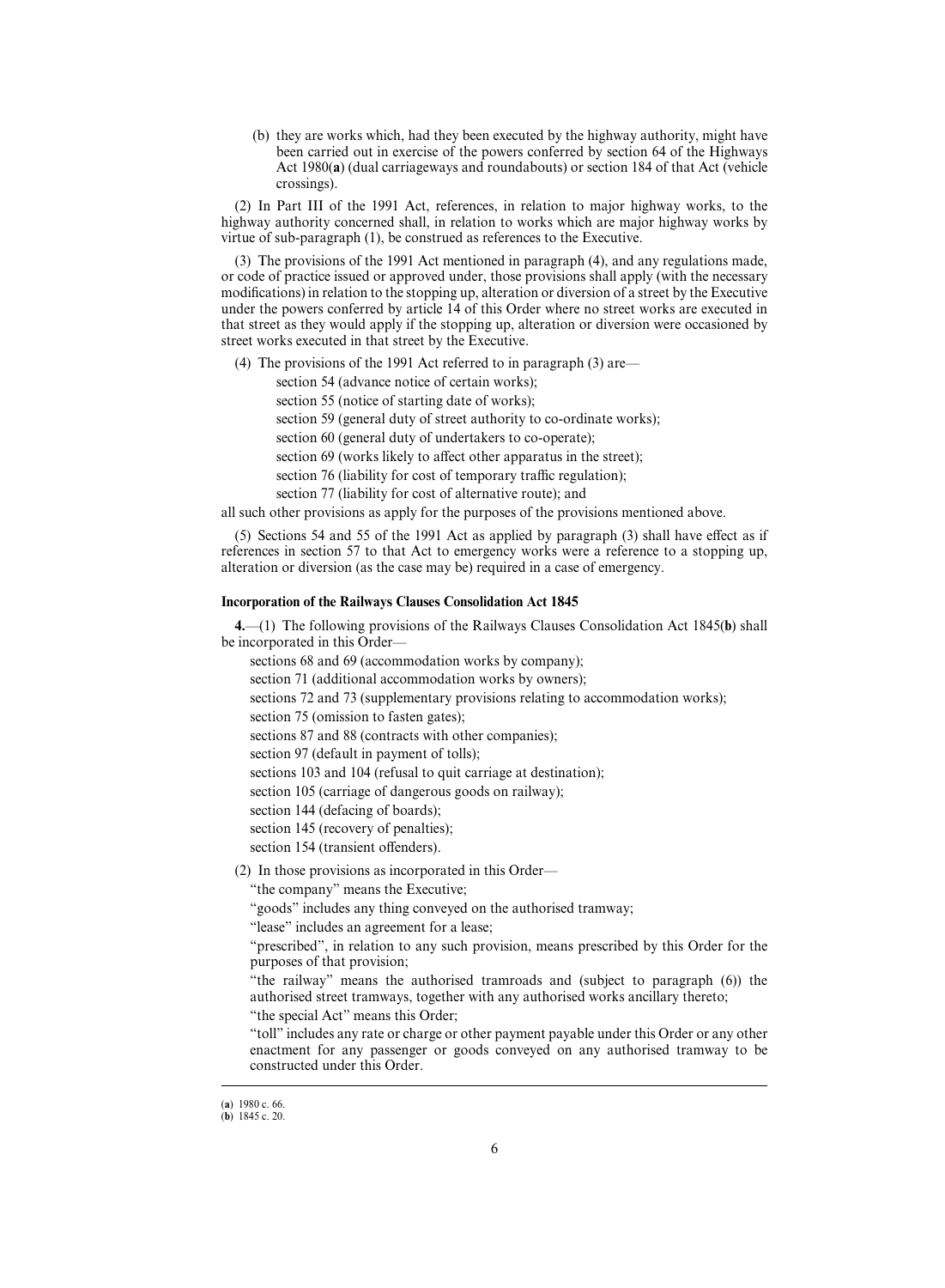(b) they are works which, had they been executed by the highway authority, might have been carried out in exercise of the powers conferred by section 64 of the Highways Act 1980(**a**) (dual carriageways and roundabouts) or section 184 of that Act (vehicle crossings).

(2) In Part III of the 1991 Act, references, in relation to major highway works, to the highway authority concerned shall, in relation to works which are major highway works by virtue of sub-paragraph (1), be construed as references to the Executive.

(3) The provisions of the 1991 Act mentioned in paragraph (4), and any regulations made, or code of practice issued or approved under, those provisions shall apply (with the necessary modifications) in relation to the stopping up, alteration or diversion of a street by the Executive under the powers conferred by article 14 of this Order where no street works are executed in that street as they would apply if the stopping up, alteration or diversion were occasioned by street works executed in that street by the Executive.

(4) The provisions of the 1991 Act referred to in paragraph (3) are—

section 54 (advance notice of certain works);

section 55 (notice of starting date of works);

section 59 (general duty of street authority to co-ordinate works);

section 60 (general duty of undertakers to co-operate);

section 69 (works likely to affect other apparatus in the street);

section 76 (liability for cost of temporary traffic regulation);

section 77 (liability for cost of alternative route); and

all such other provisions as apply for the purposes of the provisions mentioned above.

(5) Sections 54 and 55 of the 1991 Act as applied by paragraph (3) shall have effect as if references in section 57 to that Act to emergency works were a reference to a stopping up, alteration or diversion (as the case may be) required in a case of emergency.

## **Incorporation of the Railways Clauses Consolidation Act 1845**

**4.**—(1) The following provisions of the Railways Clauses Consolidation Act 1845(**b**) shall be incorporated in this Order—

sections 68 and 69 (accommodation works by company);

section 71 (additional accommodation works by owners);

sections 72 and 73 (supplementary provisions relating to accommodation works);

section 75 (omission to fasten gates);

sections 87 and 88 (contracts with other companies);

section 97 (default in payment of tolls);

sections 103 and 104 (refusal to quit carriage at destination);

section 105 (carriage of dangerous goods on railway);

section 144 (defacing of boards);

section 145 (recovery of penalties);

section 154 (transient offenders).

(2) In those provisions as incorporated in this Order—

"the company" means the Executive;

"goods" includes any thing conveyed on the authorised tramway;

"lease" includes an agreement for a lease;

"prescribed", in relation to any such provision, means prescribed by this Order for the purposes of that provision;

"the railway" means the authorised tramroads and (subject to paragraph (6)) the authorised street tramways, together with any authorised works ancillary thereto;

"the special Act" means this Order;

"toll" includes any rate or charge or other payment payable under this Order or any other enactment for any passenger or goods conveyed on any authorised tramway to be constructed under this Order.

<sup>(</sup>a) 1980 c. 66.

 $(b)$  1845 c. 20.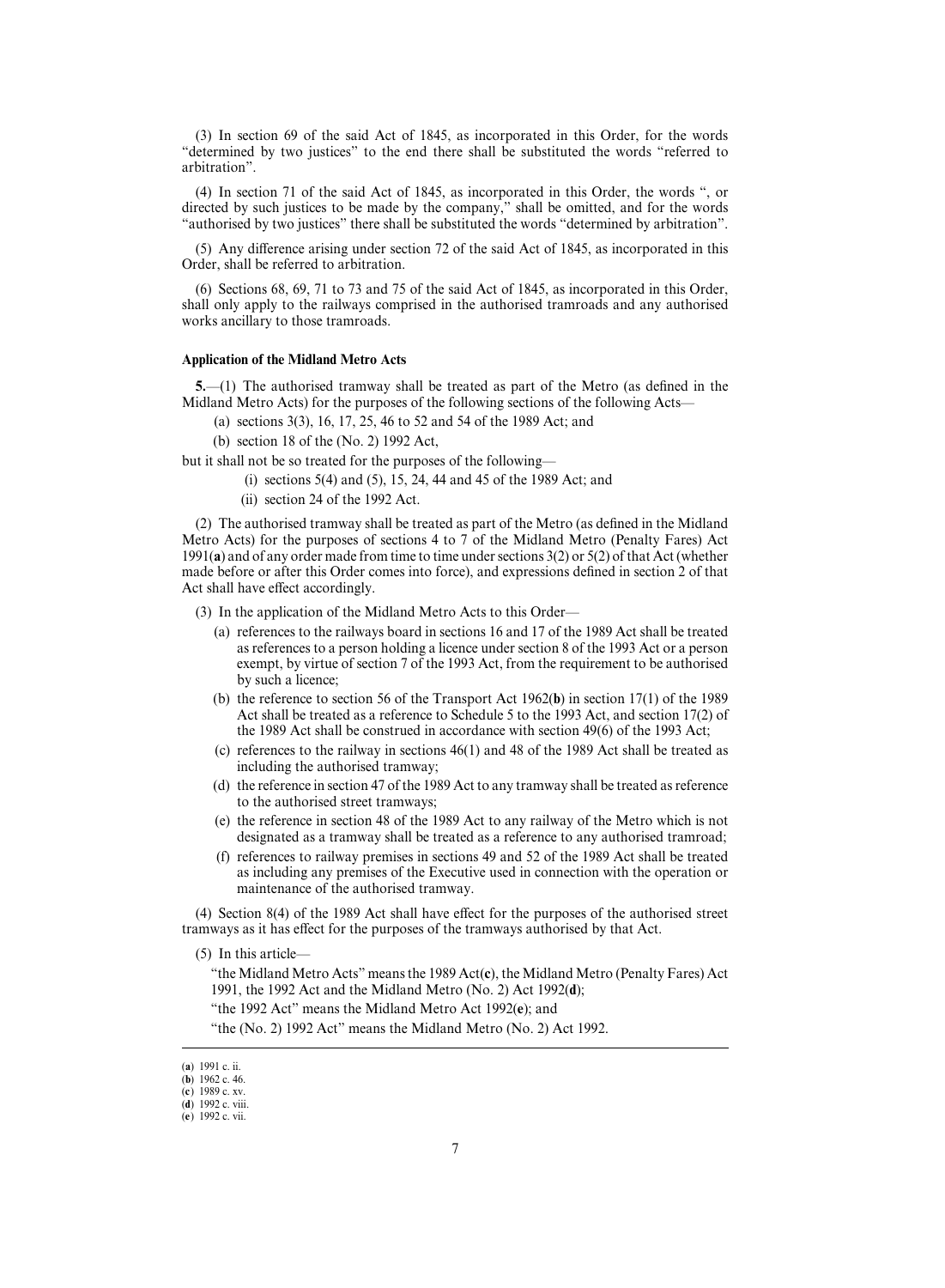(3) In section 69 of the said Act of 1845, as incorporated in this Order, for the words "determined by two justices" to the end there shall be substituted the words "referred to arbitration".

(4) In section 71 of the said Act of 1845, as incorporated in this Order, the words ", or directed by such justices to be made by the company," shall be omitted, and for the words "authorised by two justices" there shall be substituted the words "determined by arbitration".

 $(5)$  Any difference arising under section 72 of the said Act of 1845, as incorporated in this Order, shall be referred to arbitration.

(6) Sections 68, 69, 71 to 73 and 75 of the said Act of 1845, as incorporated in this Order, shall only apply to the railways comprised in the authorised tramroads and any authorised works ancillary to those tramroads.

## **Application of the Midland Metro Acts**

**5.**—(1) The authorised tramway shall be treated as part of the Metro (as defined in the Midland Metro Acts) for the purposes of the following sections of the following Acts—

- (a) sections 3(3), 16, 17, 25, 46 to 52 and 54 of the 1989 Act; and
- (b) section 18 of the (No. 2) 1992 Act,

but it shall not be so treated for the purposes of the following—

- (i) sections 5(4) and (5), 15, 24, 44 and 45 of the 1989 Act; and
- (ii) section 24 of the 1992 Act.

(2) The authorised tramway shall be treated as part of the Metro (as defined in the Midland Metro Acts) for the purposes of sections 4 to 7 of the Midland Metro (Penalty Fares) Act 1991(**a**) and of any order made from time to time under sections 3(2) or 5(2) of that Act (whether made before or after this Order comes into force), and expressions defined in section 2 of that Act shall have effect accordingly.

(3) In the application of the Midland Metro Acts to this Order—

- (a) references to the railways board in sections 16 and 17 of the 1989 Act shall be treated as references to a person holding a licence under section 8 of the 1993 Act or a person exempt, by virtue of section 7 of the 1993 Act, from the requirement to be authorised by such a licence;
- (b) the reference to section 56 of the Transport Act 1962(**b**) in section 17(1) of the 1989 Act shall be treated as a reference to Schedule 5 to the 1993 Act, and section 17(2) of the 1989 Act shall be construed in accordance with section 49(6) of the 1993 Act;
- (c) references to the railway in sections 46(1) and 48 of the 1989 Act shall be treated as including the authorised tramway;
- (d) the reference in section 47 of the 1989 Act to any tramway shall be treated as reference to the authorised street tramways;
- (e) the reference in section 48 of the 1989 Act to any railway of the Metro which is not designated as a tramway shall be treated as a reference to any authorised tramroad;
- (f) references to railway premises in sections 49 and 52 of the 1989 Act shall be treated as including any premises of the Executive used in connection with the operation or maintenance of the authorised tramway.

(4) Section 8(4) of the 1989 Act shall have effect for the purposes of the authorised street tramways as it has effect for the purposes of the tramways authorised by that Act.

(5) In this article—

"the Midland Metro Acts" means the 1989 Act(**c**), the Midland Metro (Penalty Fares) Act 1991, the 1992 Act and the Midland Metro (No. 2) Act 1992(**d**);

"the 1992 Act" means the Midland Metro Act 1992(**e**); and

"the (No. 2) 1992 Act" means the Midland Metro (No. 2) Act 1992.

<sup>(</sup>a) 1991 c. ii.

 $(h)$  1962 c. 46 (c) 1989 c. xv.

<sup>(</sup>d) 1992 c. viii.

<sup>(</sup>e) 1992 c. vii.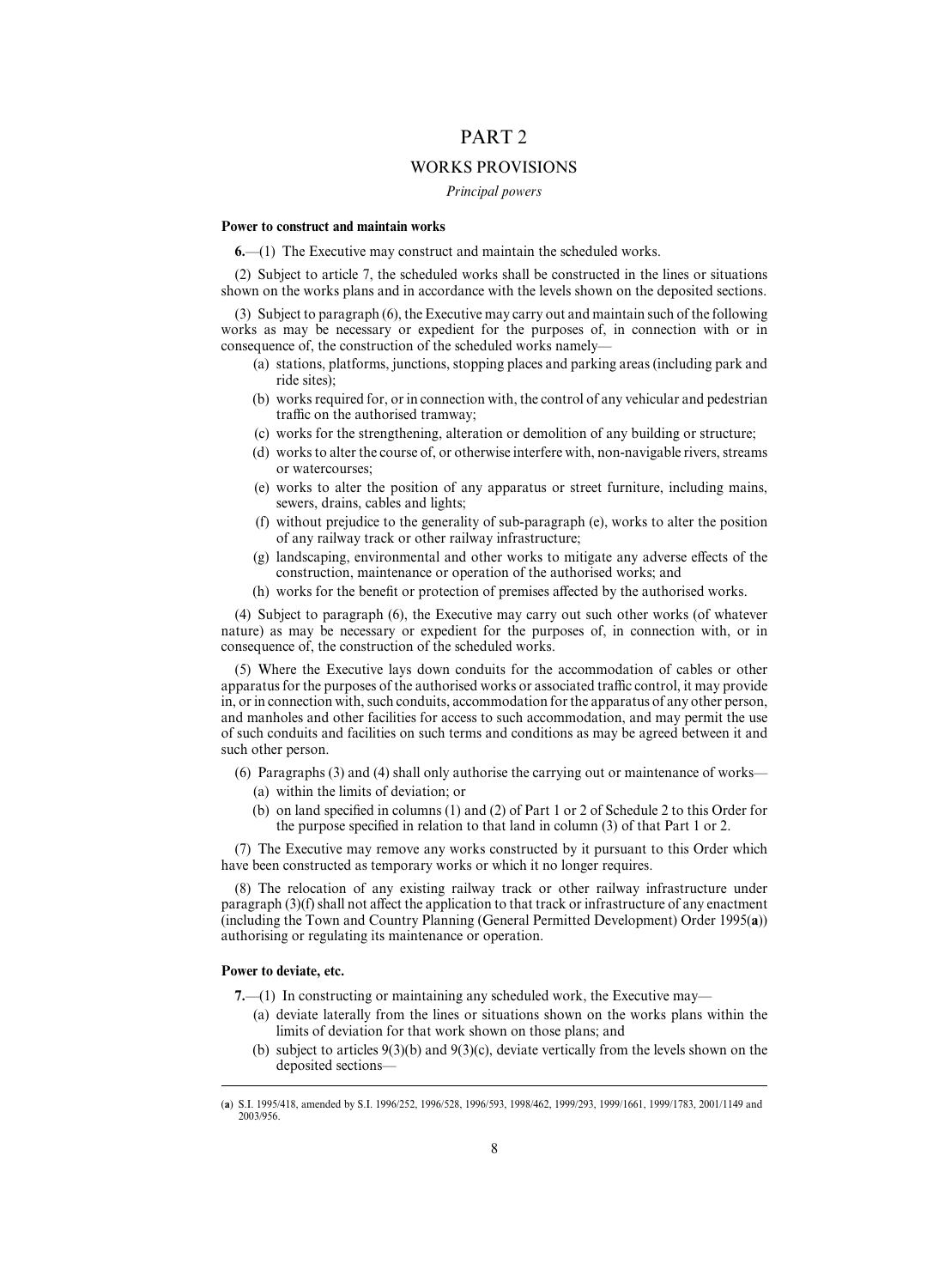# PART 2

## WORKS PROVISIONS

*Principal powers*

#### **Power to construct and maintain works**

**6.**—(1) The Executive may construct and maintain the scheduled works.

(2) Subject to article 7, the scheduled works shall be constructed in the lines or situations shown on the works plans and in accordance with the levels shown on the deposited sections.

(3) Subject to paragraph (6), the Executive may carry out and maintain such of the following works as may be necessary or expedient for the purposes of, in connection with or in consequence of, the construction of the scheduled works namely—

- (a) stations, platforms, junctions, stopping places and parking areas (including park and ride sites);
- (b) works required for, or in connection with, the control of any vehicular and pedestrian traffic on the authorised tramway;
- (c) works for the strengthening, alteration or demolition of any building or structure;
- (d) works to alter the course of, or otherwise interfere with, non-navigable rivers, streams or watercourses;
- (e) works to alter the position of any apparatus or street furniture, including mains, sewers, drains, cables and lights;
- (f) without prejudice to the generality of sub-paragraph (e), works to alter the position of any railway track or other railway infrastructure;
- $(g)$  landscaping, environmental and other works to mitigate any adverse effects of the construction, maintenance or operation of the authorised works; and
- (h) works for the benefit or protection of premises affected by the authorised works.

(4) Subject to paragraph (6), the Executive may carry out such other works (of whatever nature) as may be necessary or expedient for the purposes of, in connection with, or in consequence of, the construction of the scheduled works.

(5) Where the Executive lays down conduits for the accommodation of cables or other apparatus for the purposes of the authorised works or associated traffic control, it may provide in, or in connection with, such conduits, accommodation for the apparatus of any other person, and manholes and other facilities for access to such accommodation, and may permit the use of such conduits and facilities on such terms and conditions as may be agreed between it and such other person.

- (6) Paragraphs (3) and (4) shall only authorise the carrying out or maintenance of works—
	- (a) within the limits of deviation; or
	- (b) on land specified in columns (1) and (2) of Part 1 or 2 of Schedule 2 to this Order for the purpose specified in relation to that land in column (3) of that Part 1 or 2.

(7) The Executive may remove any works constructed by it pursuant to this Order which have been constructed as temporary works or which it no longer requires.

(8) The relocation of any existing railway track or other railway infrastructure under paragraph  $(3)(f)$  shall not affect the application to that track or infrastructure of any enactment (including the Town and Country Planning (General Permitted Development) Order 1995(**a**)) authorising or regulating its maintenance or operation.

## **Power to deviate, etc.**

- **7.**—(1) In constructing or maintaining any scheduled work, the Executive may—
	- (a) deviate laterally from the lines or situations shown on the works plans within the limits of deviation for that work shown on those plans; and
	- (b) subject to articles 9(3)(b) and 9(3)(c), deviate vertically from the levels shown on the deposited sections—

<sup>(</sup> S.I. 1995/418, amended by S.I. 1996/252, 1996/528, 1996/593, 1998/462, 1999/293, 1999/1661, 1999/1783, 2001/1149 and **a**) 2003/956.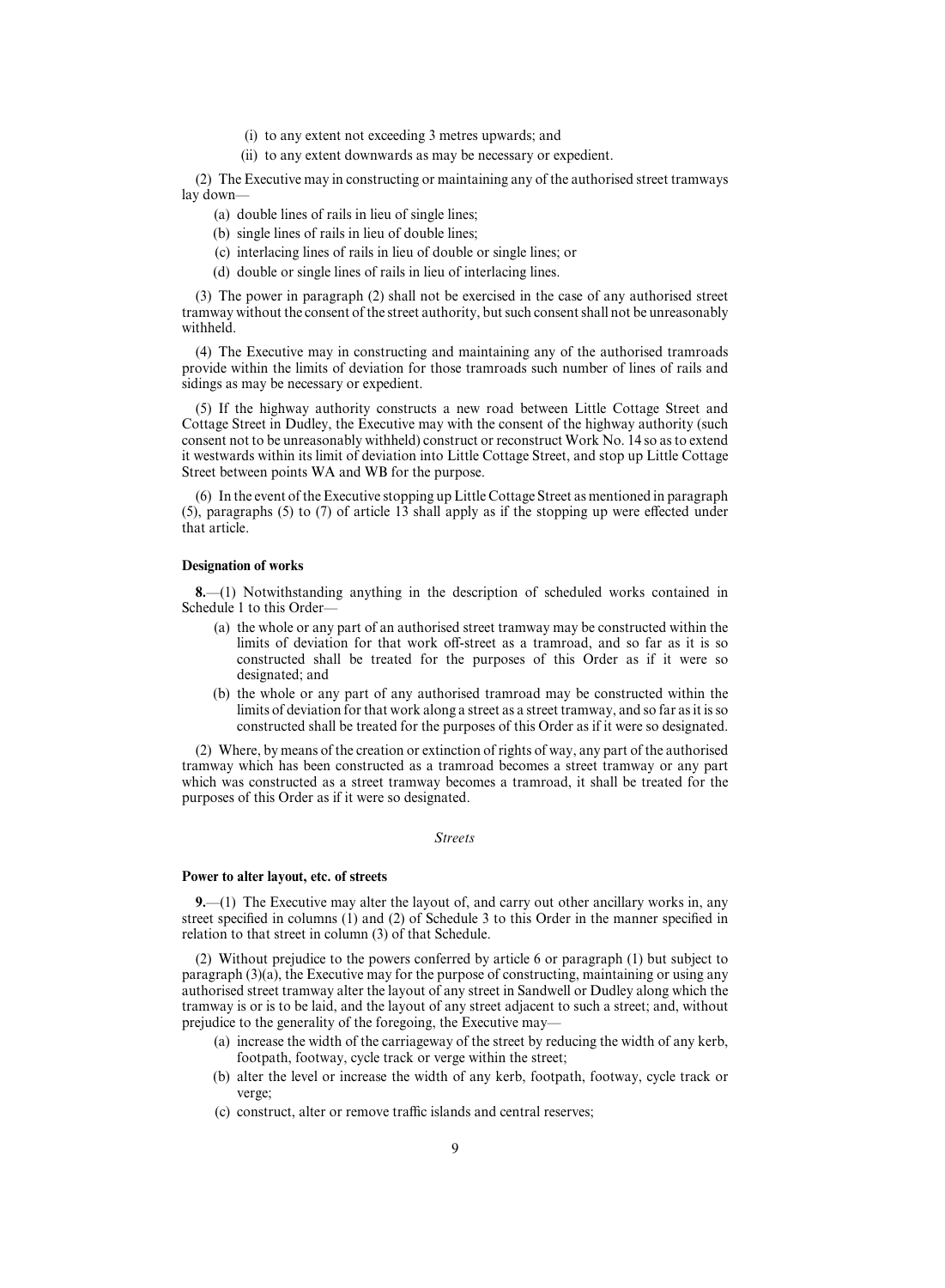- (i) to any extent not exceeding 3 metres upwards; and
- (ii) to any extent downwards as may be necessary or expedient.

(2) The Executive may in constructing or maintaining any of the authorised street tramways lay down—

- (a) double lines of rails in lieu of single lines;
- (b) single lines of rails in lieu of double lines;
- (c) interlacing lines of rails in lieu of double or single lines; or
- (d) double or single lines of rails in lieu of interlacing lines.

(3) The power in paragraph (2) shall not be exercised in the case of any authorised street tramway without the consent of the street authority, but such consent shall not be unreasonably withheld.

(4) The Executive may in constructing and maintaining any of the authorised tramroads provide within the limits of deviation for those tramroads such number of lines of rails and sidings as may be necessary or expedient.

(5) If the highway authority constructs a new road between Little Cottage Street and Cottage Street in Dudley, the Executive may with the consent of the highway authority (such consent not to be unreasonably withheld) construct or reconstruct Work No. 14 so as to extend it westwards within its limit of deviation into Little Cottage Street, and stop up Little Cottage Street between points WA and WB for the purpose.

(6) In the event of the Executive stopping up Little Cottage Street as mentioned in paragraph (5), paragraphs (5) to (7) of article  $13$  shall apply as if the stopping up were effected under that article.

## **Designation of works**

**8.**—(1) Notwithstanding anything in the description of scheduled works contained in Schedule 1 to this Order—

- (a) the whole or any part of an authorised street tramway may be constructed within the limits of deviation for that work off-street as a tramroad, and so far as it is so constructed shall be treated for the purposes of this Order as if it were so designated; and
- (b) the whole or any part of any authorised tramroad may be constructed within the limits of deviation for that work along a street as a street tramway, and so far as it is so constructed shall be treated for the purposes of this Order as if it were so designated.

(2) Where, by means of the creation or extinction of rights of way, any part of the authorised tramway which has been constructed as a tramroad becomes a street tramway or any part which was constructed as a street tramway becomes a tramroad, it shall be treated for the purposes of this Order as if it were so designated.

## *Streets*

#### **Power to alter layout, etc. of streets**

**9.**—(1) The Executive may alter the layout of, and carry out other ancillary works in, any street specified in columns  $(1)$  and  $(2)$  of Schedule 3 to this Order in the manner specified in relation to that street in column (3) of that Schedule.

(2) Without prejudice to the powers conferred by article 6 or paragraph (1) but subject to paragraph (3)(a), the Executive may for the purpose of constructing, maintaining or using any authorised street tramway alter the layout of any street in Sandwell or Dudley along which the tramway is or is to be laid, and the layout of any street adjacent to such a street; and, without prejudice to the generality of the foregoing, the Executive may—

- (a) increase the width of the carriageway of the street by reducing the width of any kerb, footpath, footway, cycle track or verge within the street;
- (b) alter the level or increase the width of any kerb, footpath, footway, cycle track or verge;
- (c) construct, alter or remove traffic islands and central reserves;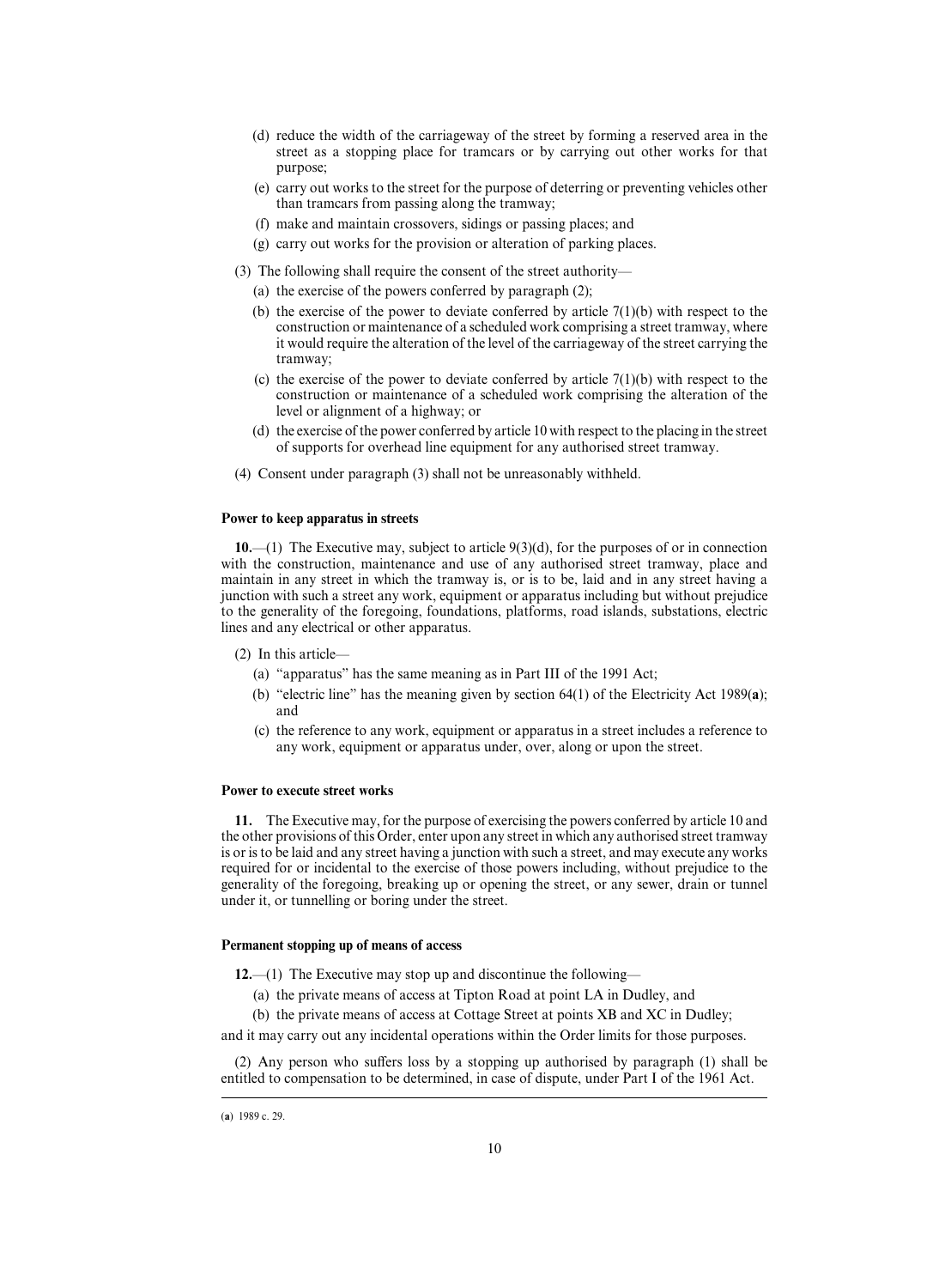- (d) reduce the width of the carriageway of the street by forming a reserved area in the street as a stopping place for tramcars or by carrying out other works for that purpose;
- (e) carry out works to the street for the purpose of deterring or preventing vehicles other than tramcars from passing along the tramway;
- (f) make and maintain crossovers, sidings or passing places; and
- (g) carry out works for the provision or alteration of parking places.
- (3) The following shall require the consent of the street authority—
	- (a) the exercise of the powers conferred by paragraph (2);
	- (b) the exercise of the power to deviate conferred by article  $7(1)(b)$  with respect to the construction or maintenance of a scheduled work comprising a street tramway, where it would require the alteration of the level of the carriageway of the street carrying the tramway;
	- (c) the exercise of the power to deviate conferred by article  $7(1)(b)$  with respect to the construction or maintenance of a scheduled work comprising the alteration of the level or alignment of a highway; or
	- (d) the exercise of the power conferred by article 10 with respect to the placing in the street of supports for overhead line equipment for any authorised street tramway.
- (4) Consent under paragraph (3) shall not be unreasonably withheld.

#### **Power to keep apparatus in streets**

**10.**—(1) The Executive may, subject to article 9(3)(d), for the purposes of or in connection with the construction, maintenance and use of any authorised street tramway, place and maintain in any street in which the tramway is, or is to be, laid and in any street having a junction with such a street any work, equipment or apparatus including but without prejudice to the generality of the foregoing, foundations, platforms, road islands, substations, electric lines and any electrical or other apparatus.

- (2) In this article—
	- (a) "apparatus" has the same meaning as in Part III of the 1991 Act;
	- (b) "electric line" has the meaning given by section 64(1) of the Electricity Act 1989(**a**); and
	- (c) the reference to any work, equipment or apparatus in a street includes a reference to any work, equipment or apparatus under, over, along or upon the street.

## **Power to execute street works**

**11.** The Executive may, for the purpose of exercising the powers conferred by article 10 and the other provisions of this Order, enter upon any street in which any authorised street tramway is or is to be laid and any street having a junction with such a street, and may execute any works required for or incidental to the exercise of those powers including, without prejudice to the generality of the foregoing, breaking up or opening the street, or any sewer, drain or tunnel under it, or tunnelling or boring under the street.

## **Permanent stopping up of means of access**

**12.**—(1) The Executive may stop up and discontinue the following—

- (a) the private means of access at Tipton Road at point LA in Dudley, and
- (b) the private means of access at Cottage Street at points XB and XC in Dudley;

and it may carry out any incidental operations within the Order limits for those purposes.

(2) Any person who suffers loss by a stopping up authorised by paragraph (1) shall be entitled to compensation to be determined, in case of dispute, under Part I of the 1961 Act.

<sup>(</sup>a) 1989 c. 29.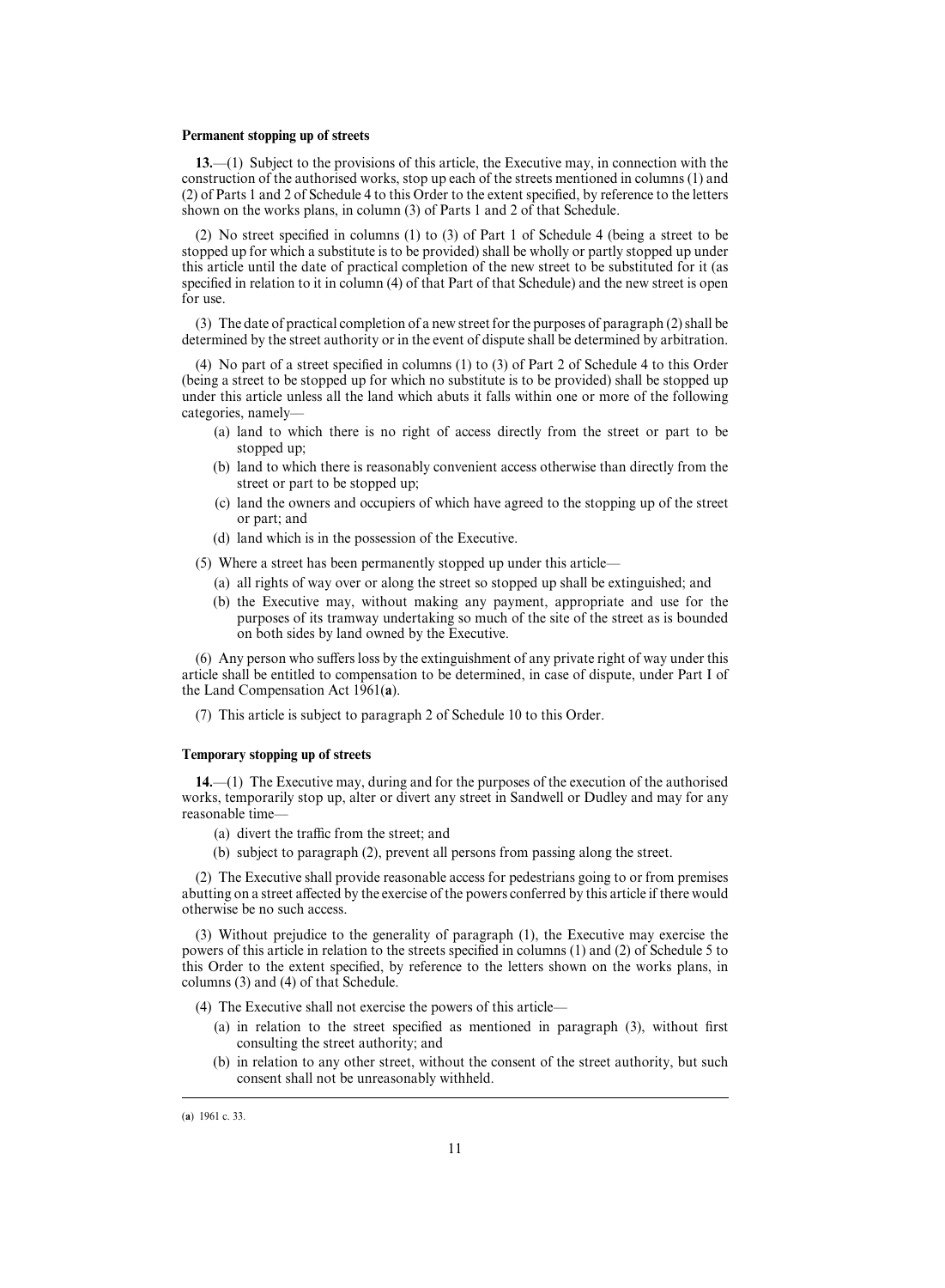## **Permanent stopping up of streets**

**13.**—(1) Subject to the provisions of this article, the Executive may, in connection with the construction of the authorised works, stop up each of the streets mentioned in columns (1) and (2) of Parts 1 and 2 of Schedule 4 to this Order to the extent specified, by reference to the letters shown on the works plans, in column (3) of Parts 1 and 2 of that Schedule.

(2) No street specified in columns (1) to (3) of Part 1 of Schedule 4 (being a street to be stopped up for which a substitute is to be provided) shall be wholly or partly stopped up under this article until the date of practical completion of the new street to be substituted for it (as specified in relation to it in column (4) of that Part of that Schedule) and the new street is open for use.

(3) The date of practical completion of a new street for the purposes of paragraph (2) shall be determined by the street authority or in the event of dispute shall be determined by arbitration.

(4) No part of a street specified in columns (1) to (3) of Part 2 of Schedule 4 to this Order (being a street to be stopped up for which no substitute is to be provided) shall be stopped up under this article unless all the land which abuts it falls within one or more of the following categories, namely—

- (a) land to which there is no right of access directly from the street or part to be stopped up;
- (b) land to which there is reasonably convenient access otherwise than directly from the street or part to be stopped up;
- (c) land the owners and occupiers of which have agreed to the stopping up of the street or part; and
- (d) land which is in the possession of the Executive.

(5) Where a street has been permanently stopped up under this article—

- (a) all rights of way over or along the street so stopped up shall be extinguished; and
- (b) the Executive may, without making any payment, appropriate and use for the purposes of its tramway undertaking so much of the site of the street as is bounded on both sides by land owned by the Executive.

 $(6)$  Any person who suffers loss by the extinguishment of any private right of way under this article shall be entitled to compensation to be determined, in case of dispute, under Part I of the Land Compensation Act 1961(**a**).

(7) This article is subject to paragraph 2 of Schedule 10 to this Order.

## **Temporary stopping up of streets**

**14.**—(1) The Executive may, during and for the purposes of the execution of the authorised works, temporarily stop up, alter or divert any street in Sandwell or Dudley and may for any reasonable time—

- (a) divert the traffic from the street; and
- (b) subject to paragraph (2), prevent all persons from passing along the street.

(2) The Executive shall provide reasonable access for pedestrians going to or from premises abutting on a street affected by the exercise of the powers conferred by this article if there would otherwise be no such access.

(3) Without prejudice to the generality of paragraph (1), the Executive may exercise the powers of this article in relation to the streets specified in columns (1) and (2) of Schedule 5 to this Order to the extent specified, by reference to the letters shown on the works plans, in columns (3) and (4) of that Schedule.

(4) The Executive shall not exercise the powers of this article—

- (a) in relation to the street specified as mentioned in paragraph (3), without first consulting the street authority; and
- (b) in relation to any other street, without the consent of the street authority, but such consent shall not be unreasonably withheld.

<sup>(</sup>a) 1961 c. 33.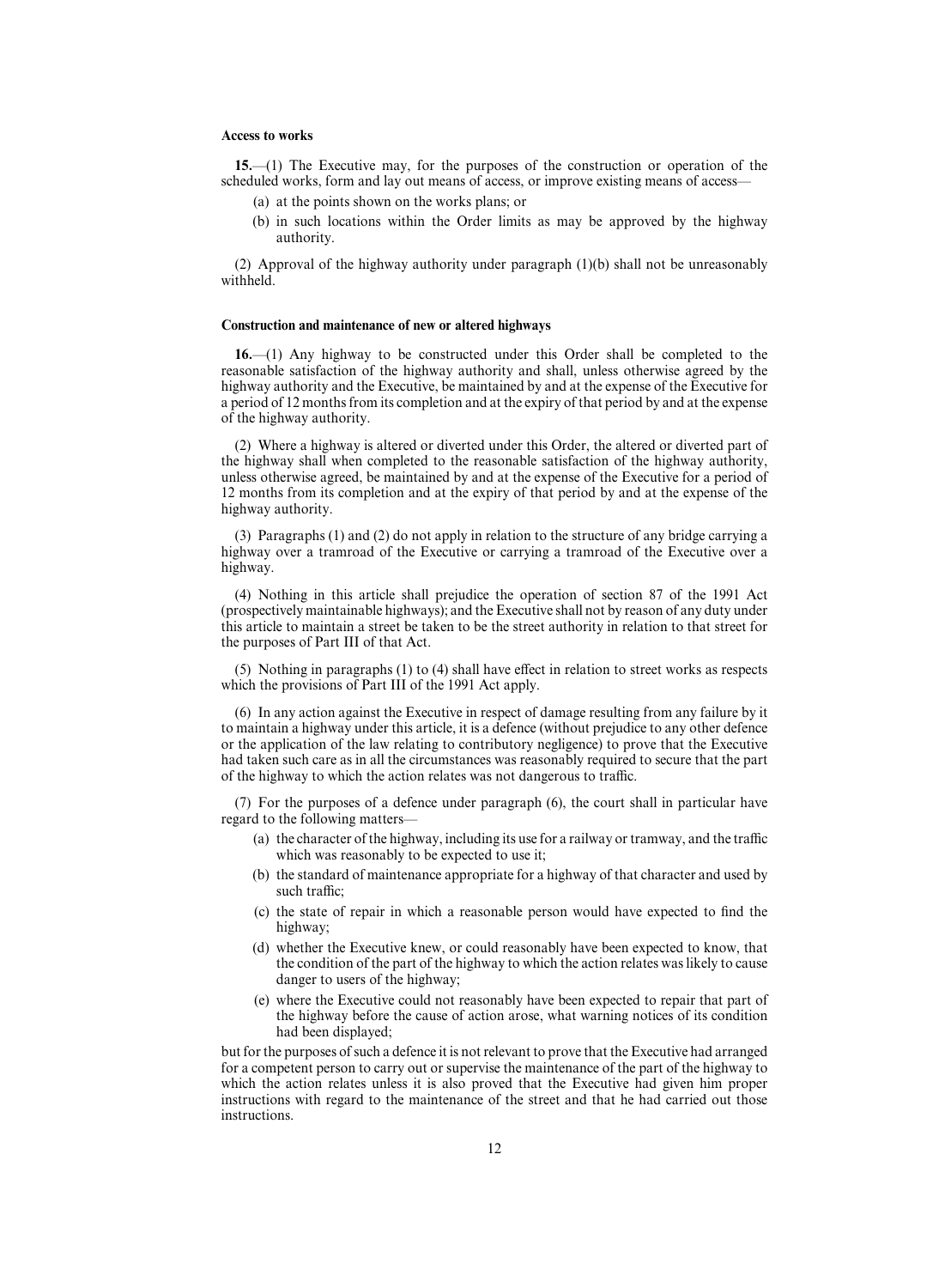#### **Access to works**

**15.**—(1) The Executive may, for the purposes of the construction or operation of the scheduled works, form and lay out means of access, or improve existing means of access—

- (a) at the points shown on the works plans; or
- (b) in such locations within the Order limits as may be approved by the highway authority.

(2) Approval of the highway authority under paragraph (1)(b) shall not be unreasonably withheld.

#### **Construction and maintenance of new or altered highways**

**16.**—(1) Any highway to be constructed under this Order shall be completed to the reasonable satisfaction of the highway authority and shall, unless otherwise agreed by the highway authority and the Executive, be maintained by and at the expense of the Executive for a period of 12 months from its completion and at the expiry of that period by and at the expense of the highway authority.

(2) Where a highway is altered or diverted under this Order, the altered or diverted part of the highway shall when completed to the reasonable satisfaction of the highway authority, unless otherwise agreed, be maintained by and at the expense of the Executive for a period of 12 months from its completion and at the expiry of that period by and at the expense of the highway authority.

(3) Paragraphs (1) and (2) do not apply in relation to the structure of any bridge carrying a highway over a tramroad of the Executive or carrying a tramroad of the Executive over a highway.

(4) Nothing in this article shall prejudice the operation of section 87 of the 1991 Act (prospectively maintainable highways); and the Executive shall not by reason of any duty under this article to maintain a street be taken to be the street authority in relation to that street for the purposes of Part III of that Act.

 $(5)$  Nothing in paragraphs  $(1)$  to  $(4)$  shall have effect in relation to street works as respects which the provisions of Part III of the 1991 Act apply.

(6) In any action against the Executive in respect of damage resulting from any failure by it to maintain a highway under this article, it is a defence (without prejudice to any other defence or the application of the law relating to contributory negligence) to prove that the Executive had taken such care as in all the circumstances was reasonably required to secure that the part of the highway to which the action relates was not dangerous to traffic.

(7) For the purposes of a defence under paragraph (6), the court shall in particular have regard to the following matters—

- (a) the character of the highway, including its use for a railway or tramway, and the traffic which was reasonably to be expected to use it;
- (b) the standard of maintenance appropriate for a highway of that character and used by such traffic:
- (c) the state of repair in which a reasonable person would have expected to find the highway;
- (d) whether the Executive knew, or could reasonably have been expected to know, that the condition of the part of the highway to which the action relates was likely to cause danger to users of the highway;
- (e) where the Executive could not reasonably have been expected to repair that part of the highway before the cause of action arose, what warning notices of its condition had been displayed;

but for the purposes of such a defence it is not relevant to prove that the Executive had arranged for a competent person to carry out or supervise the maintenance of the part of the highway to which the action relates unless it is also proved that the Executive had given him proper instructions with regard to the maintenance of the street and that he had carried out those instructions.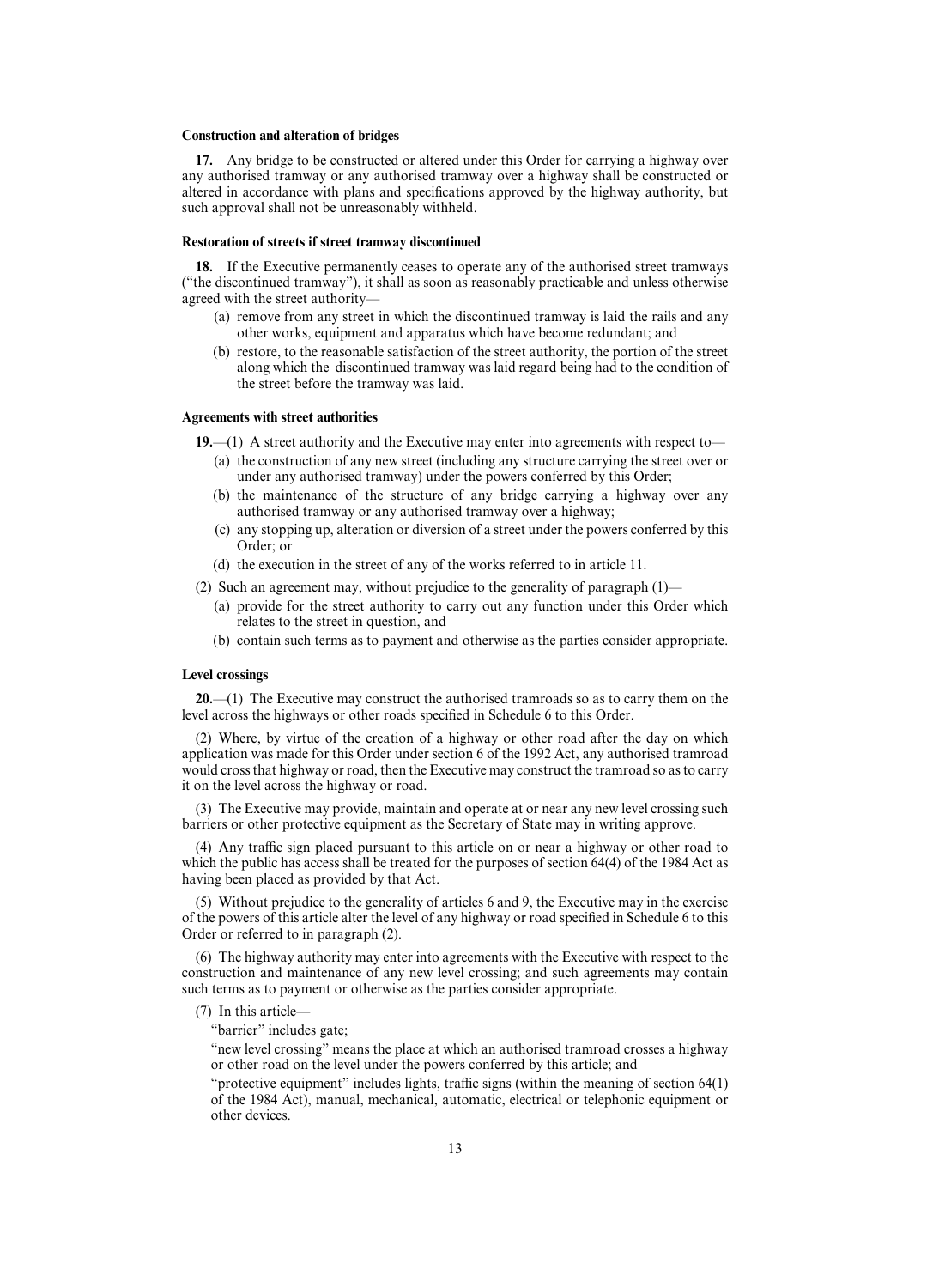## **Construction and alteration of bridges**

**17.** Any bridge to be constructed or altered under this Order for carrying a highway over any authorised tramway or any authorised tramway over a highway shall be constructed or altered in accordance with plans and specifications approved by the highway authority, but such approval shall not be unreasonably withheld.

## **Restoration of streets if street tramway discontinued**

**18.** If the Executive permanently ceases to operate any of the authorised street tramways ("the discontinued tramway"), it shall as soon as reasonably practicable and unless otherwise agreed with the street authority—

- (a) remove from any street in which the discontinued tramway is laid the rails and any other works, equipment and apparatus which have become redundant; and
- (b) restore, to the reasonable satisfaction of the street authority, the portion of the street along which the discontinued tramway was laid regard being had to the condition of the street before the tramway was laid.

#### **Agreements with street authorities**

**19.**—(1) A street authority and the Executive may enter into agreements with respect to—

- (a) the construction of any new street (including any structure carrying the street over or under any authorised tramway) under the powers conferred by this Order;
- (b) the maintenance of the structure of any bridge carrying a highway over any authorised tramway or any authorised tramway over a highway;
- (c) any stopping up, alteration or diversion of a street under the powers conferred by this Order; or
- (d) the execution in the street of any of the works referred to in article 11.
- (2) Such an agreement may, without prejudice to the generality of paragraph (1)—
	- (a) provide for the street authority to carry out any function under this Order which relates to the street in question, and
	- (b) contain such terms as to payment and otherwise as the parties consider appropriate.

## **Level crossings**

**20.**—(1) The Executive may construct the authorised tramroads so as to carry them on the level across the highways or other roads specified in Schedule 6 to this Order.

(2) Where, by virtue of the creation of a highway or other road after the day on which application was made for this Order under section 6 of the 1992 Act, any authorised tramroad would cross that highway or road, then the Executive may construct the tramroad so as to carry it on the level across the highway or road.

(3) The Executive may provide, maintain and operate at or near any new level crossing such barriers or other protective equipment as the Secretary of State may in writing approve.

(4) Any traffic sign placed pursuant to this article on or near a highway or other road to which the public has access shall be treated for the purposes of section 64(4) of the 1984 Act as having been placed as provided by that Act.

(5) Without prejudice to the generality of articles 6 and 9, the Executive may in the exercise of the powers of this article alter the level of any highway or road specified in Schedule 6 to this Order or referred to in paragraph (2).

(6) The highway authority may enter into agreements with the Executive with respect to the construction and maintenance of any new level crossing; and such agreements may contain such terms as to payment or otherwise as the parties consider appropriate.

(7) In this article—

"barrier" includes gate;

"new level crossing" means the place at which an authorised tramroad crosses a highway or other road on the level under the powers conferred by this article; and

"protective equipment" includes lights, traffic signs (within the meaning of section  $64(1)$ of the 1984 Act), manual, mechanical, automatic, electrical or telephonic equipment or other devices.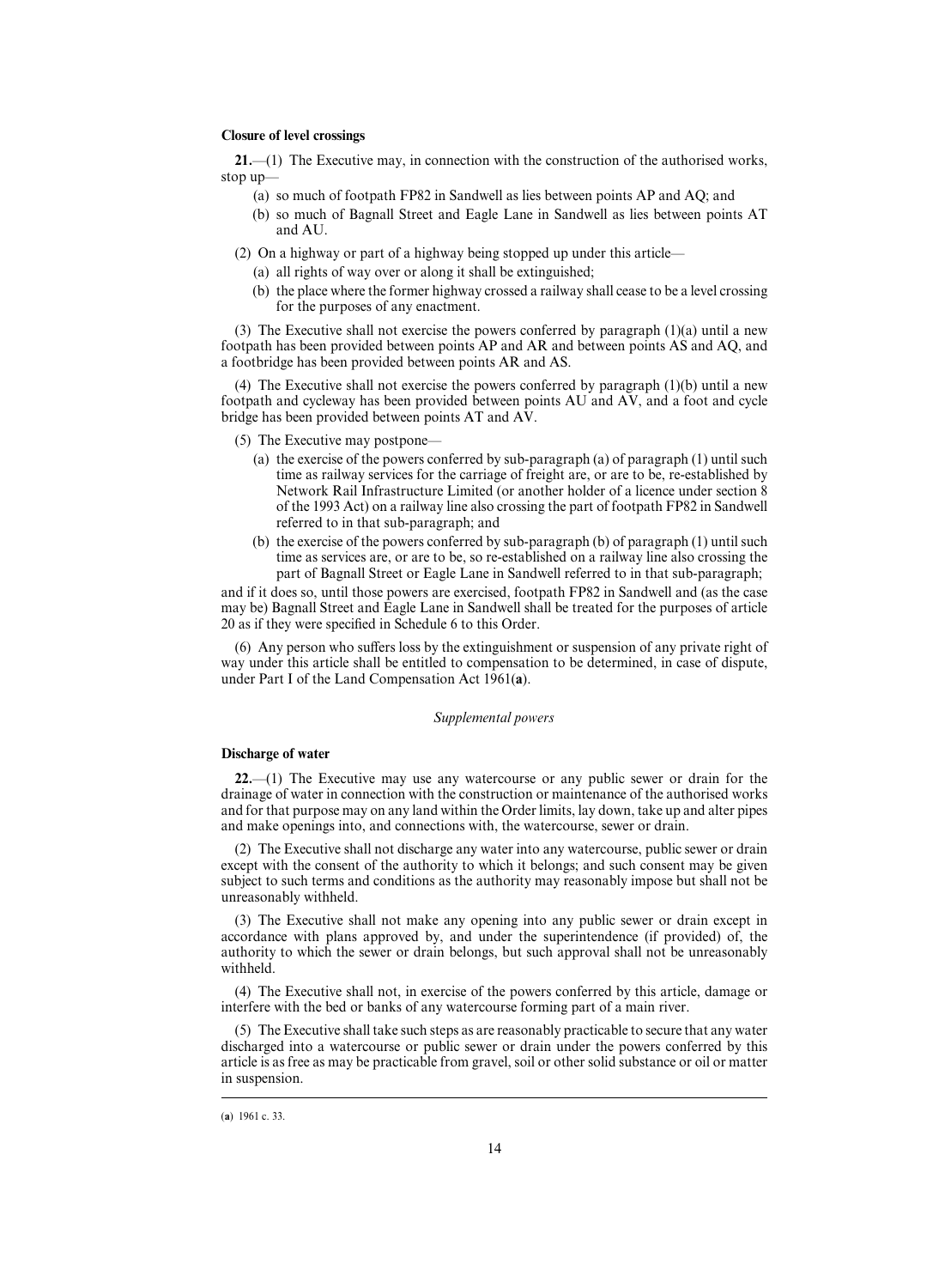## **Closure of level crossings**

**21.**—(1) The Executive may, in connection with the construction of the authorised works, stop up—

- (a) so much of footpath FP82 in Sandwell as lies between points AP and AQ; and
- (b) so much of Bagnall Street and Eagle Lane in Sandwell as lies between points AT and AU.

(2) On a highway or part of a highway being stopped up under this article—

- (a) all rights of way over or along it shall be extinguished;
- (b) the place where the former highway crossed a railway shall cease to be a level crossing for the purposes of any enactment.

(3) The Executive shall not exercise the powers conferred by paragraph  $(1)(a)$  until a new footpath has been provided between points AP and AR and between points AS and AQ, and a footbridge has been provided between points AR and AS.

(4) The Executive shall not exercise the powers conferred by paragraph  $(1)(b)$  until a new footpath and cycleway has been provided between points AU and AV, and a foot and cycle bridge has been provided between points AT and AV.

- (5) The Executive may postpone—
	- (a) the exercise of the powers conferred by sub-paragraph (a) of paragraph (1) until such time as railway services for the carriage of freight are, or are to be, re-established by Network Rail Infrastructure Limited (or another holder of a licence under section 8 of the 1993 Act) on a railway line also crossing the part of footpath FP82 in Sandwell referred to in that sub-paragraph; and
	- (b) the exercise of the powers conferred by sub-paragraph (b) of paragraph (1) until such time as services are, or are to be, so re-established on a railway line also crossing the part of Bagnall Street or Eagle Lane in Sandwell referred to in that sub-paragraph;

and if it does so, until those powers are exercised, footpath FP82 in Sandwell and (as the case may be) Bagnall Street and Eagle Lane in Sandwell shall be treated for the purposes of article 20 as if they were specified in Schedule 6 to this Order.

 $(6)$  Any person who suffers loss by the extinguishment or suspension of any private right of way under this article shall be entitled to compensation to be determined, in case of dispute, under Part I of the Land Compensation Act 1961(**a**).

## *Supplemental powers*

### **Discharge of water**

**22.**—(1) The Executive may use any watercourse or any public sewer or drain for the drainage of water in connection with the construction or maintenance of the authorised works and for that purpose may on any land within the Order limits, lay down, take up and alter pipes and make openings into, and connections with, the watercourse, sewer or drain.

(2) The Executive shall not discharge any water into any watercourse, public sewer or drain except with the consent of the authority to which it belongs; and such consent may be given subject to such terms and conditions as the authority may reasonably impose but shall not be unreasonably withheld.

(3) The Executive shall not make any opening into any public sewer or drain except in accordance with plans approved by, and under the superintendence (if provided) of, the authority to which the sewer or drain belongs, but such approval shall not be unreasonably withheld.

(4) The Executive shall not, in exercise of the powers conferred by this article, damage or interfere with the bed or banks of any watercourse forming part of a main river.

(5) The Executive shall take such steps as are reasonably practicable to secure that any water discharged into a watercourse or public sewer or drain under the powers conferred by this article is as free as may be practicable from gravel, soil or other solid substance or oil or matter in suspension.

<sup>(</sup>a) 1961 c. 33.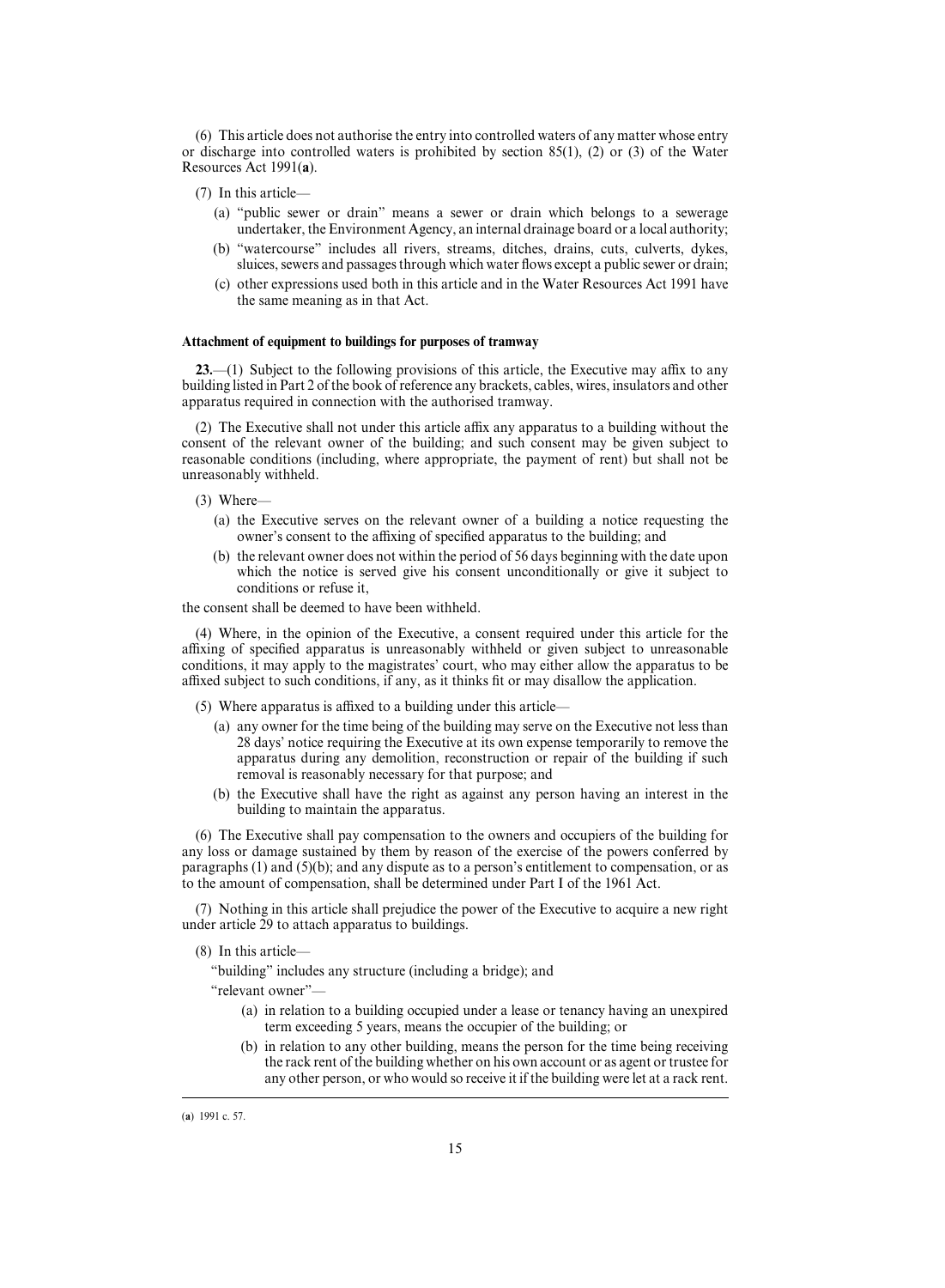(6) This article does not authorise the entry into controlled waters of any matter whose entry or discharge into controlled waters is prohibited by section  $85(1)$ , (2) or (3) of the Water Resources Act 1991(**a**).

- (7) In this article—
	- (a) "public sewer or drain" means a sewer or drain which belongs to a sewerage undertaker, the Environment Agency, an internal drainage board or a local authority;
	- (b) "watercourse" includes all rivers, streams, ditches, drains, cuts, culverts, dykes, sluices, sewers and passages through which water flows except a public sewer or drain;
	- (c) other expressions used both in this article and in the Water Resources Act 1991 have the same meaning as in that Act.

## **Attachment of equipment to buildings for purposes of tramway**

**23.**—(1) Subject to the following provisions of this article, the Executive may affix to any building listed in Part 2 of the book of reference any brackets, cables, wires, insulators and other apparatus required in connection with the authorised tramway.

(2) The Executive shall not under this article affix any apparatus to a building without the consent of the relevant owner of the building; and such consent may be given subject to reasonable conditions (including, where appropriate, the payment of rent) but shall not be unreasonably withheld.

## (3) Where—

- (a) the Executive serves on the relevant owner of a building a notice requesting the owner's consent to the affixing of specified apparatus to the building; and
- (b) the relevant owner does not within the period of 56 days beginning with the date upon which the notice is served give his consent unconditionally or give it subject to conditions or refuse it,

the consent shall be deemed to have been withheld.

(4) Where, in the opinion of the Executive, a consent required under this article for the affixing of specified apparatus is unreasonably withheld or given subject to unreasonable conditions, it may apply to the magistrates' court, who may either allow the apparatus to be affixed subject to such conditions, if any, as it thinks fit or may disallow the application.

(5) Where apparatus is affixed to a building under this article—

- (a) any owner for the time being of the building may serve on the Executive not less than 28 days' notice requiring the Executive at its own expense temporarily to remove the apparatus during any demolition, reconstruction or repair of the building if such removal is reasonably necessary for that purpose; and
- (b) the Executive shall have the right as against any person having an interest in the building to maintain the apparatus.

(6) The Executive shall pay compensation to the owners and occupiers of the building for any loss or damage sustained by them by reason of the exercise of the powers conferred by paragraphs (1) and (5)(b); and any dispute as to a person's entitlement to compensation, or as to the amount of compensation, shall be determined under Part I of the 1961 Act.

(7) Nothing in this article shall prejudice the power of the Executive to acquire a new right under article 29 to attach apparatus to buildings.

"building" includes any structure (including a bridge); and

"relevant owner"—

- (a) in relation to a building occupied under a lease or tenancy having an unexpired term exceeding 5 years, means the occupier of the building; or
- (b) in relation to any other building, means the person for the time being receiving the rack rent of the building whether on his own account or as agent or trustee for any other person, or who would so receive it if the building were let at a rack rent.

<sup>(8)</sup> In this article—

<sup>(</sup>a) 1991 c. 57.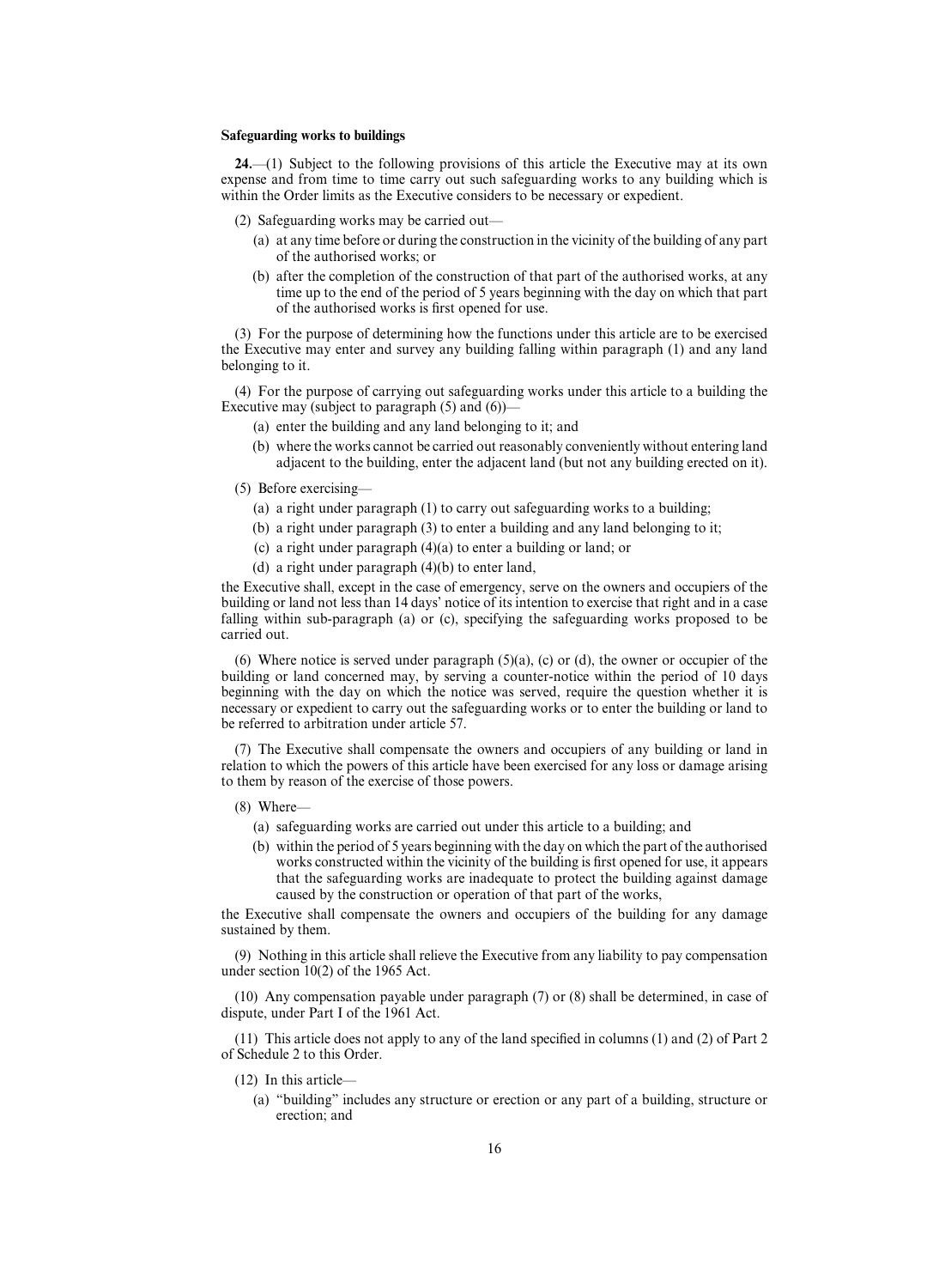## **Safeguarding works to buildings**

**24.**—(1) Subject to the following provisions of this article the Executive may at its own expense and from time to time carry out such safeguarding works to any building which is within the Order limits as the Executive considers to be necessary or expedient.

- (2) Safeguarding works may be carried out—
	- (a) at any time before or during the construction in the vicinity of the building of any part of the authorised works; or
	- (b) after the completion of the construction of that part of the authorised works, at any time up to the end of the period of 5 years beginning with the day on which that part of the authorised works is first opened for use.

(3) For the purpose of determining how the functions under this article are to be exercised the Executive may enter and survey any building falling within paragraph (1) and any land belonging to it.

(4) For the purpose of carrying out safeguarding works under this article to a building the Executive may (subject to paragraph  $(5)$  and  $(6)$ )-

- (a) enter the building and any land belonging to it; and
- (b) where the works cannot be carried out reasonably conveniently without entering land adjacent to the building, enter the adjacent land (but not any building erected on it).

#### (5) Before exercising—

- (a) a right under paragraph (1) to carry out safeguarding works to a building;
- (b) a right under paragraph (3) to enter a building and any land belonging to it;
- (c) a right under paragraph (4)(a) to enter a building or land; or
- (d) a right under paragraph (4)(b) to enter land,

the Executive shall, except in the case of emergency, serve on the owners and occupiers of the building or land not less than 14 days' notice of its intention to exercise that right and in a case falling within sub-paragraph (a) or (c), specifying the safeguarding works proposed to be carried out.

(6) Where notice is served under paragraph  $(5)(a)$ , (c) or (d), the owner or occupier of the building or land concerned may, by serving a counter-notice within the period of 10 days beginning with the day on which the notice was served, require the question whether it is necessary or expedient to carry out the safeguarding works or to enter the building or land to be referred to arbitration under article 57.

(7) The Executive shall compensate the owners and occupiers of any building or land in relation to which the powers of this article have been exercised for any loss or damage arising to them by reason of the exercise of those powers.

- (8) Where—
	- (a) safeguarding works are carried out under this article to a building; and
	- (b) within the period of 5 years beginning with the day on which the part of the authorised works constructed within the vicinity of the building is first opened for use, it appears that the safeguarding works are inadequate to protect the building against damage caused by the construction or operation of that part of the works,

the Executive shall compensate the owners and occupiers of the building for any damage sustained by them.

(9) Nothing in this article shall relieve the Executive from any liability to pay compensation under section 10(2) of the 1965 Act.

(10) Any compensation payable under paragraph (7) or (8) shall be determined, in case of dispute, under Part I of the 1961 Act.

(11) This article does not apply to any of the land specified in columns (1) and (2) of Part 2 of Schedule 2 to this Order.

- (12) In this article—
	- (a) "building" includes any structure or erection or any part of a building, structure or erection; and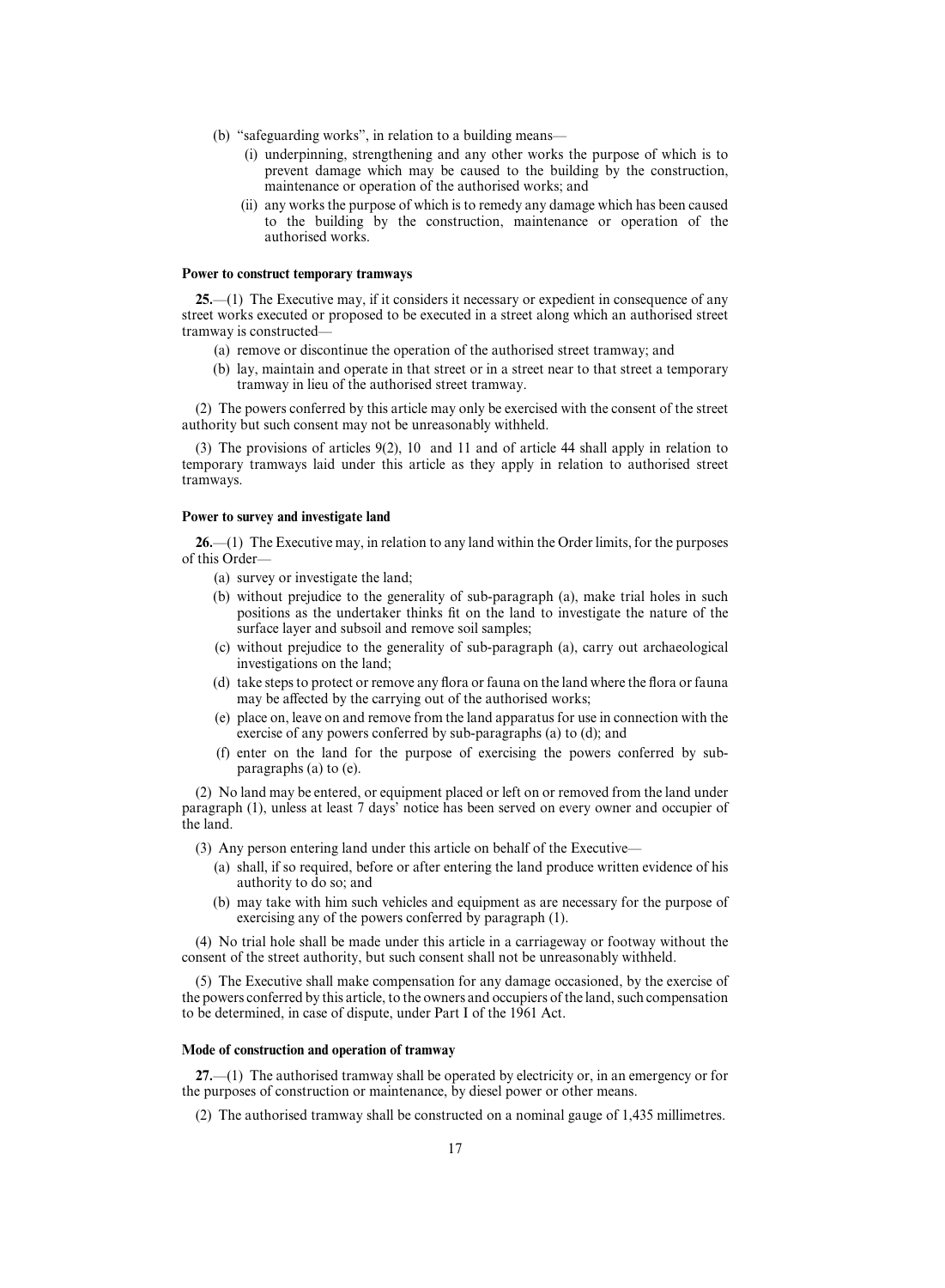- (b) "safeguarding works", in relation to a building means—
	- (i) underpinning, strengthening and any other works the purpose of which is to prevent damage which may be caused to the building by the construction, maintenance or operation of the authorised works; and
	- (ii) any works the purpose of which is to remedy any damage which has been caused to the building by the construction, maintenance or operation of the authorised works.

## **Power to construct temporary tramways**

**25.**—(1) The Executive may, if it considers it necessary or expedient in consequence of any street works executed or proposed to be executed in a street along which an authorised street tramway is constructed—

- (a) remove or discontinue the operation of the authorised street tramway; and
- (b) lay, maintain and operate in that street or in a street near to that street a temporary tramway in lieu of the authorised street tramway.

(2) The powers conferred by this article may only be exercised with the consent of the street authority but such consent may not be unreasonably withheld.

(3) The provisions of articles 9(2), 10 and 11 and of article 44 shall apply in relation to temporary tramways laid under this article as they apply in relation to authorised street tramways.

## **Power to survey and investigate land**

**26.**—(1) The Executive may, in relation to any land within the Order limits, for the purposes of this Order—

- (a) survey or investigate the land;
- (b) without prejudice to the generality of sub-paragraph (a), make trial holes in such positions as the undertaker thinks fit on the land to investigate the nature of the surface layer and subsoil and remove soil samples;
- (c) without prejudice to the generality of sub-paragraph (a), carry out archaeological investigations on the land;
- (d) take steps to protect or remove any flora or fauna on the land where the flora or fauna may be affected by the carrying out of the authorised works;
- (e) place on, leave on and remove from the land apparatus for use in connection with the exercise of any powers conferred by sub-paragraphs (a) to (d); and
- (f) enter on the land for the purpose of exercising the powers conferred by subparagraphs (a) to (e).

(2) No land may be entered, or equipment placed or left on or removed from the land under paragraph (1), unless at least 7 days' notice has been served on every owner and occupier of the land.

- (3) Any person entering land under this article on behalf of the Executive—
	- (a) shall, if so required, before or after entering the land produce written evidence of his authority to do so; and
	- (b) may take with him such vehicles and equipment as are necessary for the purpose of exercising any of the powers conferred by paragraph (1).

(4) No trial hole shall be made under this article in a carriageway or footway without the consent of the street authority, but such consent shall not be unreasonably withheld.

(5) The Executive shall make compensation for any damage occasioned, by the exercise of the powers conferred by this article, to the owners and occupiers of the land, such compensation to be determined, in case of dispute, under Part I of the 1961 Act.

## **Mode of construction and operation of tramway**

**27.**—(1) The authorised tramway shall be operated by electricity or, in an emergency or for the purposes of construction or maintenance, by diesel power or other means.

(2) The authorised tramway shall be constructed on a nominal gauge of 1,435 millimetres.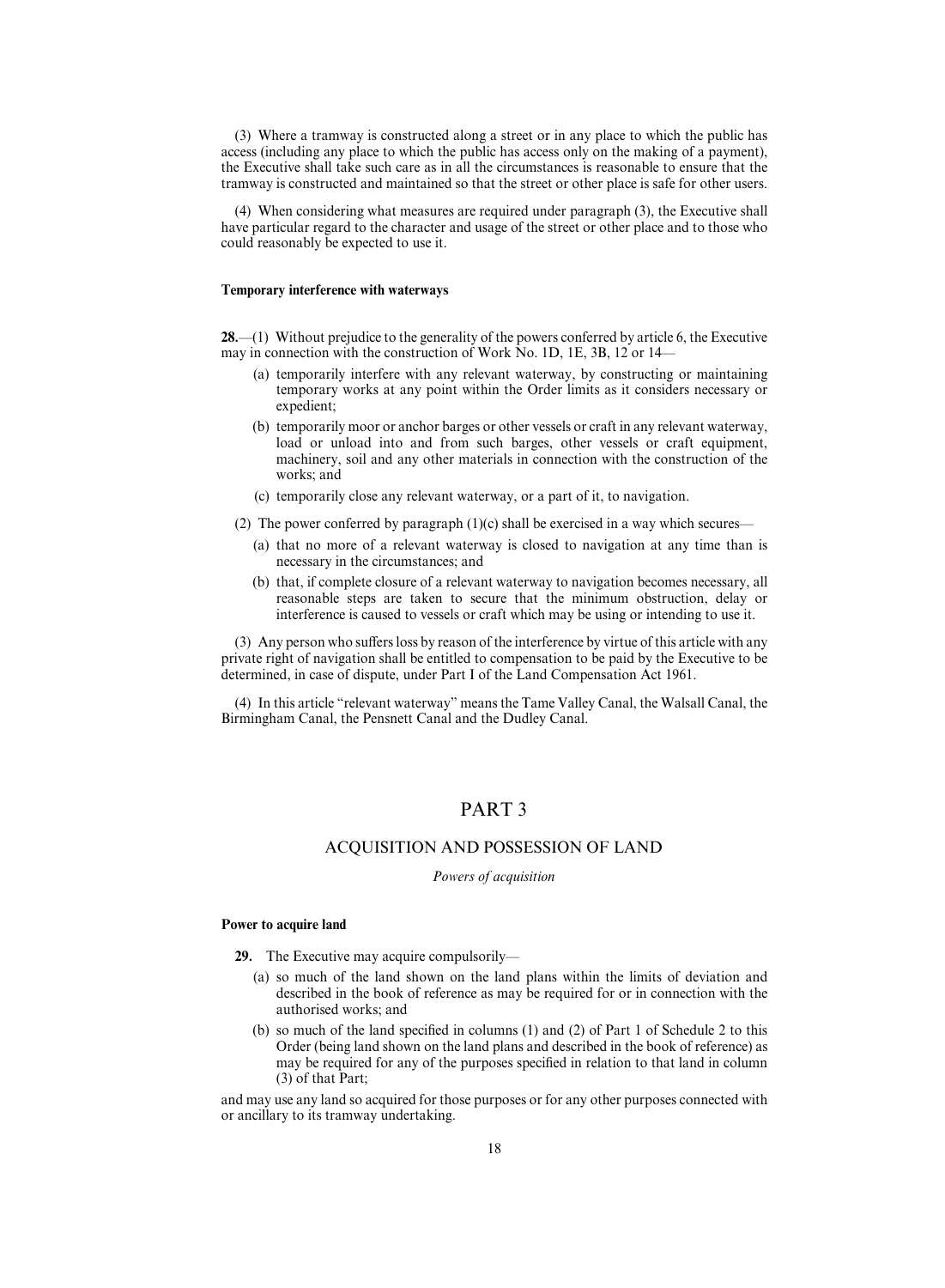(3) Where a tramway is constructed along a street or in any place to which the public has access (including any place to which the public has access only on the making of a payment), the Executive shall take such care as in all the circumstances is reasonable to ensure that the tramway is constructed and maintained so that the street or other place is safe for other users.

(4) When considering what measures are required under paragraph (3), the Executive shall have particular regard to the character and usage of the street or other place and to those who could reasonably be expected to use it.

#### **Temporary interference with waterways**

**28.**—(1) Without prejudice to the generality of the powers conferred by article 6, the Executive may in connection with the construction of Work No. 1D, 1E, 3B, 12 or 14—

- (a) temporarily interfere with any relevant waterway, by constructing or maintaining temporary works at any point within the Order limits as it considers necessary or expedient;
- (b) temporarily moor or anchor barges or other vessels or craft in any relevant waterway, load or unload into and from such barges, other vessels or craft equipment, machinery, soil and any other materials in connection with the construction of the works; and
- (c) temporarily close any relevant waterway, or a part of it, to navigation.
- (2) The power conferred by paragraph  $(1)(c)$  shall be exercised in a way which secures—
	- (a) that no more of a relevant waterway is closed to navigation at any time than is necessary in the circumstances; and
	- (b) that, if complete closure of a relevant waterway to navigation becomes necessary, all reasonable steps are taken to secure that the minimum obstruction, delay or interference is caused to vessels or craft which may be using or intending to use it.

 $(3)$  Any person who suffers loss by reason of the interference by virtue of this article with any private right of navigation shall be entitled to compensation to be paid by the Executive to be determined, in case of dispute, under Part I of the Land Compensation Act 1961.

(4) In this article "relevant waterway" means the Tame Valley Canal, the Walsall Canal, the Birmingham Canal, the Pensnett Canal and the Dudley Canal.

## PART 3

## ACQUISITION AND POSSESSION OF LAND

*Powers of acquisition*

## **Power to acquire land**

- **29.** The Executive may acquire compulsorily—
	- (a) so much of the land shown on the land plans within the limits of deviation and described in the book of reference as may be required for or in connection with the authorised works; and
	- (b) so much of the land specified in columns (1) and (2) of Part 1 of Schedule 2 to this Order (being land shown on the land plans and described in the book of reference) as may be required for any of the purposes specified in relation to that land in column (3) of that Part;

and may use any land so acquired for those purposes or for any other purposes connected with or ancillary to its tramway undertaking.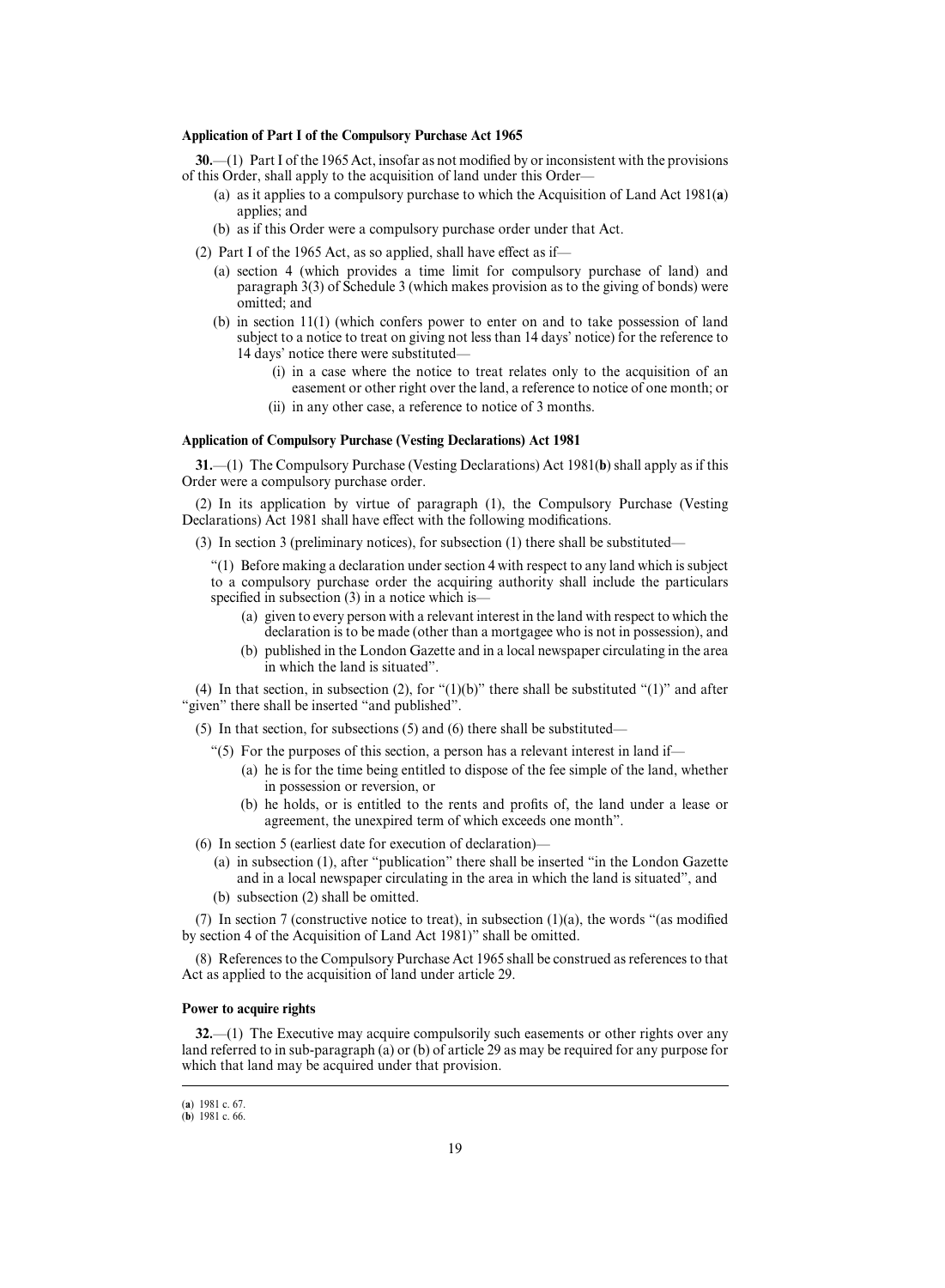## **Application of Part I of the Compulsory Purchase Act 1965**

**30.**—(1) Part I of the 1965 Act, insofar as not modified by or inconsistent with the provisions of this Order, shall apply to the acquisition of land under this Order—

- (a) as it applies to a compulsory purchase to which the Acquisition of Land Act 1981(**a**) applies; and
- (b) as if this Order were a compulsory purchase order under that Act.
- (2) Part I of the 1965 Act, as so applied, shall have effect as if—
	- (a) section 4 (which provides a time limit for compulsory purchase of land) and paragraph 3(3) of Schedule 3 (which makes provision as to the giving of bonds) were omitted; and
	- (b) in section 11(1) (which confers power to enter on and to take possession of land subject to a notice to treat on giving not less than 14 days' notice) for the reference to 14 days' notice there were substituted—
		- (i) in a case where the notice to treat relates only to the acquisition of an easement or other right over the land, a reference to notice of one month; or
		- (ii) in any other case, a reference to notice of 3 months.

## **Application of Compulsory Purchase (Vesting Declarations) Act 1981**

**31.**—(1) The Compulsory Purchase (Vesting Declarations) Act 1981(**b**) shall apply as if this Order were a compulsory purchase order.

(2) In its application by virtue of paragraph (1), the Compulsory Purchase (Vesting Declarations) Act 1981 shall have effect with the following modifications.

(3) In section 3 (preliminary notices), for subsection (1) there shall be substituted—

"(1) Before making a declaration under section 4 with respect to any land which is subject to a compulsory purchase order the acquiring authority shall include the particulars specified in subsection (3) in a notice which is—

- (a) given to every person with a relevant interest in the land with respect to which the declaration is to be made (other than a mortgagee who is not in possession), and
- (b) published in the London Gazette and in a local newspaper circulating in the area in which the land is situated".

(4) In that section, in subsection (2), for " $(1)(b)$ " there shall be substituted " $(1)$ " and after "given" there shall be inserted "and published".

(5) In that section, for subsections (5) and (6) there shall be substituted—

"(5) For the purposes of this section, a person has a relevant interest in land if—

- (a) he is for the time being entitled to dispose of the fee simple of the land, whether in possession or reversion, or
- (b) he holds, or is entitled to the rents and profits of, the land under a lease or agreement, the unexpired term of which exceeds one month".

(6) In section 5 (earliest date for execution of declaration)—

- (a) in subsection (1), after "publication" there shall be inserted "in the London Gazette and in a local newspaper circulating in the area in which the land is situated", and
- (b) subsection (2) shall be omitted.

(7) In section 7 (constructive notice to treat), in subsection (1)(a), the words "(as modified by section 4 of the Acquisition of Land Act 1981)" shall be omitted.

(8) References to the Compulsory Purchase Act 1965 shall be construed as references to that Act as applied to the acquisition of land under article 29.

## **Power to acquire rights**

**32.**—(1) The Executive may acquire compulsorily such easements or other rights over any land referred to in sub-paragraph (a) or (b) of article 29 as may be required for any purpose for which that land may be acquired under that provision.

<sup>(</sup>a) 1981 c. 67.

<sup>(</sup>**b**) 1981 c. 66.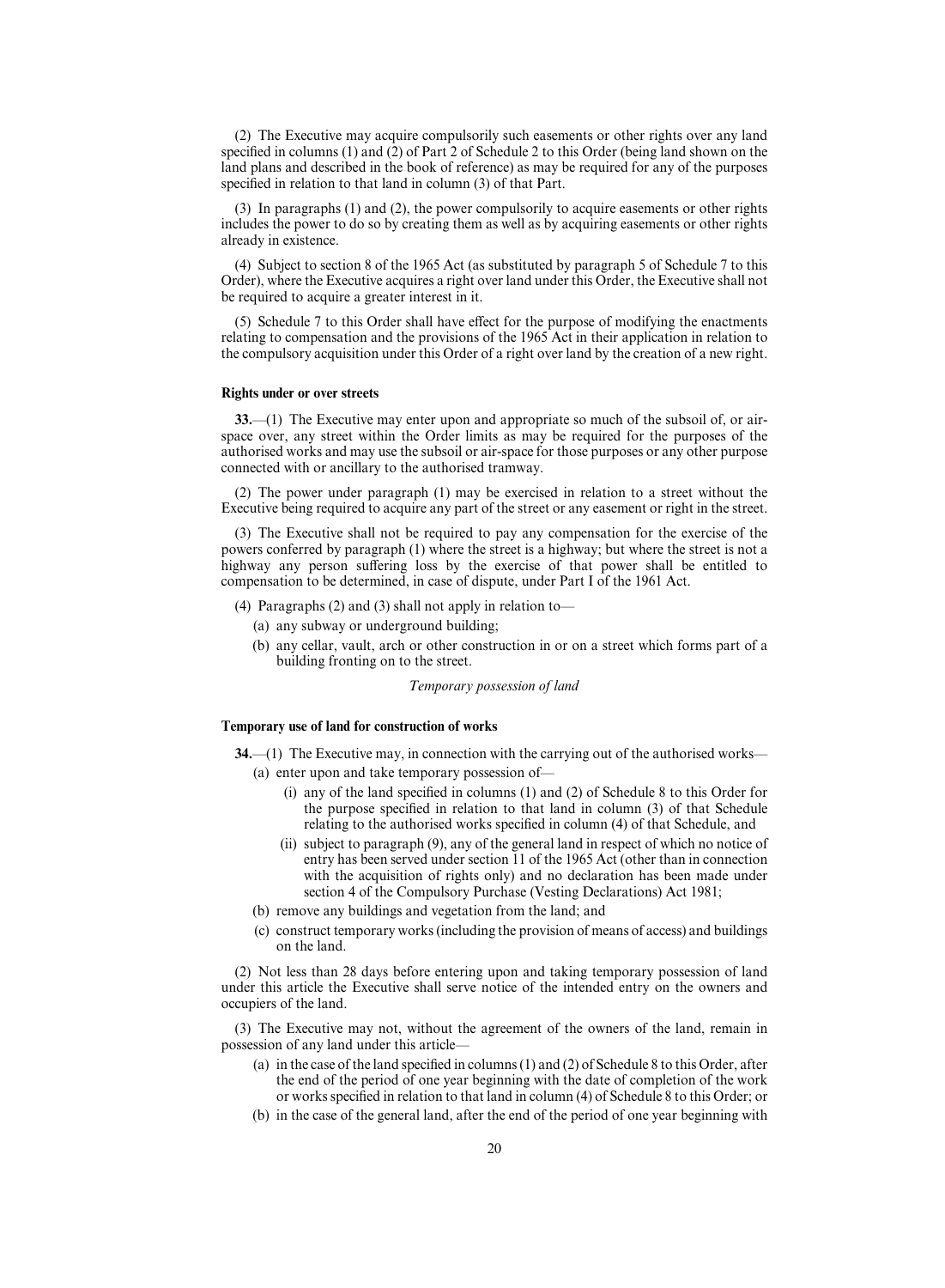(2) The Executive may acquire compulsorily such easements or other rights over any land specified in columns (1) and (2) of Part 2 of Schedule 2 to this Order (being land shown on the land plans and described in the book of reference) as may be required for any of the purposes specified in relation to that land in column (3) of that Part.

(3) In paragraphs (1) and (2), the power compulsorily to acquire easements or other rights includes the power to do so by creating them as well as by acquiring easements or other rights already in existence.

(4) Subject to section 8 of the 1965 Act (as substituted by paragraph 5 of Schedule 7 to this Order), where the Executive acquires a right over land under this Order, the Executive shall not be required to acquire a greater interest in it.

(5) Schedule 7 to this Order shall have effect for the purpose of modifying the enactments relating to compensation and the provisions of the 1965 Act in their application in relation to the compulsory acquisition under this Order of a right over land by the creation of a new right.

## **Rights under or over streets**

**33.**—(1) The Executive may enter upon and appropriate so much of the subsoil of, or airspace over, any street within the Order limits as may be required for the purposes of the authorised works and may use the subsoil or air-space for those purposes or any other purpose connected with or ancillary to the authorised tramway.

(2) The power under paragraph (1) may be exercised in relation to a street without the Executive being required to acquire any part of the street or any easement or right in the street.

(3) The Executive shall not be required to pay any compensation for the exercise of the powers conferred by paragraph (1) where the street is a highway; but where the street is not a highway any person suffering loss by the exercise of that power shall be entitled to compensation to be determined, in case of dispute, under Part I of the 1961 Act.

- (4) Paragraphs (2) and (3) shall not apply in relation to—
	- (a) any subway or underground building;
	- (b) any cellar, vault, arch or other construction in or on a street which forms part of a building fronting on to the street.

*Temporary possession of land*

## **Temporary use of land for construction of works**

**34.**—(1) The Executive may, in connection with the carrying out of the authorised works—

- (a) enter upon and take temporary possession of—
	- (i) any of the land specified in columns (1) and (2) of Schedule 8 to this Order for the purpose specified in relation to that land in column (3) of that Schedule relating to the authorised works specified in column (4) of that Schedule, and
	- (ii) subject to paragraph (9), any of the general land in respect of which no notice of entry has been served under section 11 of the 1965 Act (other than in connection with the acquisition of rights only) and no declaration has been made under section 4 of the Compulsory Purchase (Vesting Declarations) Act 1981;
- (b) remove any buildings and vegetation from the land; and
- (c) construct temporary works (including the provision of means of access) and buildings on the land.

(2) Not less than 28 days before entering upon and taking temporary possession of land under this article the Executive shall serve notice of the intended entry on the owners and occupiers of the land.

(3) The Executive may not, without the agreement of the owners of the land, remain in possession of any land under this article—

- (a) in the case of the land specified in columns (1) and (2) of Schedule 8 to this Order, after the end of the period of one year beginning with the date of completion of the work or works specified in relation to that land in column (4) of Schedule 8 to this Order; or
- (b) in the case of the general land, after the end of the period of one year beginning with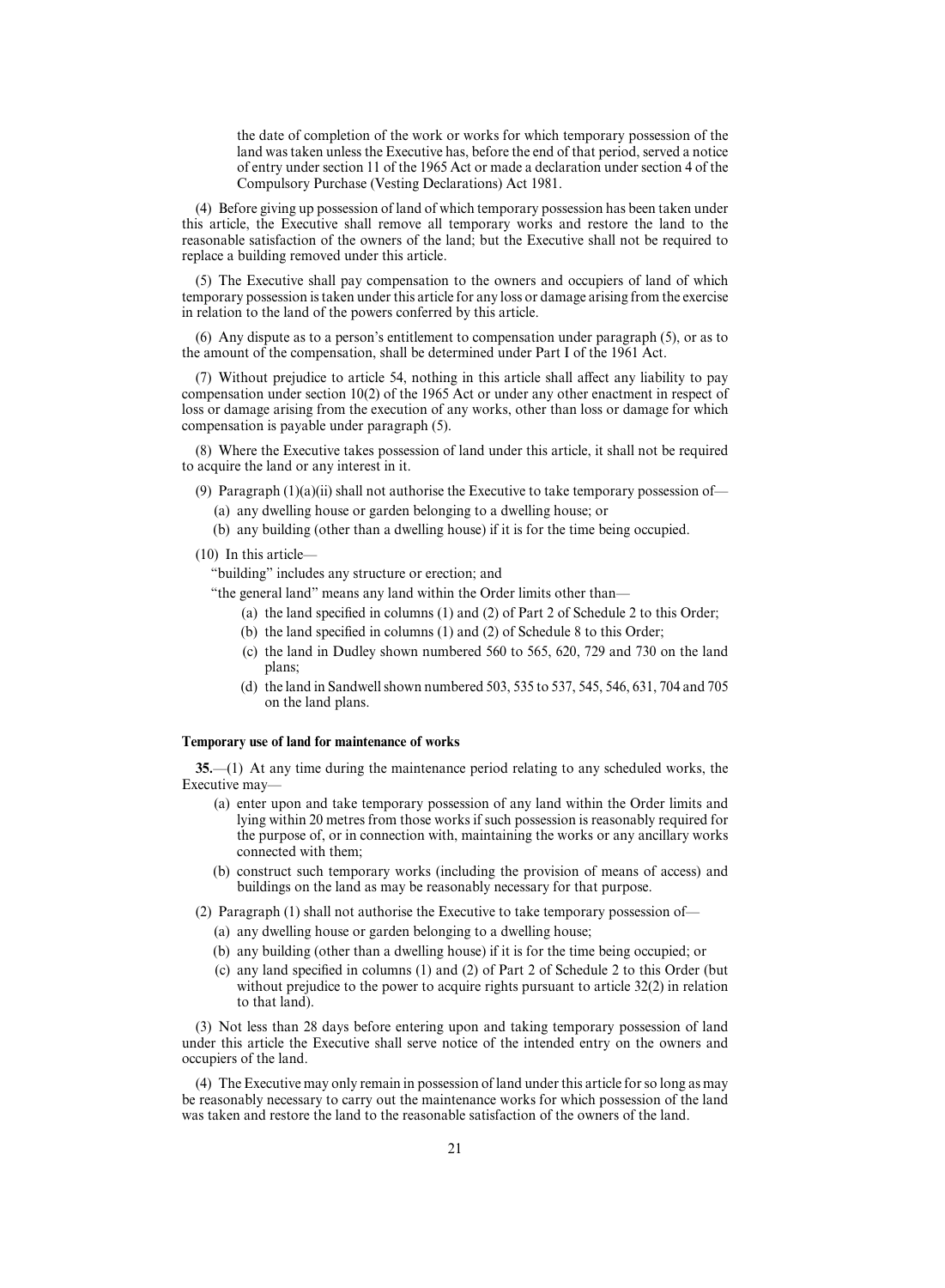the date of completion of the work or works for which temporary possession of the land was taken unless the Executive has, before the end of that period, served a notice of entry under section 11 of the 1965 Act or made a declaration under section 4 of the Compulsory Purchase (Vesting Declarations) Act 1981.

(4) Before giving up possession of land of which temporary possession has been taken under this article, the Executive shall remove all temporary works and restore the land to the reasonable satisfaction of the owners of the land; but the Executive shall not be required to replace a building removed under this article.

(5) The Executive shall pay compensation to the owners and occupiers of land of which temporary possession is taken under this article for any loss or damage arising from the exercise in relation to the land of the powers conferred by this article.

(6) Any dispute as to a person's entitlement to compensation under paragraph (5), or as to the amount of the compensation, shall be determined under Part I of the 1961 Act.

 $(7)$  Without prejudice to article 54, nothing in this article shall affect any liability to pay compensation under section 10(2) of the 1965 Act or under any other enactment in respect of loss or damage arising from the execution of any works, other than loss or damage for which compensation is payable under paragraph (5).

(8) Where the Executive takes possession of land under this article, it shall not be required to acquire the land or any interest in it.

(9) Paragraph  $(1)(a)(ii)$  shall not authorise the Executive to take temporary possession of—

- (a) any dwelling house or garden belonging to a dwelling house; or
- (b) any building (other than a dwelling house) if it is for the time being occupied.
- (10) In this article—

"building" includes any structure or erection; and

"the general land" means any land within the Order limits other than—

- (a) the land specified in columns (1) and (2) of Part 2 of Schedule 2 to this Order;
- (b) the land specified in columns (1) and (2) of Schedule 8 to this Order;
- (c) the land in Dudley shown numbered 560 to 565, 620, 729 and 730 on the land plans;
- (d) the land in Sandwell shown numbered 503, 535 to 537, 545, 546, 631, 704 and 705 on the land plans.

## **Temporary use of land for maintenance of works**

**35.**—(1) At any time during the maintenance period relating to any scheduled works, the Executive may—

- (a) enter upon and take temporary possession of any land within the Order limits and lying within 20 metres from those works if such possession is reasonably required for the purpose of, or in connection with, maintaining the works or any ancillary works connected with them;
- (b) construct such temporary works (including the provision of means of access) and buildings on the land as may be reasonably necessary for that purpose.
- (2) Paragraph (1) shall not authorise the Executive to take temporary possession of—
	- (a) any dwelling house or garden belonging to a dwelling house;
	- (b) any building (other than a dwelling house) if it is for the time being occupied; or
	- (c) any land specified in columns (1) and (2) of Part 2 of Schedule 2 to this Order (but without prejudice to the power to acquire rights pursuant to article 32(2) in relation to that land).

(3) Not less than 28 days before entering upon and taking temporary possession of land under this article the Executive shall serve notice of the intended entry on the owners and occupiers of the land.

(4) The Executive may only remain in possession of land under this article for so long as may be reasonably necessary to carry out the maintenance works for which possession of the land was taken and restore the land to the reasonable satisfaction of the owners of the land.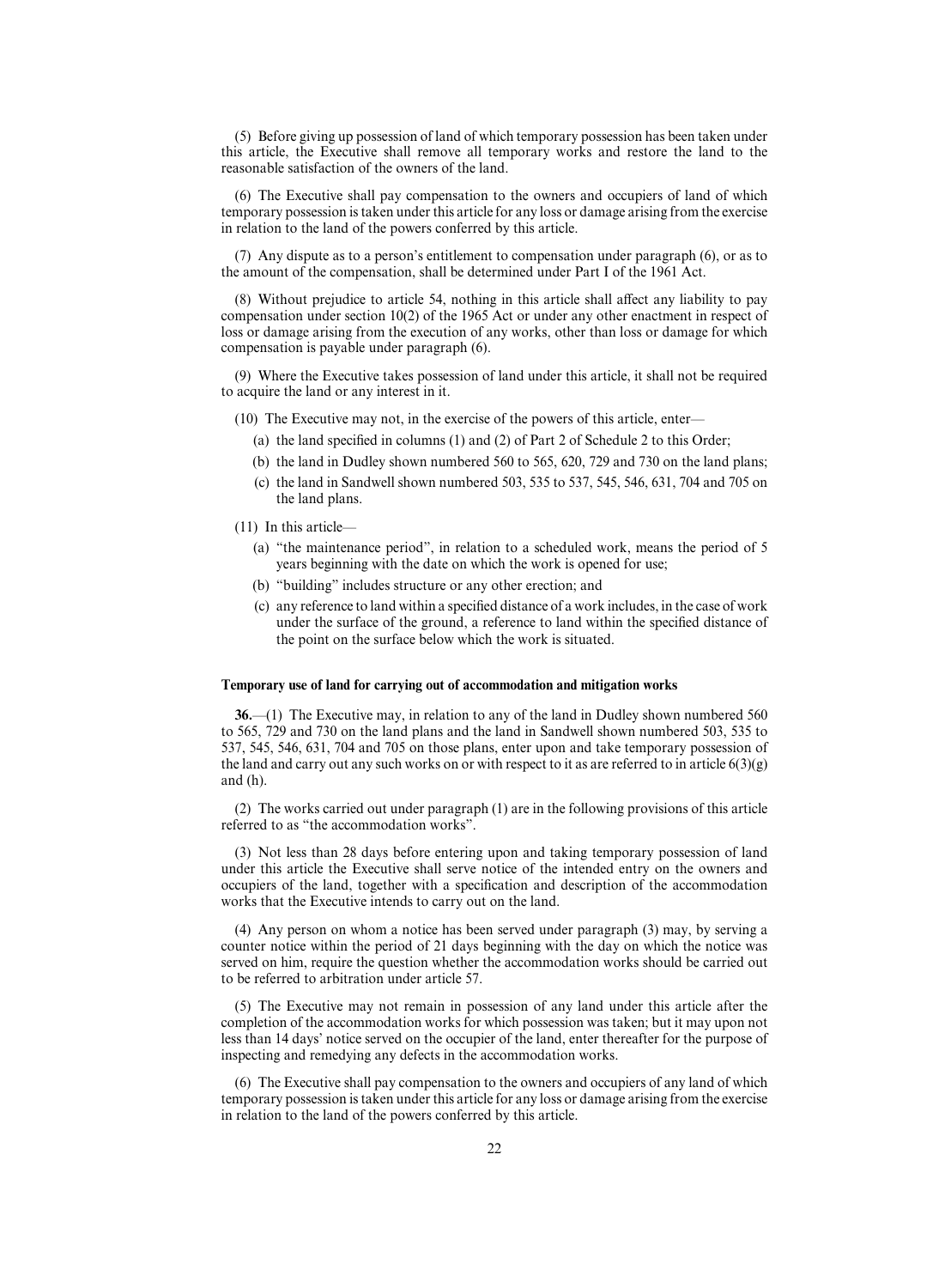(5) Before giving up possession of land of which temporary possession has been taken under this article, the Executive shall remove all temporary works and restore the land to the reasonable satisfaction of the owners of the land.

(6) The Executive shall pay compensation to the owners and occupiers of land of which temporary possession is taken under this article for any loss or damage arising from the exercise in relation to the land of the powers conferred by this article.

(7) Any dispute as to a person's entitlement to compensation under paragraph (6), or as to the amount of the compensation, shall be determined under Part I of the 1961 Act.

(8) Without prejudice to article 54, nothing in this article shall affect any liability to pay compensation under section 10(2) of the 1965 Act or under any other enactment in respect of loss or damage arising from the execution of any works, other than loss or damage for which compensation is payable under paragraph (6).

(9) Where the Executive takes possession of land under this article, it shall not be required to acquire the land or any interest in it.

- (10) The Executive may not, in the exercise of the powers of this article, enter—
	- (a) the land specified in columns (1) and (2) of Part 2 of Schedule 2 to this Order;
	- (b) the land in Dudley shown numbered 560 to 565, 620, 729 and 730 on the land plans;
	- (c) the land in Sandwell shown numbered 503, 535 to 537, 545, 546, 631, 704 and 705 on the land plans.
- (11) In this article—
	- (a) "the maintenance period", in relation to a scheduled work, means the period of 5 years beginning with the date on which the work is opened for use;
	- (b) "building" includes structure or any other erection; and
	- (c) any reference to land within a specified distance of a work includes, in the case of work under the surface of the ground, a reference to land within the specified distance of the point on the surface below which the work is situated.

#### **Temporary use of land for carrying out of accommodation and mitigation works**

**36.**—(1) The Executive may, in relation to any of the land in Dudley shown numbered 560 to 565, 729 and 730 on the land plans and the land in Sandwell shown numbered 503, 535 to 537, 545, 546, 631, 704 and 705 on those plans, enter upon and take temporary possession of the land and carry out any such works on or with respect to it as are referred to in article  $6(3)(g)$ and (h).

(2) The works carried out under paragraph (1) are in the following provisions of this article referred to as "the accommodation works".

(3) Not less than 28 days before entering upon and taking temporary possession of land under this article the Executive shall serve notice of the intended entry on the owners and occupiers of the land, together with a specification and description of the accommodation works that the Executive intends to carry out on the land.

(4) Any person on whom a notice has been served under paragraph (3) may, by serving a counter notice within the period of 21 days beginning with the day on which the notice was served on him, require the question whether the accommodation works should be carried out to be referred to arbitration under article 57.

(5) The Executive may not remain in possession of any land under this article after the completion of the accommodation works for which possession was taken; but it may upon not less than 14 days' notice served on the occupier of the land, enter thereafter for the purpose of inspecting and remedying any defects in the accommodation works.

(6) The Executive shall pay compensation to the owners and occupiers of any land of which temporary possession is taken under this article for any loss or damage arising from the exercise in relation to the land of the powers conferred by this article.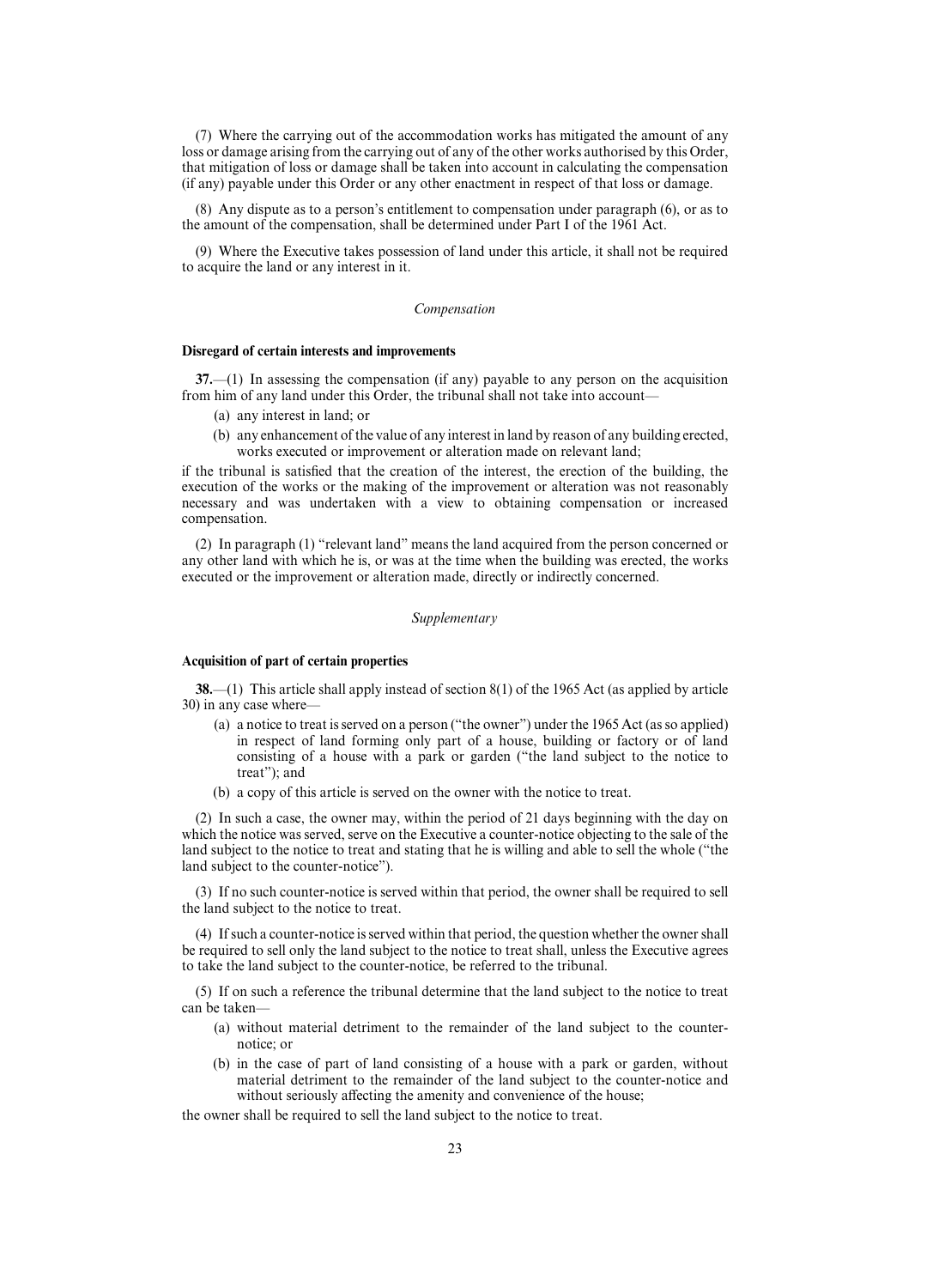(7) Where the carrying out of the accommodation works has mitigated the amount of any loss or damage arising from the carrying out of any of the other works authorised by this Order, that mitigation of loss or damage shall be taken into account in calculating the compensation (if any) payable under this Order or any other enactment in respect of that loss or damage.

(8) Any dispute as to a person's entitlement to compensation under paragraph (6), or as to the amount of the compensation, shall be determined under Part I of the 1961 Act.

(9) Where the Executive takes possession of land under this article, it shall not be required to acquire the land or any interest in it.

## *Compensation*

#### **Disregard of certain interests and improvements**

**37.**—(1) In assessing the compensation (if any) payable to any person on the acquisition from him of any land under this Order, the tribunal shall not take into account—

- (a) any interest in land; or
- (b) any enhancement of the value of any interest in land by reason of any building erected, works executed or improvement or alteration made on relevant land;

if the tribunal is satisfied that the creation of the interest, the erection of the building, the execution of the works or the making of the improvement or alteration was not reasonably necessary and was undertaken with a view to obtaining compensation or increased compensation.

(2) In paragraph (1) "relevant land" means the land acquired from the person concerned or any other land with which he is, or was at the time when the building was erected, the works executed or the improvement or alteration made, directly or indirectly concerned.

## *Supplementary*

## **Acquisition of part of certain properties**

**38.**—(1) This article shall apply instead of section 8(1) of the 1965 Act (as applied by article 30) in any case where—

- (a) a notice to treat is served on a person ("the owner") under the 1965 Act (as so applied) in respect of land forming only part of a house, building or factory or of land consisting of a house with a park or garden ("the land subject to the notice to treat"); and
- (b) a copy of this article is served on the owner with the notice to treat.

(2) In such a case, the owner may, within the period of 21 days beginning with the day on which the notice was served, serve on the Executive a counter-notice objecting to the sale of the land subject to the notice to treat and stating that he is willing and able to sell the whole ("the land subject to the counter-notice").

(3) If no such counter-notice is served within that period, the owner shall be required to sell the land subject to the notice to treat.

(4) If such a counter-notice is served within that period, the question whether the owner shall be required to sell only the land subject to the notice to treat shall, unless the Executive agrees to take the land subject to the counter-notice, be referred to the tribunal.

(5) If on such a reference the tribunal determine that the land subject to the notice to treat can be taken—

- (a) without material detriment to the remainder of the land subject to the counternotice; or
- (b) in the case of part of land consisting of a house with a park or garden, without material detriment to the remainder of the land subject to the counter-notice and without seriously affecting the amenity and convenience of the house;

the owner shall be required to sell the land subject to the notice to treat.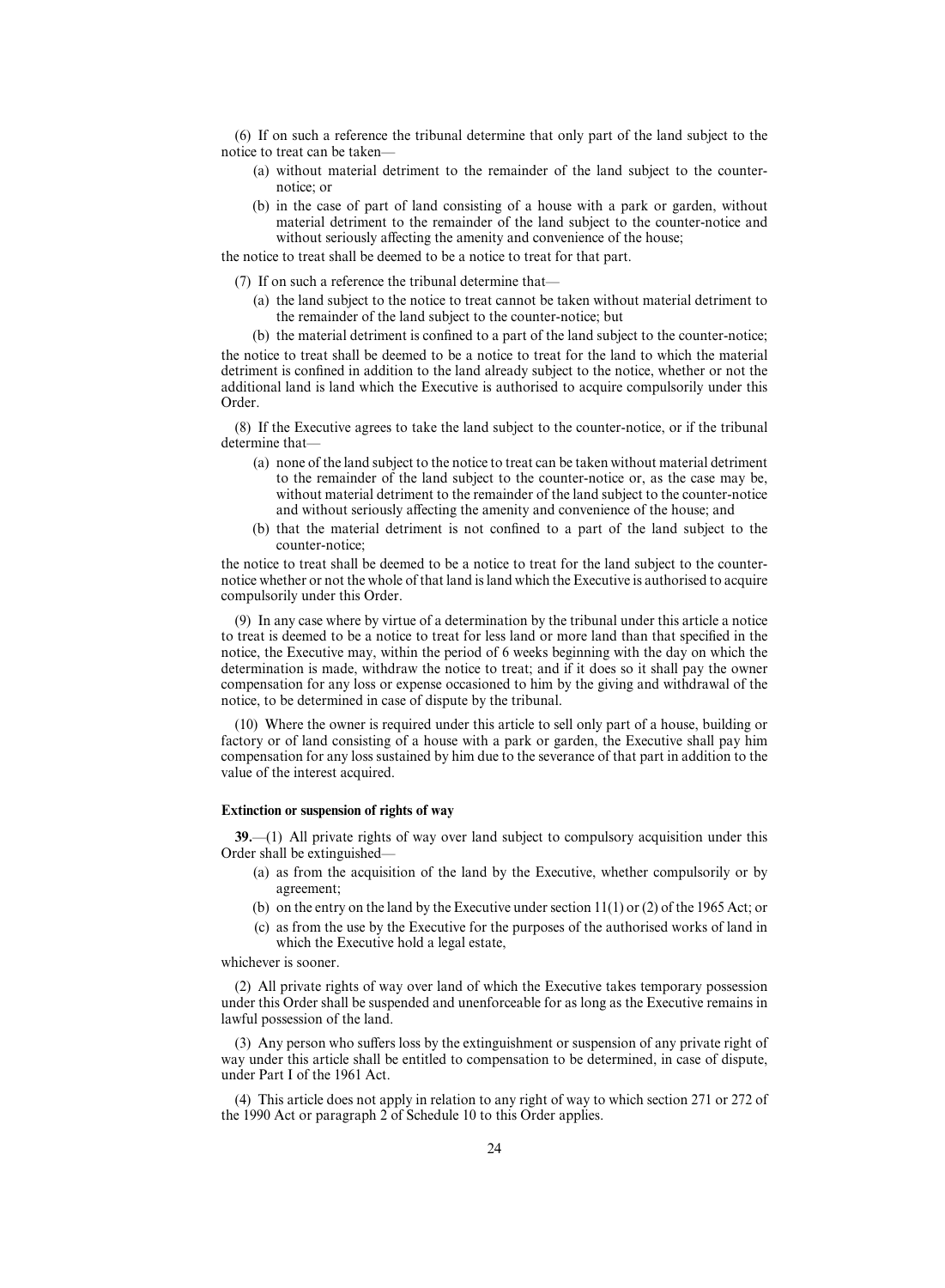(6) If on such a reference the tribunal determine that only part of the land subject to the notice to treat can be taken—

- (a) without material detriment to the remainder of the land subject to the counternotice; or
- (b) in the case of part of land consisting of a house with a park or garden, without material detriment to the remainder of the land subject to the counter-notice and without seriously affecting the amenity and convenience of the house;

the notice to treat shall be deemed to be a notice to treat for that part.

(7) If on such a reference the tribunal determine that—

- (a) the land subject to the notice to treat cannot be taken without material detriment to the remainder of the land subject to the counter-notice; but
- (b) the material detriment is confined to a part of the land subject to the counter-notice;

the notice to treat shall be deemed to be a notice to treat for the land to which the material detriment is confined in addition to the land already subject to the notice, whether or not the additional land is land which the Executive is authorised to acquire compulsorily under this Order.

(8) If the Executive agrees to take the land subject to the counter-notice, or if the tribunal determine that—

- (a) none of the land subject to the notice to treat can be taken without material detriment to the remainder of the land subject to the counter-notice or, as the case may be, without material detriment to the remainder of the land subject to the counter-notice and without seriously affecting the amenity and convenience of the house; and
- (b) that the material detriment is not confined to a part of the land subject to the counter-notice;

the notice to treat shall be deemed to be a notice to treat for the land subject to the counternotice whether or not the whole of that land is land which the Executive is authorised to acquire compulsorily under this Order.

(9) In any case where by virtue of a determination by the tribunal under this article a notice to treat is deemed to be a notice to treat for less land or more land than that specified in the notice, the Executive may, within the period of 6 weeks beginning with the day on which the determination is made, withdraw the notice to treat; and if it does so it shall pay the owner compensation for any loss or expense occasioned to him by the giving and withdrawal of the notice, to be determined in case of dispute by the tribunal.

(10) Where the owner is required under this article to sell only part of a house, building or factory or of land consisting of a house with a park or garden, the Executive shall pay him compensation for any loss sustained by him due to the severance of that part in addition to the value of the interest acquired.

## **Extinction or suspension of rights of way**

**39.**—(1) All private rights of way over land subject to compulsory acquisition under this Order shall be extinguished—

- (a) as from the acquisition of the land by the Executive, whether compulsorily or by agreement;
- (b) on the entry on the land by the Executive under section 11(1) or (2) of the 1965 Act; or
- (c) as from the use by the Executive for the purposes of the authorised works of land in which the Executive hold a legal estate,

## whichever is sooner.

(2) All private rights of way over land of which the Executive takes temporary possession under this Order shall be suspended and unenforceable for as long as the Executive remains in lawful possession of the land.

 $(3)$  Any person who suffers loss by the extinguishment or suspension of any private right of way under this article shall be entitled to compensation to be determined, in case of dispute, under Part I of the 1961 Act.

(4) This article does not apply in relation to any right of way to which section 271 or 272 of the 1990 Act or paragraph 2 of Schedule 10 to this Order applies.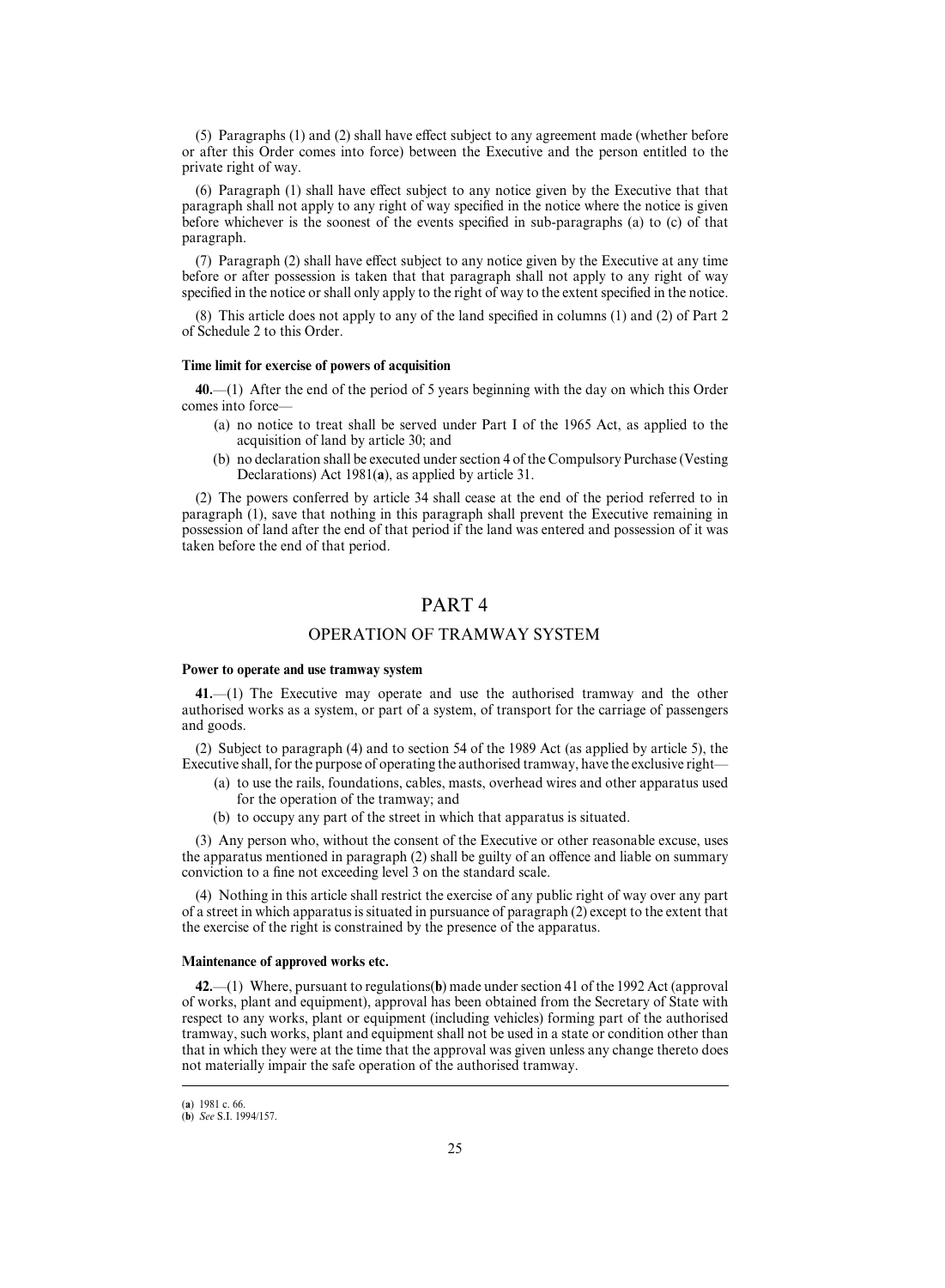$(5)$  Paragraphs  $(1)$  and  $(2)$  shall have effect subject to any agreement made (whether before or after this Order comes into force) between the Executive and the person entitled to the private right of way.

 $(6)$  Paragraph  $(1)$  shall have effect subject to any notice given by the Executive that that paragraph shall not apply to any right of way specified in the notice where the notice is given before whichever is the soonest of the events specified in sub-paragraphs (a) to (c) of that paragraph.

 $(7)$  Paragraph  $(2)$  shall have effect subject to any notice given by the Executive at any time before or after possession is taken that that paragraph shall not apply to any right of way specified in the notice or shall only apply to the right of way to the extent specified in the notice.

(8) This article does not apply to any of the land specified in columns (1) and (2) of Part 2 of Schedule 2 to this Order.

## **Time limit for exercise of powers of acquisition**

**40.**—(1) After the end of the period of 5 years beginning with the day on which this Order comes into force—

- (a) no notice to treat shall be served under Part I of the 1965 Act, as applied to the acquisition of land by article 30; and
- (b) no declaration shall be executed under section 4 of the Compulsory Purchase (Vesting Declarations) Act 1981(**a**), as applied by article 31.

(2) The powers conferred by article 34 shall cease at the end of the period referred to in paragraph (1), save that nothing in this paragraph shall prevent the Executive remaining in possession of land after the end of that period if the land was entered and possession of it was taken before the end of that period.

## PART 4

## OPERATION OF TRAMWAY SYSTEM

#### **Power to operate and use tramway system**

**41.**—(1) The Executive may operate and use the authorised tramway and the other authorised works as a system, or part of a system, of transport for the carriage of passengers and goods.

(2) Subject to paragraph (4) and to section 54 of the 1989 Act (as applied by article 5), the Executive shall, for the purpose of operating the authorised tramway, have the exclusive right—

- (a) to use the rails, foundations, cables, masts, overhead wires and other apparatus used for the operation of the tramway; and
- (b) to occupy any part of the street in which that apparatus is situated.

(3) Any person who, without the consent of the Executive or other reasonable excuse, uses the apparatus mentioned in paragraph (2) shall be guilty of an offence and liable on summary conviction to a fine not exceeding level 3 on the standard scale.

(4) Nothing in this article shall restrict the exercise of any public right of way over any part of a street in which apparatus is situated in pursuance of paragraph (2) except to the extent that the exercise of the right is constrained by the presence of the apparatus.

## **Maintenance of approved works etc.**

**42.**—(1) Where, pursuant to regulations(**b**) made under section 41 of the 1992 Act (approval of works, plant and equipment), approval has been obtained from the Secretary of State with respect to any works, plant or equipment (including vehicles) forming part of the authorised tramway, such works, plant and equipment shall not be used in a state or condition other than that in which they were at the time that the approval was given unless any change thereto does not materially impair the safe operation of the authorised tramway.

<sup>(</sup>a) 1981 c. 66.

<sup>(</sup>**b**) *See* S.I. 1994/157.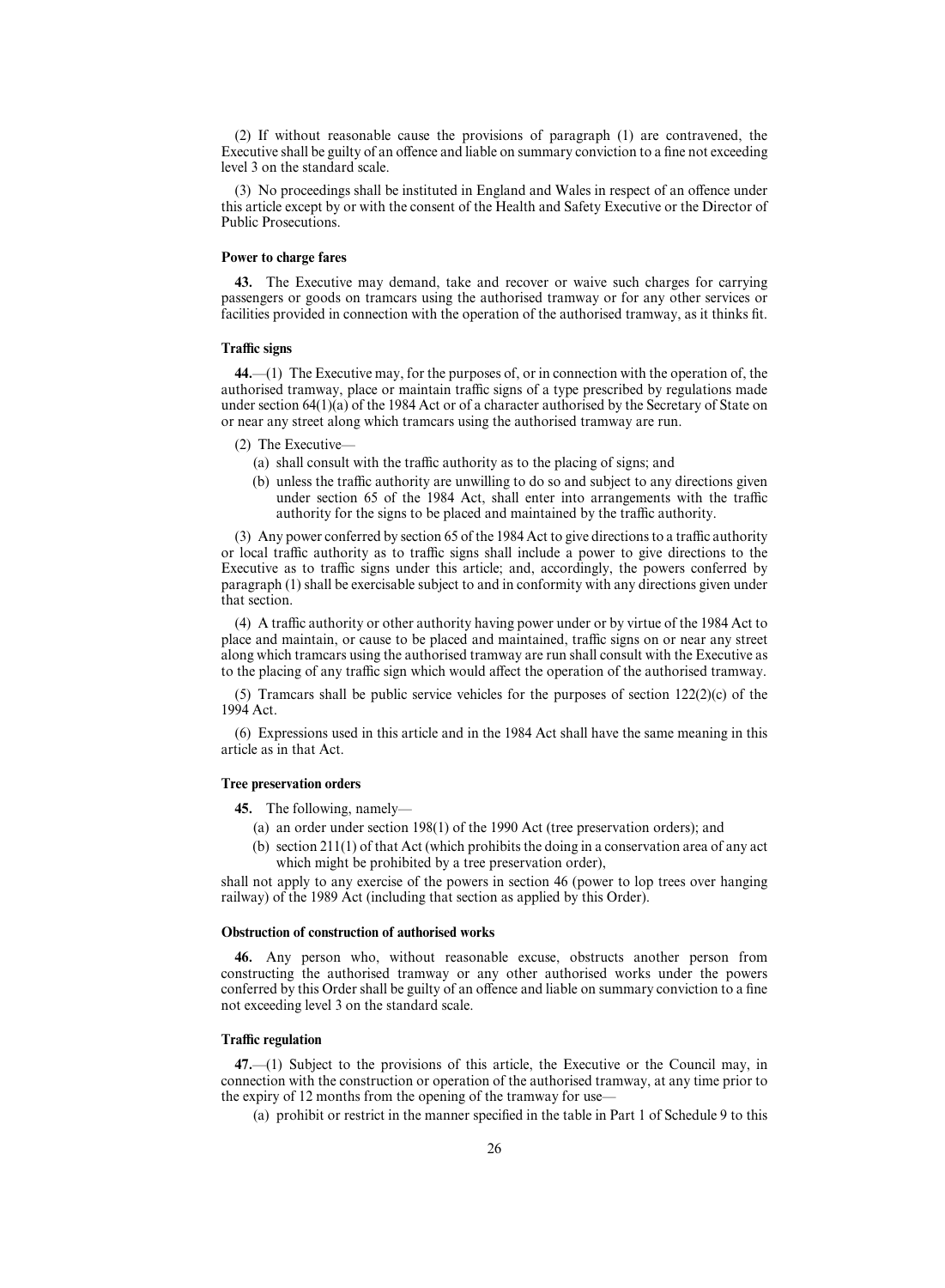(2) If without reasonable cause the provisions of paragraph (1) are contravened, the Executive shall be guilty of an offence and liable on summary conviction to a fine not exceeding level 3 on the standard scale.

(3) No proceedings shall be instituted in England and Wales in respect of an offence under this article except by or with the consent of the Health and Safety Executive or the Director of Public Prosecutions.

## **Power to charge fares**

**43.** The Executive may demand, take and recover or waive such charges for carrying passengers or goods on tramcars using the authorised tramway or for any other services or facilities provided in connection with the operation of the authorised tramway, as it thinks fit.

#### **TraYc signs**

**44.**—(1) The Executive may, for the purposes of, or in connection with the operation of, the authorised tramway, place or maintain traffic signs of a type prescribed by regulations made under section 64(1)(a) of the 1984 Act or of a character authorised by the Secretary of State on or near any street along which tramcars using the authorised tramway are run.

- (2) The Executive—
	- (a) shall consult with the traffic authority as to the placing of signs; and
	- (b) unless the traffic authority are unwilling to do so and subject to any directions given under section  $65$  of the 1984 Act, shall enter into arrangements with the traffic authority for the signs to be placed and maintained by the traffic authority.

(3) Any power conferred by section 65 of the 1984 Act to give directions to a traffic authority or local traffic authority as to traffic signs shall include a power to give directions to the Executive as to traffic signs under this article; and, accordingly, the powers conferred by paragraph (1) shall be exercisable subject to and in conformity with any directions given under that section.

(4) A traffic authority or other authority having power under or by virtue of the 1984 Act to place and maintain, or cause to be placed and maintained, traffic signs on or near any street along which tramcars using the authorised tramway are run shall consult with the Executive as to the placing of any traffic sign which would affect the operation of the authorised tramway.

(5) Tramcars shall be public service vehicles for the purposes of section  $122(2)(c)$  of the 1994 Act.

(6) Expressions used in this article and in the 1984 Act shall have the same meaning in this article as in that Act.

#### **Tree preservation orders**

**45.** The following, namely—

- (a) an order under section 198(1) of the 1990 Act (tree preservation orders); and
- (b) section 211(1) of that Act (which prohibits the doing in a conservation area of any act which might be prohibited by a tree preservation order),

shall not apply to any exercise of the powers in section 46 (power to lop trees over hanging railway) of the 1989 Act (including that section as applied by this Order).

## **Obstruction of construction of authorised works**

**46.** Any person who, without reasonable excuse, obstructs another person from constructing the authorised tramway or any other authorised works under the powers conferred by this Order shall be guilty of an offence and liable on summary conviction to a fine not exceeding level 3 on the standard scale.

## **TraYc regulation**

**47.**—(1) Subject to the provisions of this article, the Executive or the Council may, in connection with the construction or operation of the authorised tramway, at any time prior to the expiry of 12 months from the opening of the tramway for use—

(a) prohibit or restrict in the manner specified in the table in Part 1 of Schedule 9 to this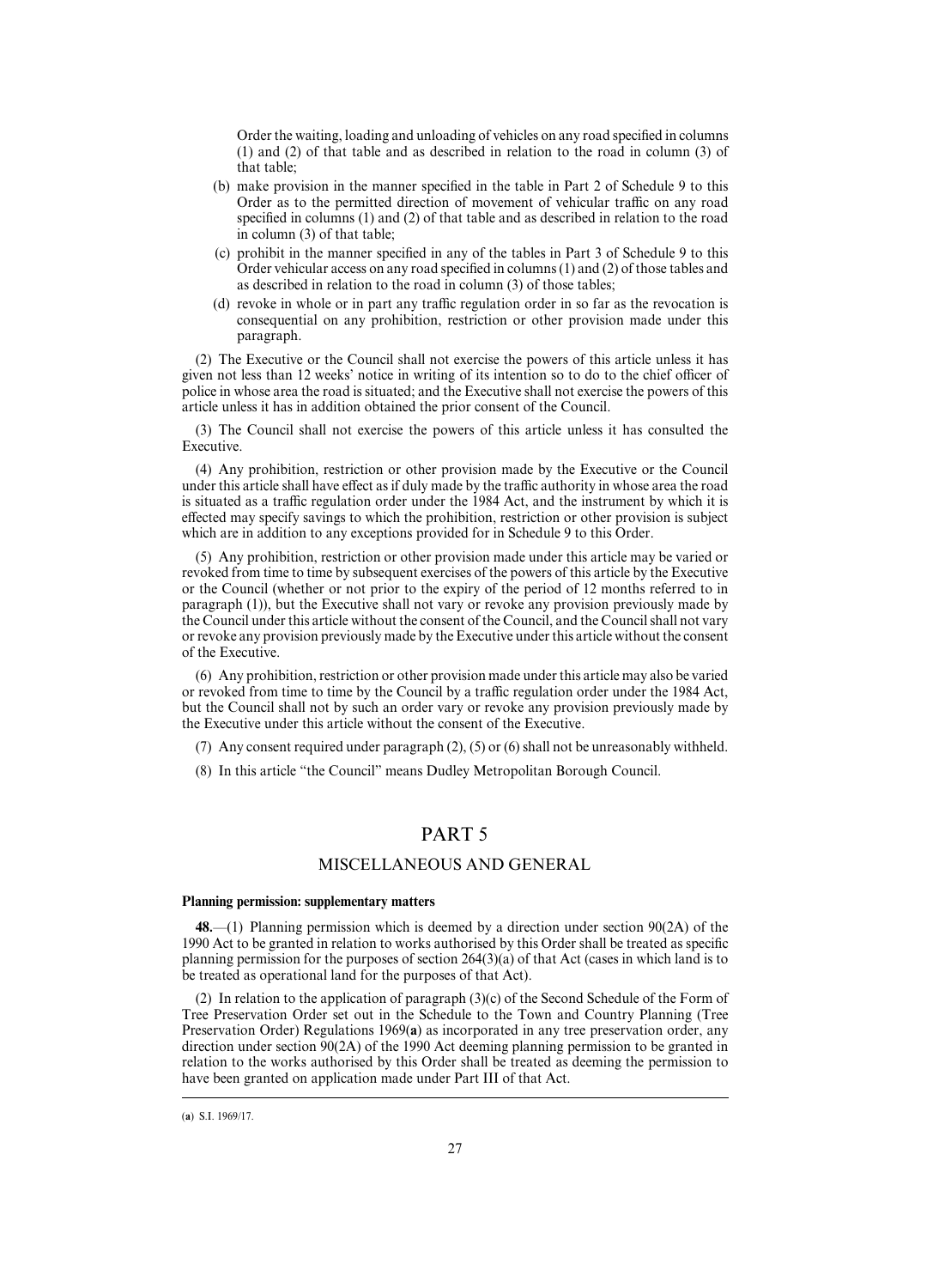Order the waiting, loading and unloading of vehicles on any road specified in columns (1) and (2) of that table and as described in relation to the road in column (3) of that table;

- (b) make provision in the manner specified in the table in Part 2 of Schedule 9 to this Order as to the permitted direction of movement of vehicular traffic on any road specified in columns (1) and (2) of that table and as described in relation to the road in column (3) of that table;
- (c) prohibit in the manner specified in any of the tables in Part 3 of Schedule 9 to this Order vehicular access on any road specified in columns (1) and (2) of those tables and as described in relation to the road in column (3) of those tables;
- (d) revoke in whole or in part any traffic regulation order in so far as the revocation is consequential on any prohibition, restriction or other provision made under this paragraph.

(2) The Executive or the Council shall not exercise the powers of this article unless it has given not less than 12 weeks' notice in writing of its intention so to do to the chief officer of police in whose area the road is situated; and the Executive shall not exercise the powers of this article unless it has in addition obtained the prior consent of the Council.

(3) The Council shall not exercise the powers of this article unless it has consulted the Executive.

(4) Any prohibition, restriction or other provision made by the Executive or the Council under this article shall have effect as if duly made by the traffic authority in whose area the road is situated as a traffic regulation order under the 1984 Act, and the instrument by which it is effected may specify savings to which the prohibition, restriction or other provision is subject which are in addition to any exceptions provided for in Schedule 9 to this Order.

(5) Any prohibition, restriction or other provision made under this article may be varied or revoked from time to time by subsequent exercises of the powers of this article by the Executive or the Council (whether or not prior to the expiry of the period of 12 months referred to in paragraph (1)), but the Executive shall not vary or revoke any provision previously made by the Council under this article without the consent of the Council, and the Council shall not vary or revoke any provision previously made by the Executive under this article without the consent of the Executive.

(6) Any prohibition, restriction or other provision made under this article may also be varied or revoked from time to time by the Council by a traffic regulation order under the 1984 Act, but the Council shall not by such an order vary or revoke any provision previously made by the Executive under this article without the consent of the Executive.

(7) Any consent required under paragraph (2), (5) or (6) shall not be unreasonably withheld.

(8) In this article "the Council" means Dudley Metropolitan Borough Council.

## PART 5

## MISCELLANEOUS AND GENERAL

## **Planning permission: supplementary matters**

**48.**—(1) Planning permission which is deemed by a direction under section 90(2A) of the 1990 Act to be granted in relation to works authorised by this Order shall be treated as specific planning permission for the purposes of section 264(3)(a) of that Act (cases in which land is to be treated as operational land for the purposes of that Act).

(2) In relation to the application of paragraph (3)(c) of the Second Schedule of the Form of Tree Preservation Order set out in the Schedule to the Town and Country Planning (Tree Preservation Order) Regulations 1969(**a**) as incorporated in any tree preservation order, any direction under section 90(2A) of the 1990 Act deeming planning permission to be granted in relation to the works authorised by this Order shall be treated as deeming the permission to have been granted on application made under Part III of that Act.

<sup>(</sup>a) S.I. 1969/17.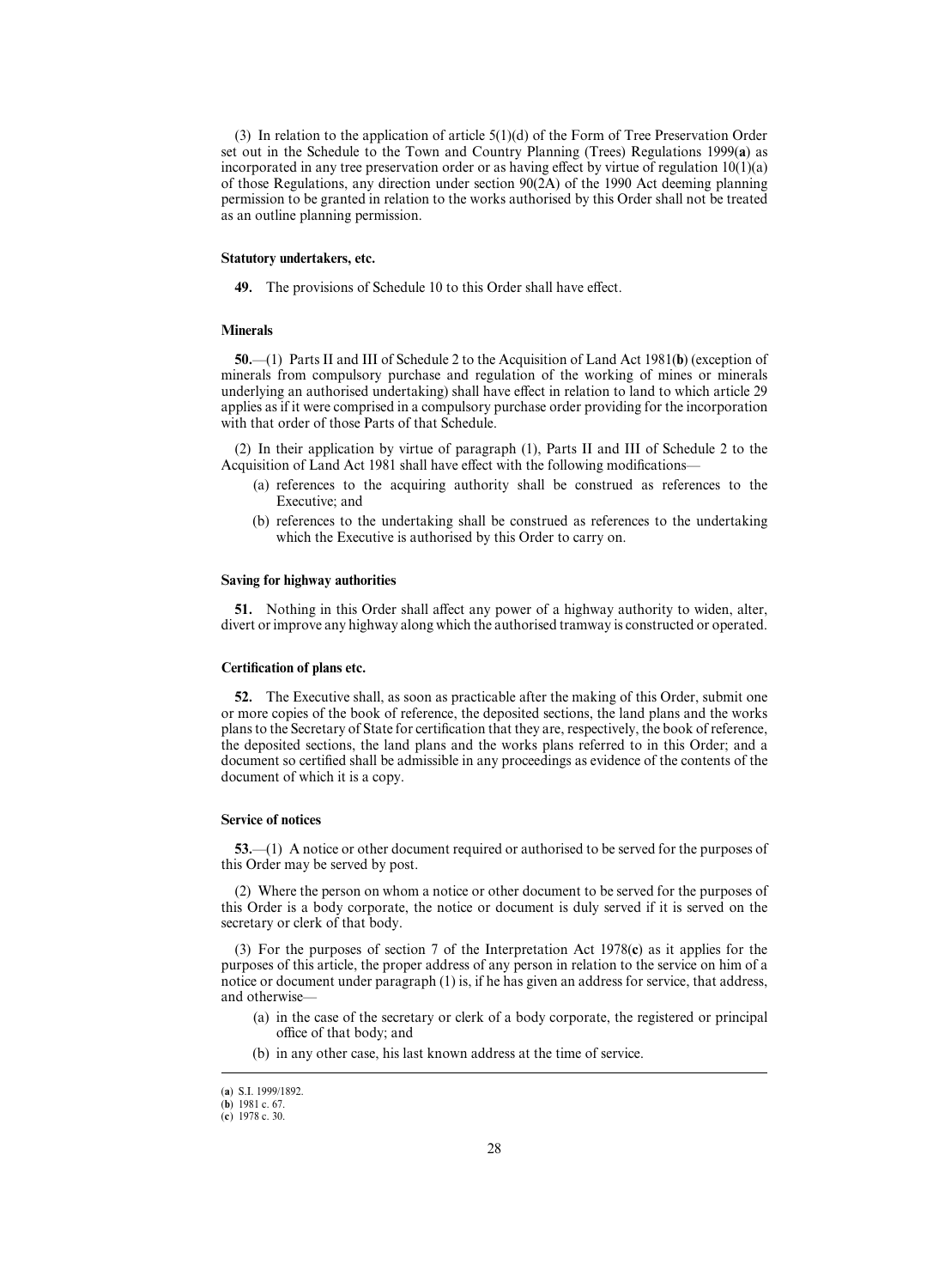(3) In relation to the application of article  $5(1)(d)$  of the Form of Tree Preservation Order set out in the Schedule to the Town and Country Planning (Trees) Regulations 1999(**a**) as incorporated in any tree preservation order or as having effect by virtue of regulation  $10(1)(a)$ of those Regulations, any direction under section 90(2A) of the 1990 Act deeming planning permission to be granted in relation to the works authorised by this Order shall not be treated as an outline planning permission.

## **Statutory undertakers, etc.**

**49.** The provisions of Schedule 10 to this Order shall have effect.

## **Minerals**

**50.**—(1) Parts II and III of Schedule 2 to the Acquisition of Land Act 1981(**b**) (exception of minerals from compulsory purchase and regulation of the working of mines or minerals underlying an authorised undertaking) shall have effect in relation to land to which article 29 applies as if it were comprised in a compulsory purchase order providing for the incorporation with that order of those Parts of that Schedule.

(2) In their application by virtue of paragraph (1), Parts II and III of Schedule 2 to the Acquisition of Land Act 1981 shall have effect with the following modifications—

- (a) references to the acquiring authority shall be construed as references to the Executive; and
- (b) references to the undertaking shall be construed as references to the undertaking which the Executive is authorised by this Order to carry on.

#### **Saving for highway authorities**

**51.** Nothing in this Order shall affect any power of a highway authority to widen, alter, divert or improve any highway along which the authorised tramway is constructed or operated.

#### **Certification of plans etc.**

**52.** The Executive shall, as soon as practicable after the making of this Order, submit one or more copies of the book of reference, the deposited sections, the land plans and the works plans to the Secretary of State for certification that they are, respectively, the book of reference, the deposited sections, the land plans and the works plans referred to in this Order; and a document so certified shall be admissible in any proceedings as evidence of the contents of the document of which it is a copy.

#### **Service of notices**

**53.**—(1) A notice or other document required or authorised to be served for the purposes of this Order may be served by post.

(2) Where the person on whom a notice or other document to be served for the purposes of this Order is a body corporate, the notice or document is duly served if it is served on the secretary or clerk of that body.

(3) For the purposes of section 7 of the Interpretation Act 1978(**c**) as it applies for the purposes of this article, the proper address of any person in relation to the service on him of a notice or document under paragraph (1) is, if he has given an address for service, that address, and otherwise—

- (a) in the case of the secretary or clerk of a body corporate, the registered or principal office of that body; and
- (b) in any other case, his last known address at the time of service.

<sup>(</sup>a) S.I. 1999/1892.

 $(b)$  1981 c. 67.

<sup>(</sup>c) 1978 c. 30.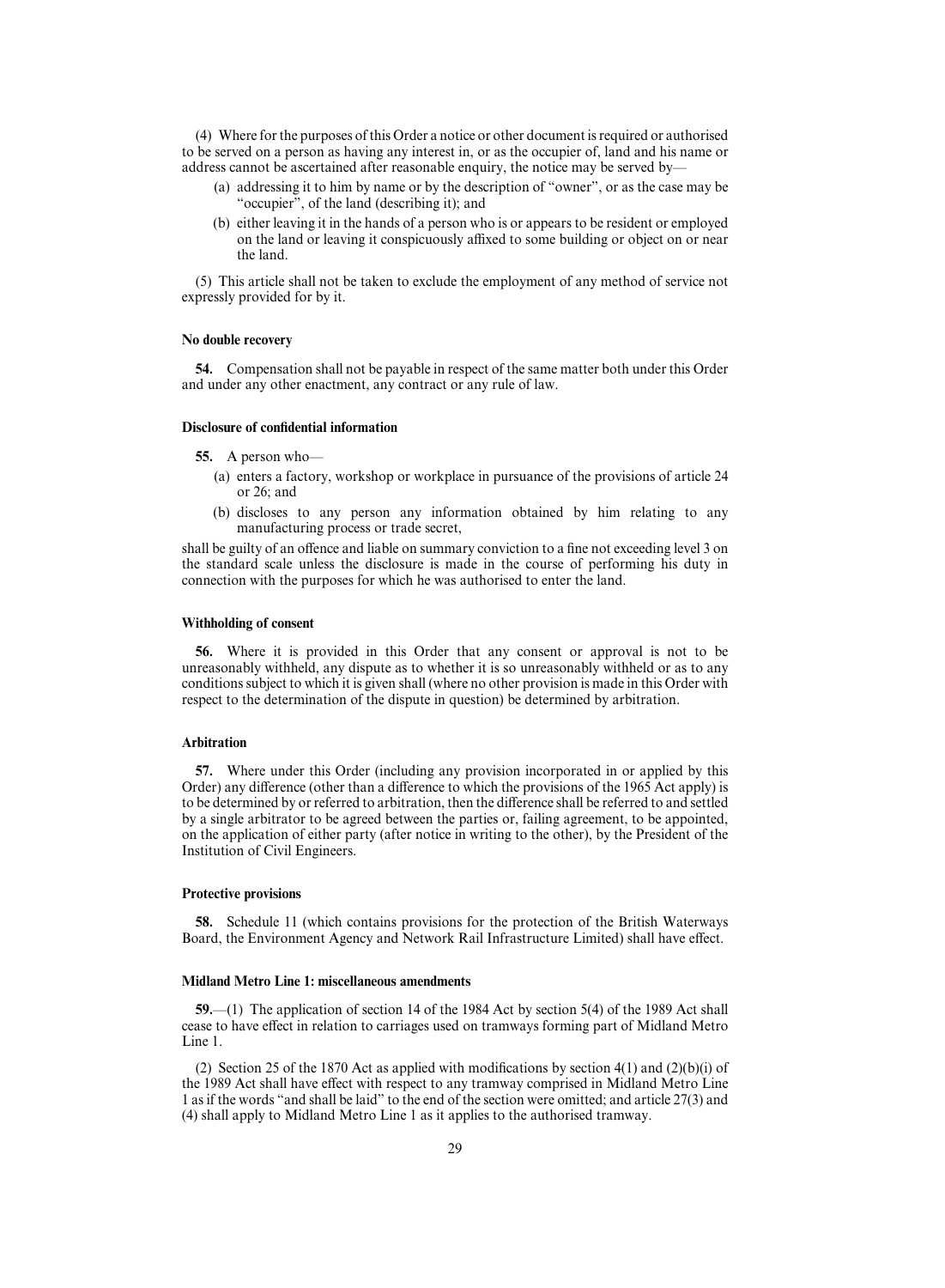(4) Where for the purposes of this Order a notice or other document is required or authorised to be served on a person as having any interest in, or as the occupier of, land and his name or address cannot be ascertained after reasonable enquiry, the notice may be served by—

- (a) addressing it to him by name or by the description of "owner", or as the case may be "occupier", of the land (describing it); and
- (b) either leaving it in the hands of a person who is or appears to be resident or employed on the land or leaving it conspicuously affixed to some building or object on or near the land.

(5) This article shall not be taken to exclude the employment of any method of service not expressly provided for by it.

## **No double recovery**

**54.** Compensation shall not be payable in respect of the same matter both under this Order and under any other enactment, any contract or any rule of law.

## **Disclosure of confidential information**

#### **55.** A person who—

- (a) enters a factory, workshop or workplace in pursuance of the provisions of article 24 or 26; and
- (b) discloses to any person any information obtained by him relating to any manufacturing process or trade secret,

shall be guilty of an offence and liable on summary conviction to a fine not exceeding level 3 on the standard scale unless the disclosure is made in the course of performing his duty in connection with the purposes for which he was authorised to enter the land.

## **Withholding of consent**

**56.** Where it is provided in this Order that any consent or approval is not to be unreasonably withheld, any dispute as to whether it is so unreasonably withheld or as to any conditions subject to which it is given shall (where no other provision is made in this Order with respect to the determination of the dispute in question) be determined by arbitration.

## **Arbitration**

**57.** Where under this Order (including any provision incorporated in or applied by this Order) any difference (other than a difference to which the provisions of the 1965 Act apply) is to be determined by or referred to arbitration, then the difference shall be referred to and settled by a single arbitrator to be agreed between the parties or, failing agreement, to be appointed, on the application of either party (after notice in writing to the other), by the President of the Institution of Civil Engineers.

## **Protective provisions**

**58.** Schedule 11 (which contains provisions for the protection of the British Waterways Board, the Environment Agency and Network Rail Infrastructure Limited) shall have effect.

#### **Midland Metro Line 1: miscellaneous amendments**

**59.**—(1) The application of section 14 of the 1984 Act by section 5(4) of the 1989 Act shall cease to have effect in relation to carriages used on tramways forming part of Midland Metro Line 1.

(2) Section 25 of the 1870 Act as applied with modifications by section 4(1) and  $(2)(b)(i)$  of the 1989 Act shall have effect with respect to any tramway comprised in Midland Metro Line 1 as if the words "and shall be laid" to the end of the section were omitted; and article 27(3) and (4) shall apply to Midland Metro Line 1 as it applies to the authorised tramway.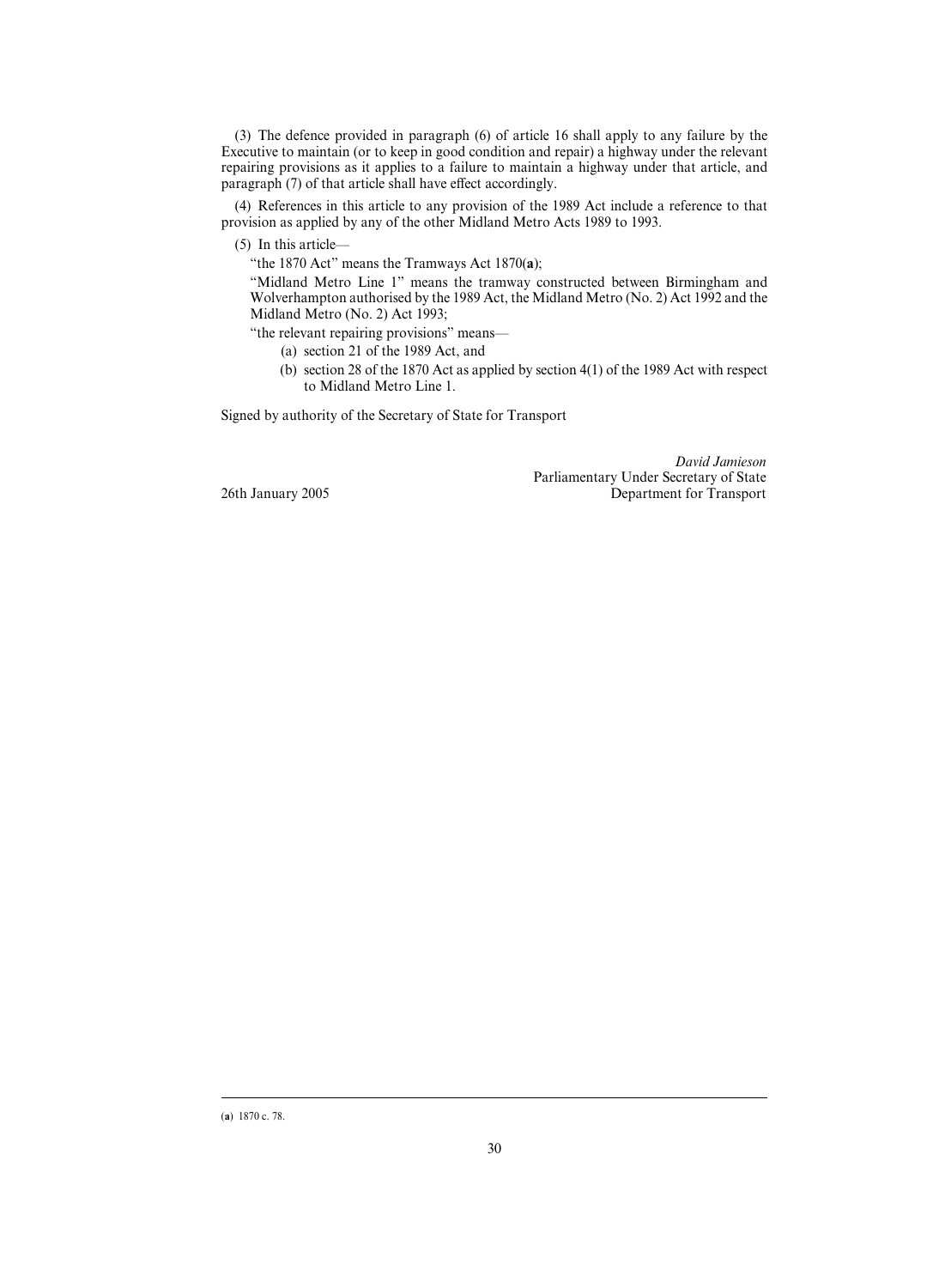(3) The defence provided in paragraph (6) of article 16 shall apply to any failure by the Executive to maintain (or to keep in good condition and repair) a highway under the relevant repairing provisions as it applies to a failure to maintain a highway under that article, and paragraph (7) of that article shall have effect accordingly.

(4) References in this article to any provision of the 1989 Act include a reference to that provision as applied by any of the other Midland Metro Acts 1989 to 1993.

(5) In this article—

"the 1870 Act" means the Tramways Act 1870(**a**);

"Midland Metro Line 1" means the tramway constructed between Birmingham and Wolverhampton authorised by the 1989 Act, the Midland Metro (No. 2) Act 1992 and the Midland Metro (No. 2) Act 1993;

"the relevant repairing provisions" means—

(a) section 21 of the 1989 Act, and

(b) section 28 of the 1870 Act as applied by section 4(1) of the 1989 Act with respect to Midland Metro Line 1.

Signed by authority of the Secretary of State for Transport

*David Jamieson* Parliamentary Under Secretary of State 26th January 2005 Department for Transport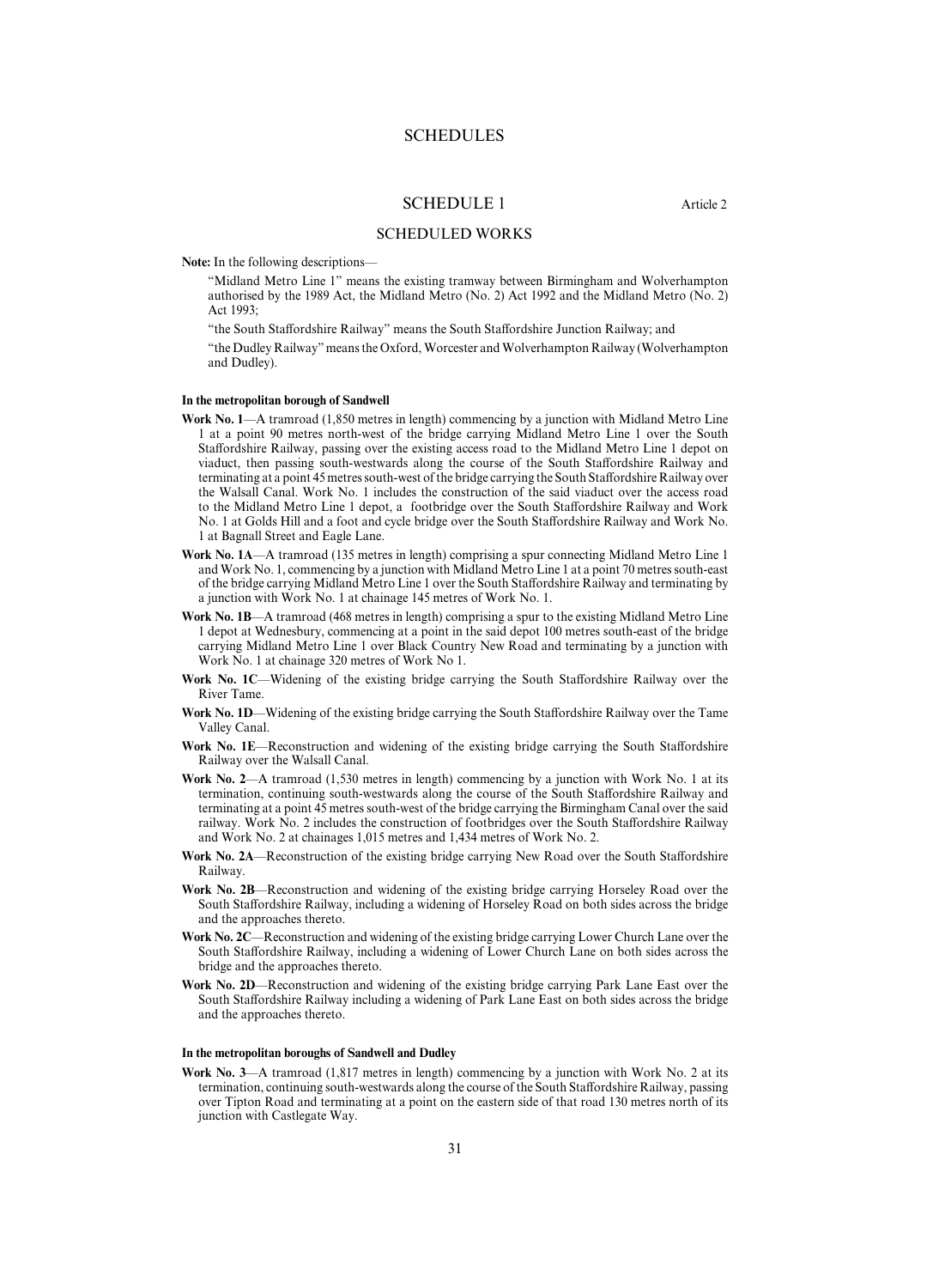## SCHEDULES

## SCHEDULE 1 Article 2

## SCHEDULED WORKS

**Note:** In the following descriptions—

"Midland Metro Line 1" means the existing tramway between Birmingham and Wolverhampton authorised by the 1989 Act, the Midland Metro (No. 2) Act 1992 and the Midland Metro (No. 2) Act 1993;

"the South Staffordshire Railway" means the South Staffordshire Junction Railway; and

"the Dudley Railway" means the Oxford, Worcester and Wolverhampton Railway (Wolverhampton and Dudley).

#### **In the metropolitan borough of Sandwell**

- **Work No. 1**—A tramroad (1,850 metres in length) commencing by a junction with Midland Metro Line 1 at a point 90 metres north-west of the bridge carrying Midland Metro Line 1 over the South Staffordshire Railway, passing over the existing access road to the Midland Metro Line 1 depot on viaduct, then passing south-westwards along the course of the South Staffordshire Railway and terminating at a point 45 metres south-west of the bridge carrying the South Staffordshire Railway over the Walsall Canal. Work No. 1 includes the construction of the said viaduct over the access road to the Midland Metro Line 1 depot, a footbridge over the South Staffordshire Railway and Work No. 1 at Golds Hill and a foot and cycle bridge over the South Staffordshire Railway and Work No. 1 at Bagnall Street and Eagle Lane.
- **Work No. 1A**—A tramroad (135 metres in length) comprising a spur connecting Midland Metro Line 1 and Work No. 1, commencing by a junction with Midland Metro Line 1 at a point 70 metres south-east of the bridge carrying Midland Metro Line 1 over the South Staffordshire Railway and terminating by a junction with Work No. 1 at chainage 145 metres of Work No. 1.
- **Work No. 1B**—A tramroad (468 metres in length) comprising a spur to the existing Midland Metro Line 1 depot at Wednesbury, commencing at a point in the said depot 100 metres south-east of the bridge carrying Midland Metro Line 1 over Black Country New Road and terminating by a junction with Work No. 1 at chainage 320 metres of Work No 1.
- Work No. 1C—Widening of the existing bridge carrying the South Staffordshire Railway over the River Tame.
- Work No. 1D—Widening of the existing bridge carrying the South Staffordshire Railway over the Tame Valley Canal.
- Work No. 1E-Reconstruction and widening of the existing bridge carrying the South Staffordshire Railway over the Walsall Canal.
- **Work No. 2**—A tramroad (1,530 metres in length) commencing by a junction with Work No. 1 at its termination, continuing south-westwards along the course of the South Staffordshire Railway and terminating at a point 45 metres south-west of the bridge carrying the Birmingham Canal over the said railway. Work No. 2 includes the construction of footbridges over the South Staffordshire Railway and Work No. 2 at chainages 1,015 metres and 1,434 metres of Work No. 2.
- Work No. 2A—Reconstruction of the existing bridge carrying New Road over the South Staffordshire Railway.
- **Work No. 2B**—Reconstruction and widening of the existing bridge carrying Horseley Road over the South Staffordshire Railway, including a widening of Horseley Road on both sides across the bridge and the approaches thereto.
- **Work No. 2C**—Reconstruction and widening of the existing bridge carrying Lower Church Lane over the South Staffordshire Railway, including a widening of Lower Church Lane on both sides across the bridge and the approaches thereto.
- **Work No. 2D**—Reconstruction and widening of the existing bridge carrying Park Lane East over the South Staffordshire Railway including a widening of Park Lane East on both sides across the bridge and the approaches thereto.

#### **In the metropolitan boroughs of Sandwell and Dudley**

**Work No. 3**—A tramroad (1,817 metres in length) commencing by a junction with Work No. 2 at its termination, continuing south-westwards along the course of the South Staffordshire Railway, passing over Tipton Road and terminating at a point on the eastern side of that road 130 metres north of its junction with Castlegate Way.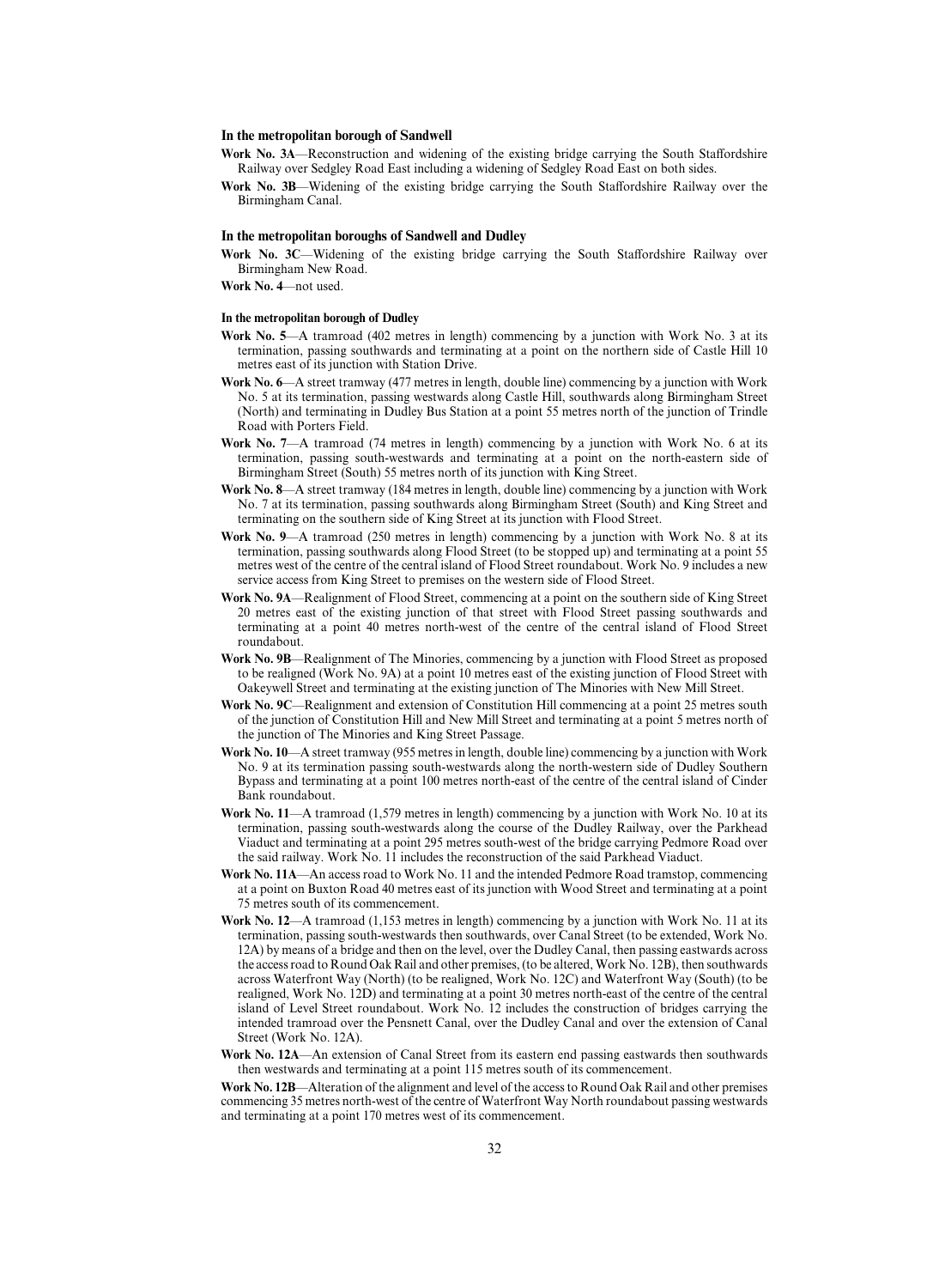## **In the metropolitan borough of Sandwell**

- Work No. 3A—Reconstruction and widening of the existing bridge carrying the South Staffordshire Railway over Sedgley Road East including a widening of Sedgley Road East on both sides.
- Work No. 3B—Widening of the existing bridge carrying the South Staffordshire Railway over the Birmingham Canal.

## **In the metropolitan boroughs of Sandwell and Dudley**

Work No. 3C—Widening of the existing bridge carrying the South Staffordshire Railway over Birmingham New Road.

**Work No. 4**—not used.

## **In the metropolitan borough of Dudley**

- **Work No. 5**—A tramroad (402 metres in length) commencing by a junction with Work No. 3 at its termination, passing southwards and terminating at a point on the northern side of Castle Hill 10 metres east of its junction with Station Drive.
- Work No. 6—A street tramway (477 metres in length, double line) commencing by a junction with Work No. 5 at its termination, passing westwards along Castle Hill, southwards along Birmingham Street (North) and terminating in Dudley Bus Station at a point 55 metres north of the junction of Trindle Road with Porters Field.
- **Work No. 7**—A tramroad (74 metres in length) commencing by a junction with Work No. 6 at its termination, passing south-westwards and terminating at a point on the north-eastern side of Birmingham Street (South) 55 metres north of its junction with King Street.
- **Work No. 8**—A street tramway (184 metres in length, double line) commencing by a junction with Work No. 7 at its termination, passing southwards along Birmingham Street (South) and King Street and terminating on the southern side of King Street at its junction with Flood Street.
- **Work No. 9**—A tramroad (250 metres in length) commencing by a junction with Work No. 8 at its termination, passing southwards along Flood Street (to be stopped up) and terminating at a point 55 metres west of the centre of the central island of Flood Street roundabout. Work No. 9 includes a new service access from King Street to premises on the western side of Flood Street.
- **Work No. 9A**—Realignment of Flood Street, commencing at a point on the southern side of King Street 20 metres east of the existing junction of that street with Flood Street passing southwards and terminating at a point 40 metres north-west of the centre of the central island of Flood Street roundabout.
- **Work No. 9B**—Realignment of The Minories, commencing by a junction with Flood Street as proposed to be realigned (Work No. 9A) at a point 10 metres east of the existing junction of Flood Street with Oakeywell Street and terminating at the existing junction of The Minories with New Mill Street.
- **Work No. 9C**—Realignment and extension of Constitution Hill commencing at a point 25 metres south of the junction of Constitution Hill and New Mill Street and terminating at a point 5 metres north of the junction of The Minories and King Street Passage.
- **Work No. 10**—A street tramway (955 metres in length, double line) commencing by a junction with Work No. 9 at its termination passing south-westwards along the north-western side of Dudley Southern Bypass and terminating at a point 100 metres north-east of the centre of the central island of Cinder Bank roundabout.
- **Work No. 11**—A tramroad (1,579 metres in length) commencing by a junction with Work No. 10 at its termination, passing south-westwards along the course of the Dudley Railway, over the Parkhead Viaduct and terminating at a point 295 metres south-west of the bridge carrying Pedmore Road over the said railway. Work No. 11 includes the reconstruction of the said Parkhead Viaduct.
- **Work No. 11A**—An access road to Work No. 11 and the intended Pedmore Road tramstop, commencing at a point on Buxton Road 40 metres east of its junction with Wood Street and terminating at a point 75 metres south of its commencement.
- **Work No. 12**—A tramroad (1,153 metres in length) commencing by a junction with Work No. 11 at its termination, passing south-westwards then southwards, over Canal Street (to be extended, Work No. 12A) by means of a bridge and then on the level, over the Dudley Canal, then passing eastwards across the access road to Round Oak Rail and other premises, (to be altered, Work No. 12B), then southwards across Waterfront Way (North) (to be realigned, Work No. 12C) and Waterfront Way (South) (to be realigned, Work No. 12D) and terminating at a point 30 metres north-east of the centre of the central island of Level Street roundabout. Work No. 12 includes the construction of bridges carrying the intended tramroad over the Pensnett Canal, over the Dudley Canal and over the extension of Canal Street (Work No. 12A).
- **Work No. 12A**—An extension of Canal Street from its eastern end passing eastwards then southwards then westwards and terminating at a point 115 metres south of its commencement.

**Work No. 12B**—Alteration of the alignment and level of the access to Round Oak Rail and other premises commencing 35 metres north-west of the centre of Waterfront Way North roundabout passing westwards and terminating at a point 170 metres west of its commencement.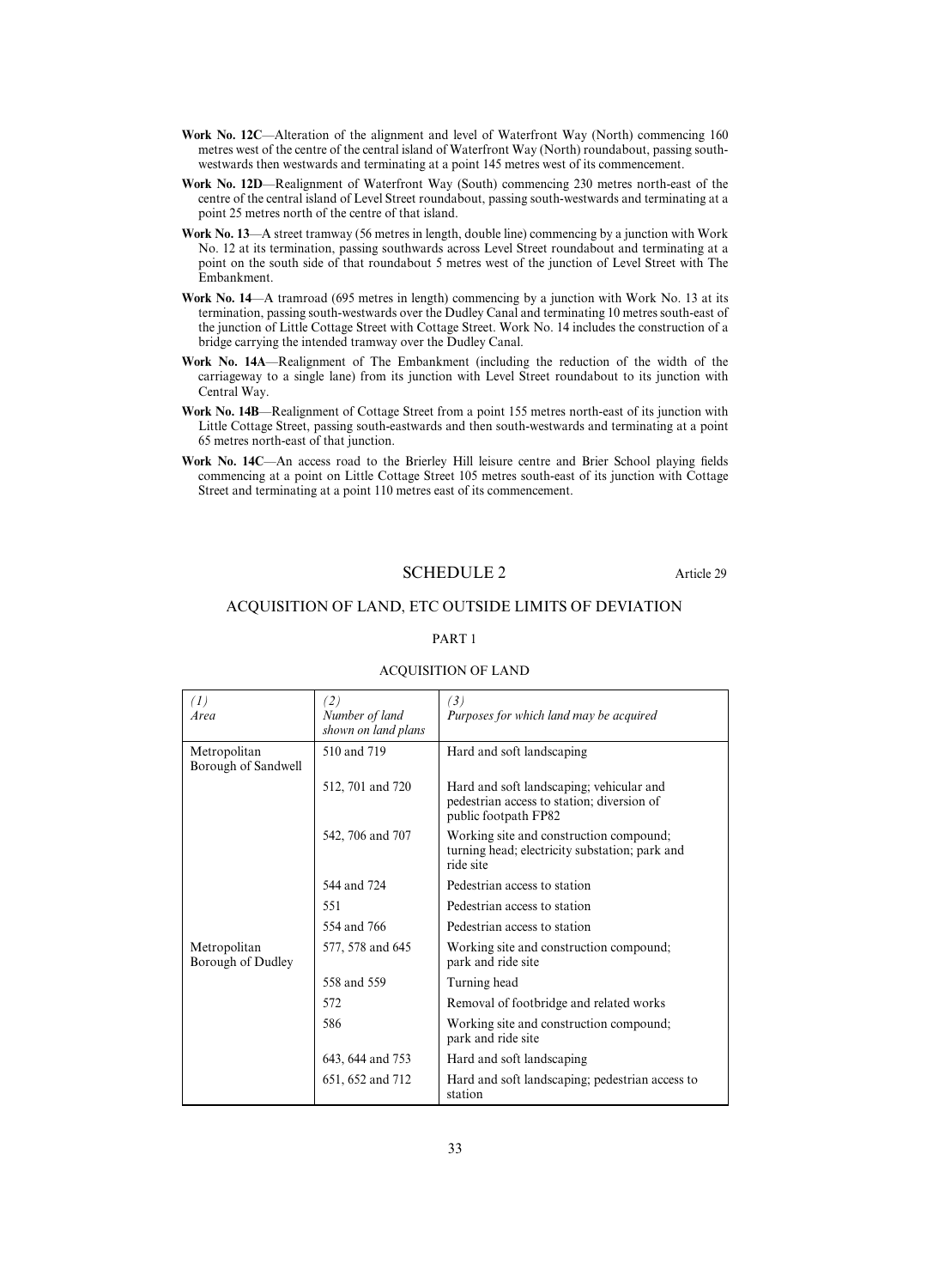- **Work No. 12C**—Alteration of the alignment and level of Waterfront Way (North) commencing 160 metres west of the centre of the central island of Waterfront Way (North) roundabout, passing southwestwards then westwards and terminating at a point 145 metres west of its commencement.
- **Work No. 12D**—Realignment of Waterfront Way (South) commencing 230 metres north-east of the centre of the central island of Level Street roundabout, passing south-westwards and terminating at a point 25 metres north of the centre of that island.
- **Work No. 13**—A street tramway (56 metres in length, double line) commencing by a junction with Work No. 12 at its termination, passing southwards across Level Street roundabout and terminating at a point on the south side of that roundabout 5 metres west of the junction of Level Street with The Embankment.
- **Work No. 14**—A tramroad (695 metres in length) commencing by a junction with Work No. 13 at its termination, passing south-westwards over the Dudley Canal and terminating 10 metres south-east of the junction of Little Cottage Street with Cottage Street. Work No. 14 includes the construction of a bridge carrying the intended tramway over the Dudley Canal.
- **Work No. 14A**—Realignment of The Embankment (including the reduction of the width of the carriageway to a single lane) from its junction with Level Street roundabout to its junction with Central Way.
- **Work No. 14B**—Realignment of Cottage Street from a point 155 metres north-east of its junction with Little Cottage Street, passing south-eastwards and then south-westwards and terminating at a point 65 metres north-east of that junction.
- **Work No. 14C**—An access road to the Brierley Hill leisure centre and Brier School playing fields commencing at a point on Little Cottage Street 105 metres south-east of its junction with Cottage Street and terminating at a point 110 metres east of its commencement.

## SCHEDULE 2 Article 29

## ACQUISITION OF LAND, ETC OUTSIDE LIMITS OF DEVIATION

## PART 1

| (1)<br>Area                         | (2)<br>Number of land<br>shown on land plans | (3)<br>Purposes for which land may be acquired                                                                 |  |
|-------------------------------------|----------------------------------------------|----------------------------------------------------------------------------------------------------------------|--|
| Metropolitan<br>Borough of Sandwell | 510 and 719                                  | Hard and soft landscaping                                                                                      |  |
|                                     | 512, 701 and 720                             | Hard and soft landscaping; vehicular and<br>pedestrian access to station; diversion of<br>public footpath FP82 |  |
|                                     | 542, 706 and 707                             | Working site and construction compound;<br>turning head; electricity substation; park and<br>ride site         |  |
|                                     | 544 and 724                                  | Pedestrian access to station                                                                                   |  |
|                                     | 551                                          | Pedestrian access to station                                                                                   |  |
|                                     | 554 and 766                                  | Pedestrian access to station                                                                                   |  |
| Metropolitan<br>Borough of Dudley   | 577, 578 and 645                             | Working site and construction compound;<br>park and ride site                                                  |  |
|                                     | 558 and 559                                  | Turning head                                                                                                   |  |
|                                     | 572                                          | Removal of footbridge and related works                                                                        |  |
|                                     | 586                                          | Working site and construction compound;<br>park and ride site                                                  |  |
|                                     | 643, 644 and 753                             | Hard and soft landscaping                                                                                      |  |
|                                     | 651, 652 and 712                             | Hard and soft landscaping; pedestrian access to<br>station                                                     |  |

## ACQUISITION OF LAND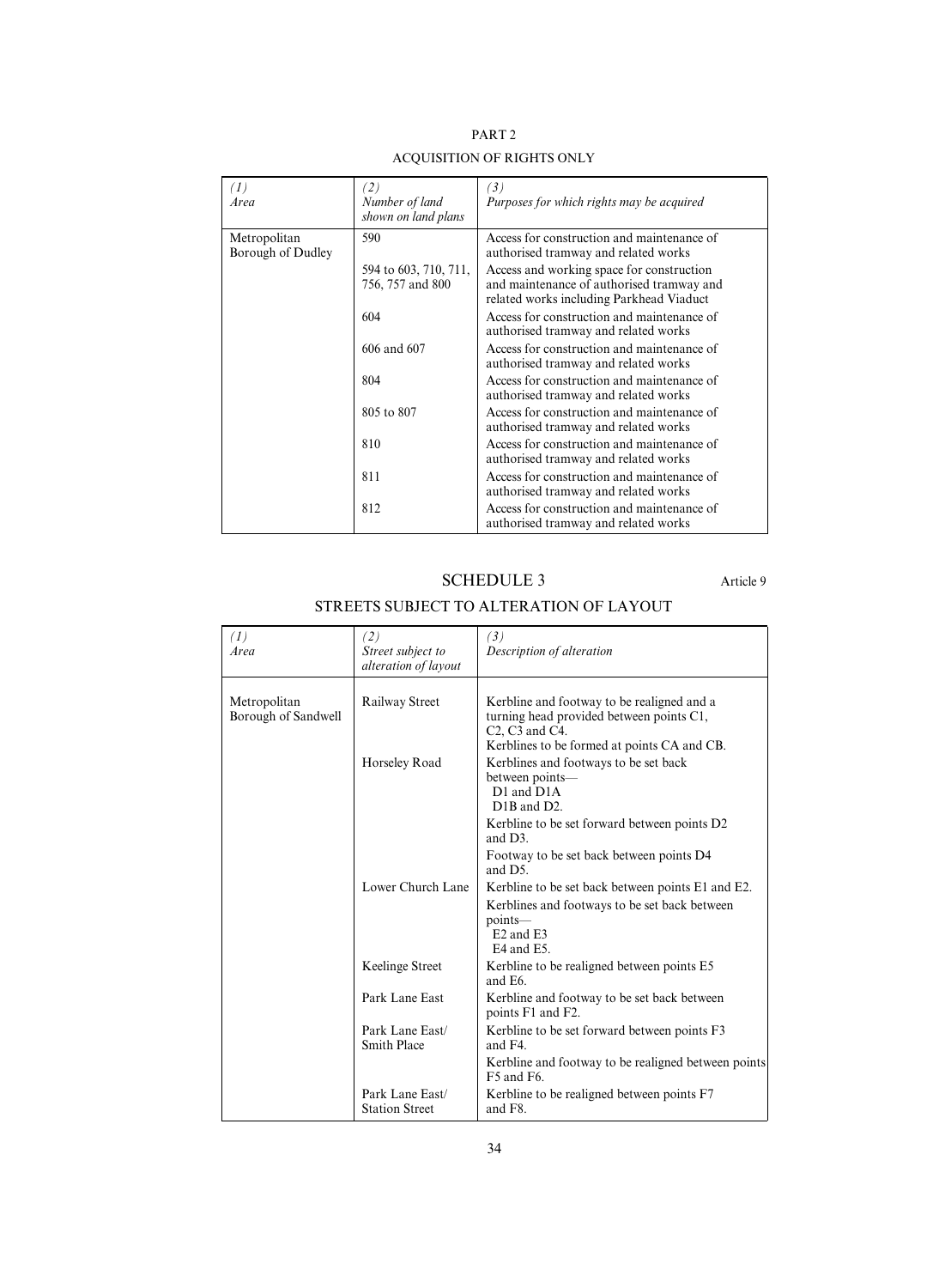| PART <sub>2</sub>          |  |  |
|----------------------------|--|--|
| 'OI HEITION OE DICLITE ONI |  |  |

| (I)<br>Area                       | (2)<br>Number of land<br>shown on land plans | (3)<br>Purposes for which rights may be acquired                                                                                   |
|-----------------------------------|----------------------------------------------|------------------------------------------------------------------------------------------------------------------------------------|
| Metropolitan<br>Borough of Dudley | 590                                          | Access for construction and maintenance of<br>authorised tramway and related works                                                 |
|                                   | 594 to 603, 710, 711,<br>756, 757 and 800    | Access and working space for construction<br>and maintenance of authorised tramway and<br>related works including Parkhead Viaduct |
|                                   | 604                                          | Access for construction and maintenance of<br>authorised tramway and related works                                                 |
|                                   | 606 and 607                                  | Access for construction and maintenance of<br>authorised tramway and related works                                                 |
|                                   | 804                                          | Access for construction and maintenance of<br>authorised tramway and related works                                                 |
|                                   | 805 to 807                                   | Access for construction and maintenance of<br>authorised tramway and related works                                                 |
|                                   | 810                                          | Access for construction and maintenance of<br>authorised tramway and related works                                                 |
|                                   | 811                                          | Access for construction and maintenance of<br>authorised tramway and related works                                                 |
|                                   | 812                                          | Access for construction and maintenance of<br>authorised tramway and related works                                                 |

# ACQUISITION OF RIGHTS ONLY

SCHEDULE 3 Article 9

# STREETS SUBJECT TO ALTERATION OF LAYOUT

| (1)<br>Area                         | (2)<br>Street subject to<br>alteration of layout | (3)<br>Description of alteration                                                                                                                                 |
|-------------------------------------|--------------------------------------------------|------------------------------------------------------------------------------------------------------------------------------------------------------------------|
| Metropolitan<br>Borough of Sandwell | Railway Street                                   | Kerbline and footway to be realigned and a<br>turning head provided between points C1,<br>$C2, C3$ and $C4$ .<br>Kerblines to be formed at points CA and CB.     |
|                                     | Horseley Road                                    | Kerblines and footways to be set back<br>between points—<br>D1 and D1A<br>D <sub>1</sub> B and D <sub>2</sub> .                                                  |
|                                     |                                                  | Kerbline to be set forward between points D2<br>and $D3$ .                                                                                                       |
|                                     |                                                  | Footway to be set back between points D4<br>and D5.                                                                                                              |
|                                     | Lower Church Lane                                | Kerbline to be set back between points E1 and E2.<br>Kerblines and footways to be set back between<br>points-<br>E <sub>2</sub> and E <sub>3</sub><br>E4 and E5. |
|                                     | Keelinge Street                                  | Kerbline to be realigned between points E5<br>and E <sub>6</sub> .                                                                                               |
|                                     | Park Lane East                                   | Kerbline and footway to be set back between<br>points F1 and F2.                                                                                                 |
|                                     | Park Lane East/<br><b>Smith Place</b>            | Kerbline to be set forward between points F3<br>and F4.                                                                                                          |
|                                     |                                                  | Kerbline and footway to be realigned between points<br>F5 and F6.                                                                                                |
|                                     | Park Lane East/<br><b>Station Street</b>         | Kerbline to be realigned between points F7<br>and F8.                                                                                                            |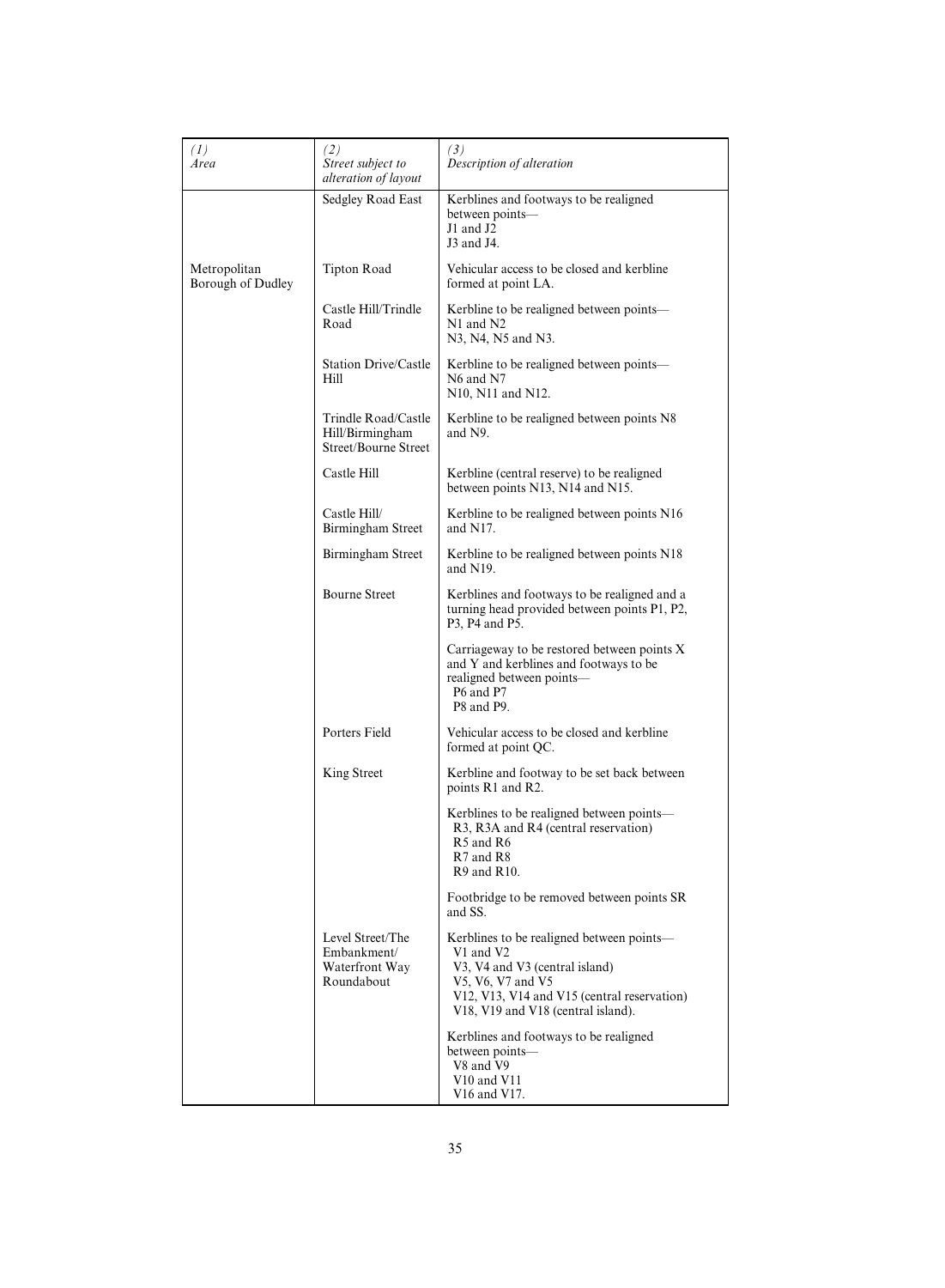| (1)<br>Area                       | (2)<br>Street subject to<br>alteration of layout                | (3)<br>Description of alteration                                                                                                                                                                   |
|-----------------------------------|-----------------------------------------------------------------|----------------------------------------------------------------------------------------------------------------------------------------------------------------------------------------------------|
|                                   | Sedgley Road East                                               | Kerblines and footways to be realigned<br>between points-<br>$J1$ and $J2$<br>J3 and J4.                                                                                                           |
| Metropolitan<br>Borough of Dudley | <b>Tipton Road</b>                                              | Vehicular access to be closed and kerbline<br>formed at point LA.                                                                                                                                  |
|                                   | Castle Hill/Trindle<br>Road                                     | Kerbline to be realigned between points-<br>N1 and N2<br>N3, N4, N5 and N3.                                                                                                                        |
|                                   | <b>Station Drive/Castle</b><br>Hill                             | Kerbline to be realigned between points—<br>N6 and N7<br>N10, N11 and N12.                                                                                                                         |
|                                   | Trindle Road/Castle<br>Hill/Birmingham<br>Street/Bourne Street  | Kerbline to be realigned between points N8<br>and N9.                                                                                                                                              |
|                                   | Castle Hill                                                     | Kerbline (central reserve) to be realigned<br>between points N13, N14 and N15.                                                                                                                     |
|                                   | Castle Hill/<br>Birmingham Street                               | Kerbline to be realigned between points N16<br>and N17.                                                                                                                                            |
|                                   | Birmingham Street                                               | Kerbline to be realigned between points N18<br>and $N19$ .                                                                                                                                         |
|                                   | <b>Bourne Street</b>                                            | Kerblines and footways to be realigned and a<br>turning head provided between points P1, P2,<br>P3, P4 and P5.                                                                                     |
|                                   |                                                                 | Carriageway to be restored between points X<br>and Y and kerblines and footways to be<br>realigned between points-<br>P6 and P7<br>P8 and P9.                                                      |
|                                   | Porters Field                                                   | Vehicular access to be closed and kerbline<br>formed at point QC.                                                                                                                                  |
|                                   | King Street                                                     | Kerbline and footway to be set back between<br>points R1 and R2.                                                                                                                                   |
|                                   |                                                                 | Kerblines to be realigned between points—<br>R3, R3A and R4 (central reservation)<br>R <sub>5</sub> and R <sub>6</sub><br>R7 and R8<br>R9 and R10.                                                 |
|                                   |                                                                 | Footbridge to be removed between points SR<br>and SS.                                                                                                                                              |
|                                   | Level Street/The<br>Embankment/<br>Waterfront Way<br>Roundabout | Kerblines to be realigned between points—<br>V1 and V2<br>V3, V4 and V3 (central island)<br>V5, V6, V7 and V5<br>V12, V13, V14 and V15 (central reservation)<br>V18, V19 and V18 (central island). |
|                                   |                                                                 | Kerblines and footways to be realigned<br>between points-<br>V8 and V9<br>$V10$ and $V11$<br>V16 and V17.                                                                                          |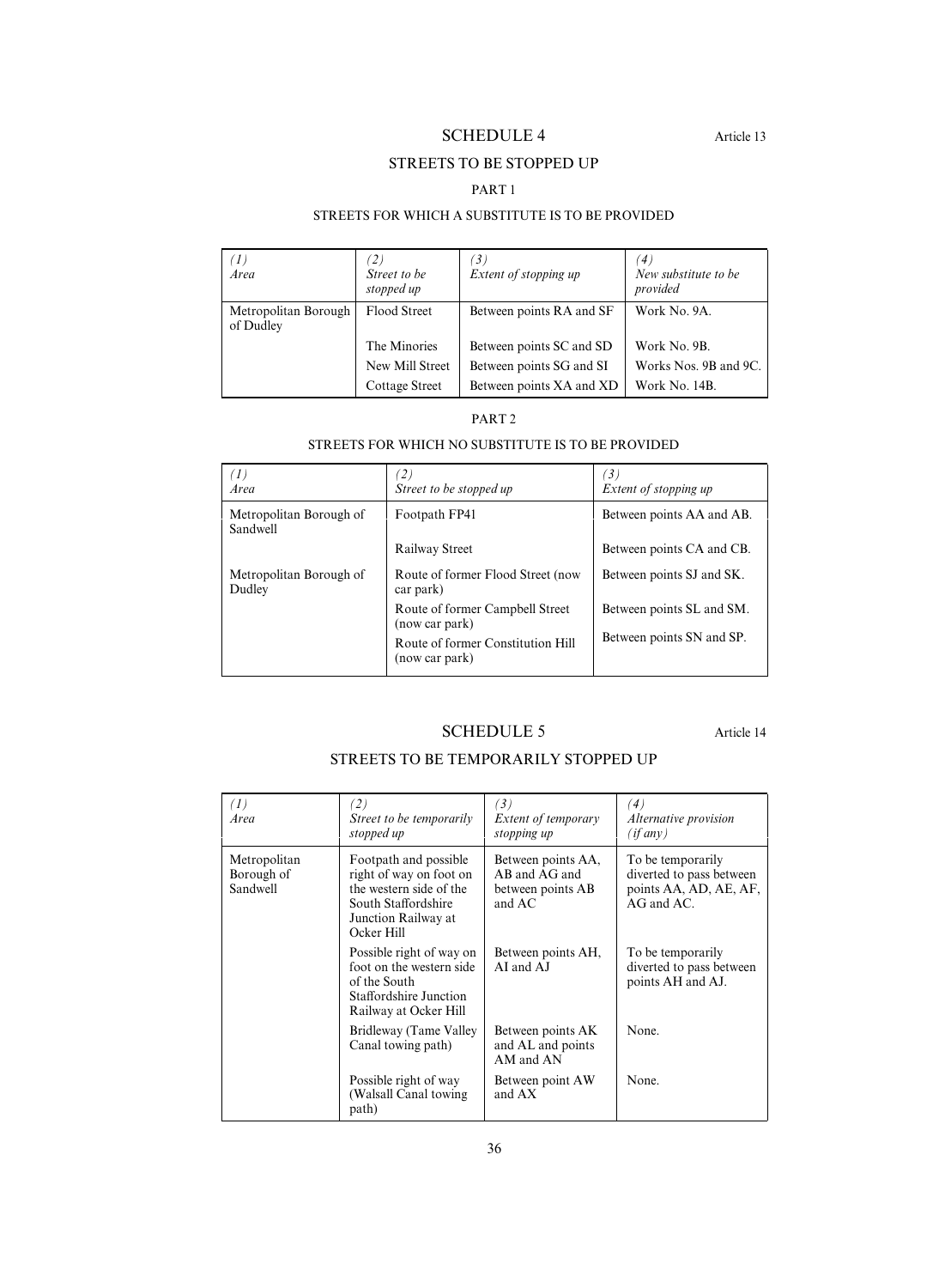# SCHEDULE 4 Article 13

## STREETS TO BE STOPPED UP

## PART 1

## STREETS FOR WHICH A SUBSTITUTE IS TO BE PROVIDED

| 'I)<br>Area                       | $\langle 2 \rangle$<br>Street to be<br>stopped up | $\left(3\right)$<br>Extent of stopping up | $\left( 4\right)$<br>New substitute to be<br>provided |
|-----------------------------------|---------------------------------------------------|-------------------------------------------|-------------------------------------------------------|
| Metropolitan Borough<br>of Dudley | Flood Street                                      | Between points RA and SF                  | Work No. 9A.                                          |
|                                   | The Minories                                      | Between points SC and SD                  | Work No. 9B.                                          |
|                                   | New Mill Street                                   | Between points SG and SI                  | Works Nos. 9B and 9C.                                 |
|                                   | <b>Cottage Street</b>                             | Between points XA and XD                  | Work No. 14B.                                         |

## PART 2

## STREETS FOR WHICH NO SUBSTITUTE IS TO BE PROVIDED

| $\left(1\right)$<br>Area            | Street to be stopped up                             | $\left(3\right)$<br>Extent of stopping up |
|-------------------------------------|-----------------------------------------------------|-------------------------------------------|
| Metropolitan Borough of<br>Sandwell | Footpath FP41                                       | Between points AA and AB.                 |
|                                     | Railway Street                                      | Between points CA and CB.                 |
| Metropolitan Borough of<br>Dudley   | Route of former Flood Street (now<br>car park)      | Between points SJ and SK.                 |
|                                     | Route of former Campbell Street<br>(now car park)   | Between points SL and SM.                 |
|                                     | Route of former Constitution Hill<br>(now car park) | Between points SN and SP.                 |

# SCHEDULE 5 Article 14

# STREETS TO BE TEMPORARILY STOPPED UP

| (1)<br>Area                            | $\binom{2}{}$<br>Street to be temporarily<br>stopped up                                                                                 | (3)<br><i>Extent of temporary</i><br>stopping up                   | $\left( 4\right)$<br><i>Alternative provision</i><br>(if any)                              |
|----------------------------------------|-----------------------------------------------------------------------------------------------------------------------------------------|--------------------------------------------------------------------|--------------------------------------------------------------------------------------------|
| Metropolitan<br>Borough of<br>Sandwell | Footpath and possible<br>right of way on foot on<br>the western side of the<br>South Staffordshire<br>Junction Railway at<br>Ocker Hill | Between points AA,<br>AB and AG and<br>between points AB<br>and AC | To be temporarily<br>diverted to pass between<br>points AA, AD, AE, AF,<br>$AG$ and $AC$ . |
|                                        | Possible right of way on<br>foot on the western side<br>of the South<br>Staffordshire Junction<br>Railway at Ocker Hill                 | Between points AH,<br>AI and AJ                                    | To be temporarily<br>diverted to pass between<br>points AH and AJ.                         |
|                                        | Bridleway (Tame Valley<br>Canal towing path)                                                                                            | Between points AK<br>and AL and points<br>AM and AN                | None.                                                                                      |
|                                        | Possible right of way<br>(Walsall Canal towing<br>path)                                                                                 | Between point AW<br>and AX                                         | None.                                                                                      |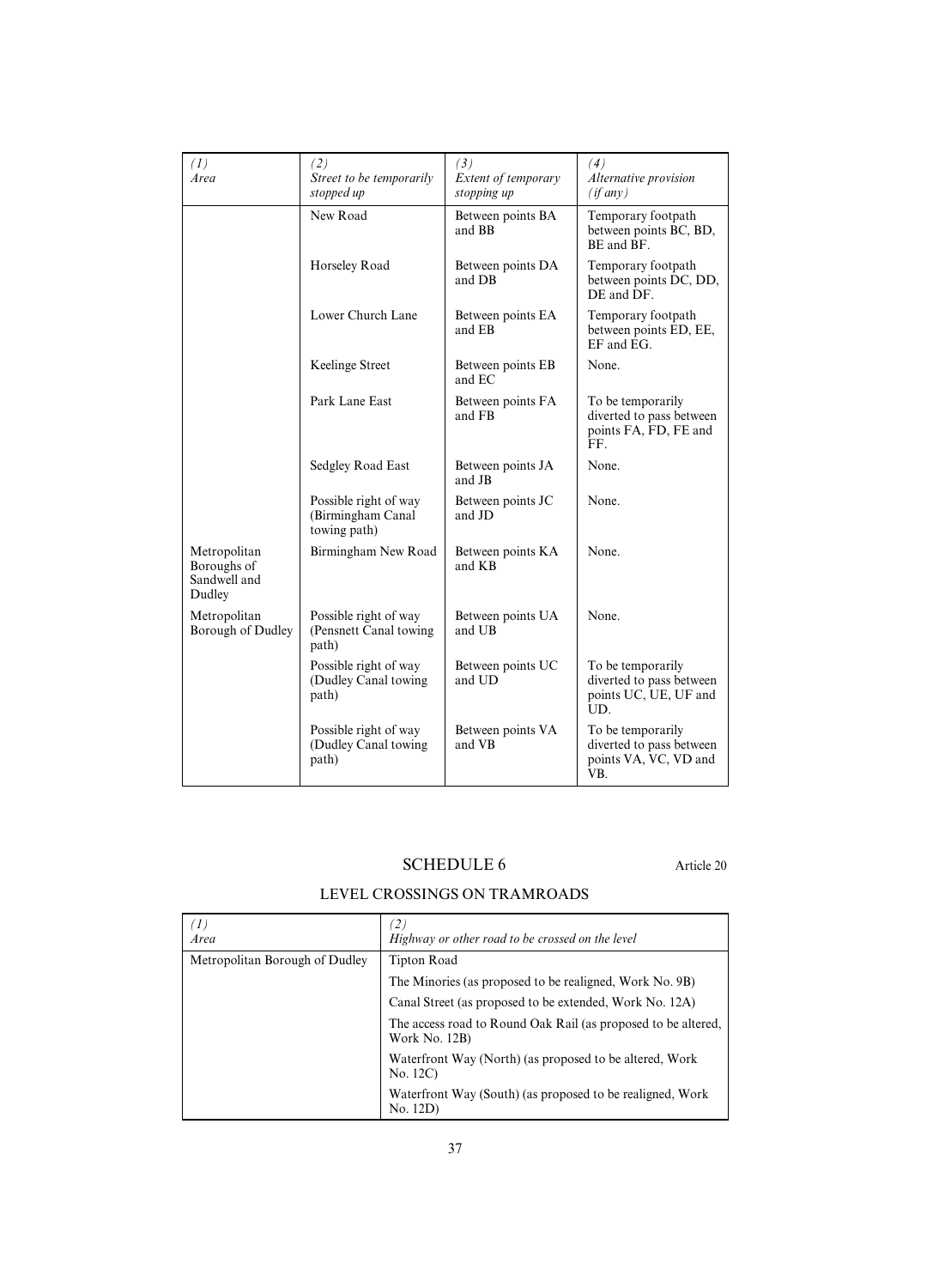| (1)<br>Area                                           | (2)<br>Street to be temporarily<br>stopped up              | (3)<br>Extent of temporary<br>stopping up | (4)<br>Alternative provision<br>$(if$ any $)$                                 |
|-------------------------------------------------------|------------------------------------------------------------|-------------------------------------------|-------------------------------------------------------------------------------|
|                                                       | New Road                                                   | Between points BA<br>and BB               | Temporary footpath<br>between points BC, BD,<br>BE and BF.                    |
|                                                       | Horseley Road                                              | Between points DA<br>and DB               | Temporary footpath<br>between points DC, DD,<br>DE and DF.                    |
|                                                       | Lower Church Lane                                          | Between points EA<br>and EB               | Temporary footpath<br>between points ED, EE,<br>EF and EG.                    |
|                                                       | Keelinge Street                                            | Between points EB<br>and EC               | None.                                                                         |
|                                                       | Park Lane East                                             | Between points FA<br>and FB               | To be temporarily<br>diverted to pass between<br>points FA, FD, FE and<br>FF. |
|                                                       | Sedgley Road East                                          | Between points JA<br>and JB               | None.                                                                         |
|                                                       | Possible right of way<br>(Birmingham Canal<br>towing path) | Between points JC<br>and JD               | None.                                                                         |
| Metropolitan<br>Boroughs of<br>Sandwell and<br>Dudley | Birmingham New Road                                        | Between points KA<br>and KB               | None.                                                                         |
| Metropolitan<br>Borough of Dudley                     | Possible right of way<br>(Pensnett Canal towing<br>path)   | Between points UA<br>and UB               | None.                                                                         |
|                                                       | Possible right of way<br>(Dudley Canal towing<br>path)     | Between points UC<br>and UD               | To be temporarily<br>diverted to pass between<br>points UC, UE, UF and<br>UD. |
|                                                       | Possible right of way<br>(Dudley Canal towing<br>path)     | Between points VA<br>and VB               | To be temporarily<br>diverted to pass between<br>points VA, VC, VD and<br>VB. |

# SCHEDULE 6 Article 20

# LEVEL CROSSINGS ON TRAMROADS

| ′1)<br>Area                    | $\left( 2\right)$<br>Highway or other road to be crossed on the level          |  |
|--------------------------------|--------------------------------------------------------------------------------|--|
| Metropolitan Borough of Dudley | Tipton Road                                                                    |  |
|                                | The Minories (as proposed to be realigned, Work No. 9B)                        |  |
|                                | Canal Street (as proposed to be extended, Work No. 12A)                        |  |
|                                | The access road to Round Oak Rail (as proposed to be altered,<br>Work No. 12B) |  |
|                                | Waterfront Way (North) (as proposed to be altered, Work<br>No. 12C)            |  |
|                                | Waterfront Way (South) (as proposed to be realigned, Work<br>No. 12D)          |  |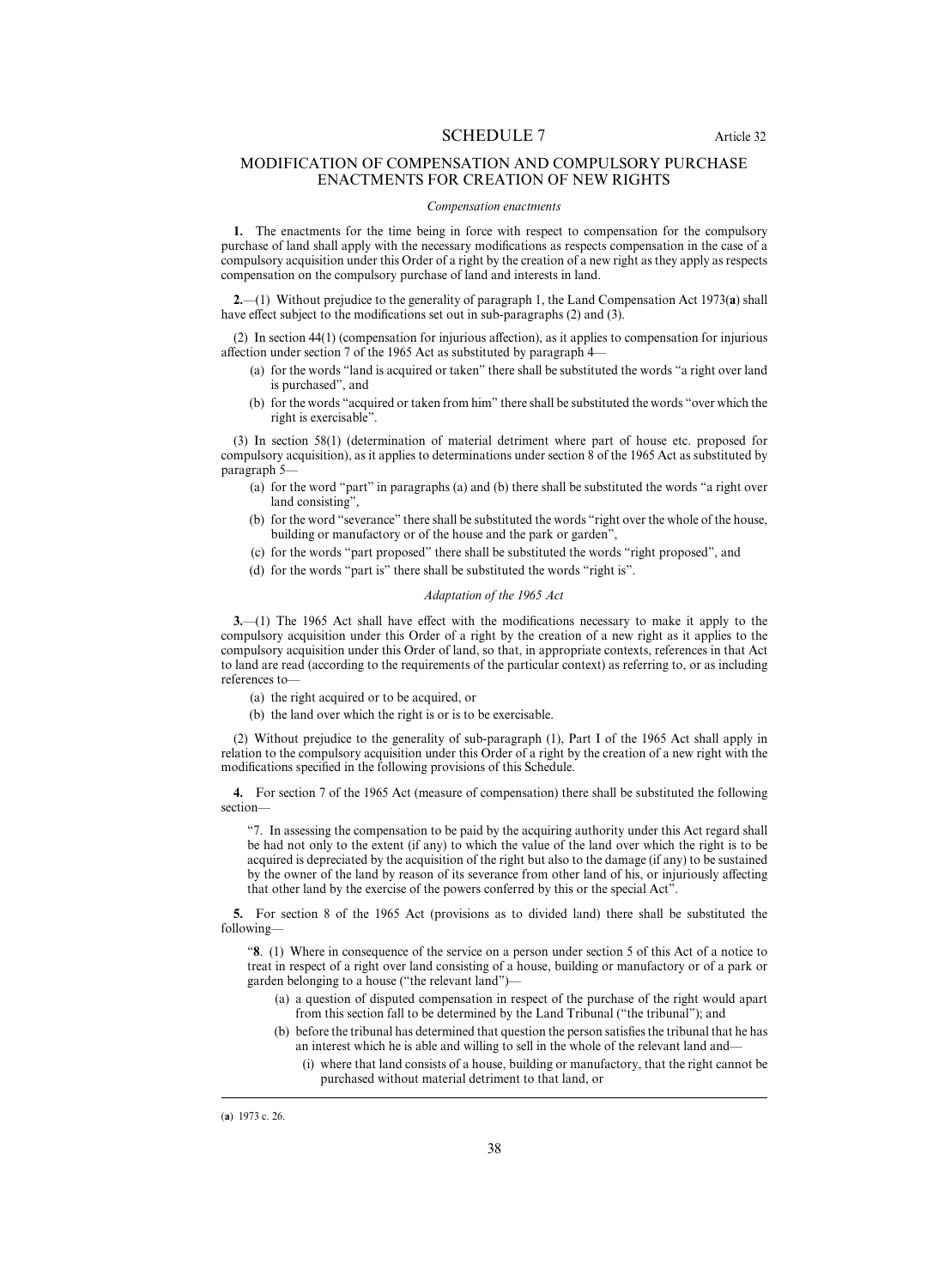## MODIFICATION OF COMPENSATION AND COMPULSORY PURCHASE ENACTMENTS FOR CREATION OF NEW RIGHTS

#### *Compensation enactments*

**1.** The enactments for the time being in force with respect to compensation for the compulsory purchase of land shall apply with the necessary modifications as respects compensation in the case of a compulsory acquisition under this Order of a right by the creation of a new right as they apply as respects compensation on the compulsory purchase of land and interests in land.

**2.**—(1) Without prejudice to the generality of paragraph 1, the Land Compensation Act 1973(**a**) shall have effect subject to the modifications set out in sub-paragraphs  $(2)$  and  $(3)$ .

(2) In section  $44(1)$  (compensation for injurious affection), as it applies to compensation for injurious affection under section 7 of the 1965 Act as substituted by paragraph 4—

- (a) for the words "land is acquired or taken" there shall be substituted the words "a right over land is purchased", and
- (b) for the words "acquired or taken from him" there shall be substituted the words "over which the right is exercisable".

(3) In section 58(1) (determination of material detriment where part of house etc. proposed for compulsory acquisition), as it applies to determinations under section 8 of the 1965 Act as substituted by paragraph 5—

- (a) for the word "part" in paragraphs (a) and (b) there shall be substituted the words "a right over land consisting",
- (b) for the word "severance" there shall be substituted the words "right over the whole of the house, building or manufactory or of the house and the park or garden",
- (c) for the words "part proposed" there shall be substituted the words "right proposed", and
- (d) for the words "part is" there shall be substituted the words "right is".

#### *Adaptation of the 1965 Act*

**3.**—(1) The 1965 Act shall have effect with the modifications necessary to make it apply to the compulsory acquisition under this Order of a right by the creation of a new right as it applies to the compulsory acquisition under this Order of land, so that, in appropriate contexts, references in that Act to land are read (according to the requirements of the particular context) as referring to, or as including references to—

- (a) the right acquired or to be acquired, or
- (b) the land over which the right is or is to be exercisable.

(2) Without prejudice to the generality of sub-paragraph (1), Part I of the 1965 Act shall apply in relation to the compulsory acquisition under this Order of a right by the creation of a new right with the modifications specified in the following provisions of this Schedule.

**4.** For section 7 of the 1965 Act (measure of compensation) there shall be substituted the following section—

"7. In assessing the compensation to be paid by the acquiring authority under this Act regard shall be had not only to the extent (if any) to which the value of the land over which the right is to be acquired is depreciated by the acquisition of the right but also to the damage (if any) to be sustained by the owner of the land by reason of its severance from other land of his, or injuriously affecting that other land by the exercise of the powers conferred by this or the special Act".

**5.** For section 8 of the 1965 Act (provisions as to divided land) there shall be substituted the following—

"**8**. (1) Where in consequence of the service on a person under section 5 of this Act of a notice to treat in respect of a right over land consisting of a house, building or manufactory or of a park or garden belonging to a house ("the relevant land")—

- (a) a question of disputed compensation in respect of the purchase of the right would apart from this section fall to be determined by the Land Tribunal ("the tribunal"); and
- (b) before the tribunal has determined that question the person satisfies the tribunal that he has an interest which he is able and willing to sell in the whole of the relevant land and—
	- (i) where that land consists of a house, building or manufactory, that the right cannot be purchased without material detriment to that land, or

<sup>(</sup>a) 1973 c. 26.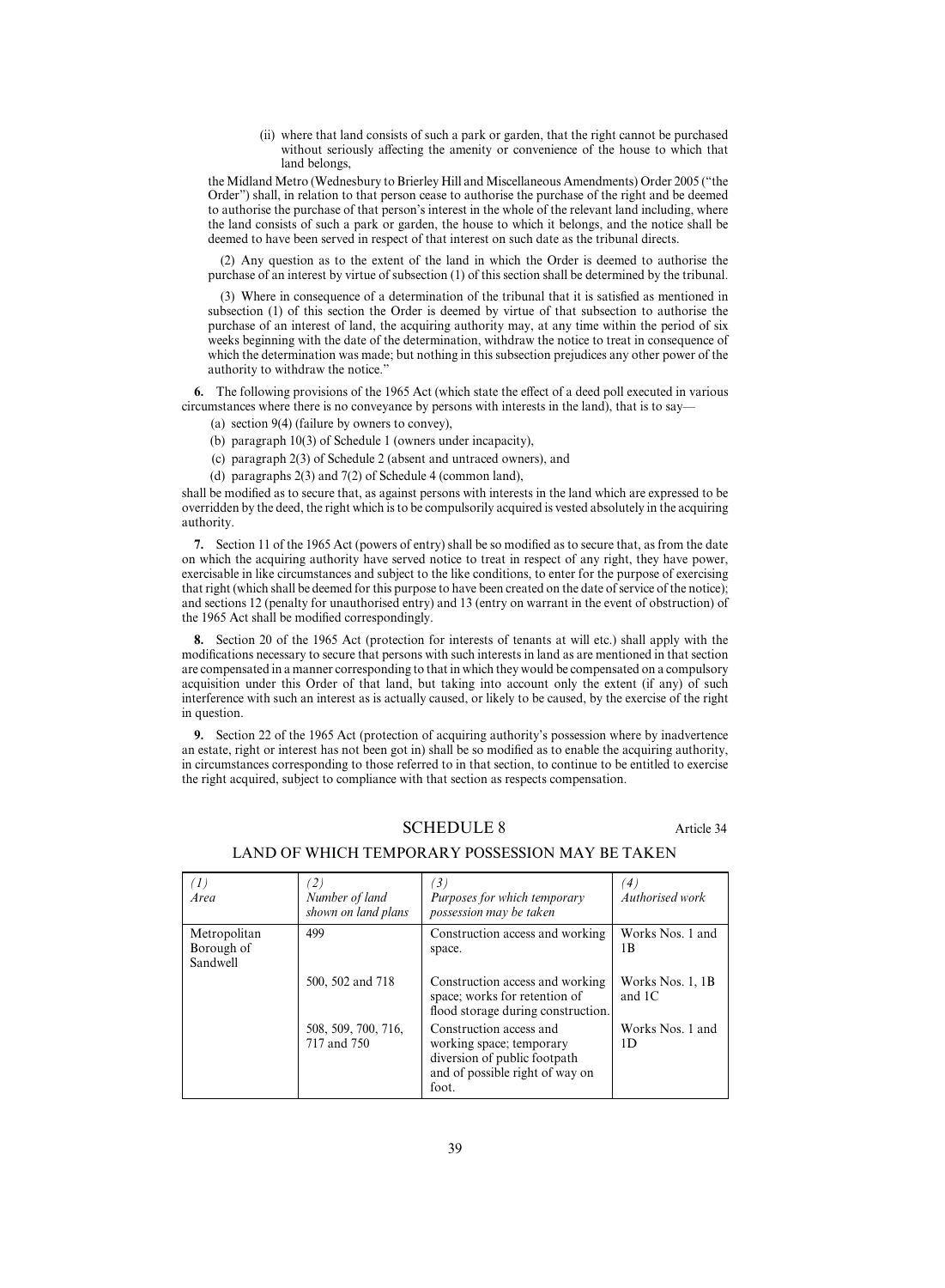(ii) where that land consists of such a park or garden, that the right cannot be purchased without seriously affecting the amenity or convenience of the house to which that land belongs.

the Midland Metro (Wednesbury to Brierley Hill and Miscellaneous Amendments) Order 2005 ("the Order") shall, in relation to that person cease to authorise the purchase of the right and be deemed to authorise the purchase of that person's interest in the whole of the relevant land including, where the land consists of such a park or garden, the house to which it belongs, and the notice shall be deemed to have been served in respect of that interest on such date as the tribunal directs.

(2) Any question as to the extent of the land in which the Order is deemed to authorise the purchase of an interest by virtue of subsection (1) of this section shall be determined by the tribunal.

(3) Where in consequence of a determination of the tribunal that it is satisfied as mentioned in subsection (1) of this section the Order is deemed by virtue of that subsection to authorise the purchase of an interest of land, the acquiring authority may, at any time within the period of six weeks beginning with the date of the determination, withdraw the notice to treat in consequence of which the determination was made; but nothing in this subsection prejudices any other power of the authority to withdraw the notice."

**6.** The following provisions of the 1965 Act (which state the effect of a deed poll executed in various circumstances where there is no conveyance by persons with interests in the land), that is to say—

- (a) section 9(4) (failure by owners to convey),
- (b) paragraph 10(3) of Schedule 1 (owners under incapacity),
- (c) paragraph 2(3) of Schedule 2 (absent and untraced owners), and
- (d) paragraphs 2(3) and 7(2) of Schedule 4 (common land),

shall be modified as to secure that, as against persons with interests in the land which are expressed to be overridden by the deed, the right which is to be compulsorily acquired is vested absolutely in the acquiring authority.

**7.** Section 11 of the 1965 Act (powers of entry) shall be so modified as to secure that, as from the date on which the acquiring authority have served notice to treat in respect of any right, they have power, exercisable in like circumstances and subject to the like conditions, to enter for the purpose of exercising that right (which shall be deemed for this purpose to have been created on the date of service of the notice); and sections 12 (penalty for unauthorised entry) and 13 (entry on warrant in the event of obstruction) of the 1965 Act shall be modified correspondingly.

**8.** Section 20 of the 1965 Act (protection for interests of tenants at will etc.) shall apply with the modifications necessary to secure that persons with such interests in land as are mentioned in that section are compensated in a manner corresponding to that in which they would be compensated on a compulsory acquisition under this Order of that land, but taking into account only the extent (if any) of such interference with such an interest as is actually caused, or likely to be caused, by the exercise of the right in question.

**9.** Section 22 of the 1965 Act (protection of acquiring authority's possession where by inadvertence an estate, right or interest has not been got in) shall be so modified as to enable the acquiring authority, in circumstances corresponding to those referred to in that section, to continue to be entitled to exercise the right acquired, subject to compliance with that section as respects compensation.

## SCHEDULE 8 Article 34

| $\left(1\right)$<br>Area               | $\left( 2\right)$<br>Number of land<br>shown on land plans | $\left(3\right)$<br>Purposes for which temporary<br>possession may be taken                                                     | $\left( 4\right)$<br>Authorised work |
|----------------------------------------|------------------------------------------------------------|---------------------------------------------------------------------------------------------------------------------------------|--------------------------------------|
| Metropolitan<br>Borough of<br>Sandwell | 499                                                        | Construction access and working<br>space.                                                                                       | Works Nos. 1 and<br>1 B              |
|                                        | 500, 502 and 718                                           | Construction access and working<br>space; works for retention of<br>flood storage during construction.                          | Works Nos. 1, 1B<br>and $1C$         |
|                                        | 508, 509, 700, 716,<br>717 and 750                         | Construction access and<br>working space; temporary<br>diversion of public footpath<br>and of possible right of way on<br>foot. | Works Nos. 1 and<br>1D               |

## LAND OF WHICH TEMPORARY POSSESSION MAY BE TAKEN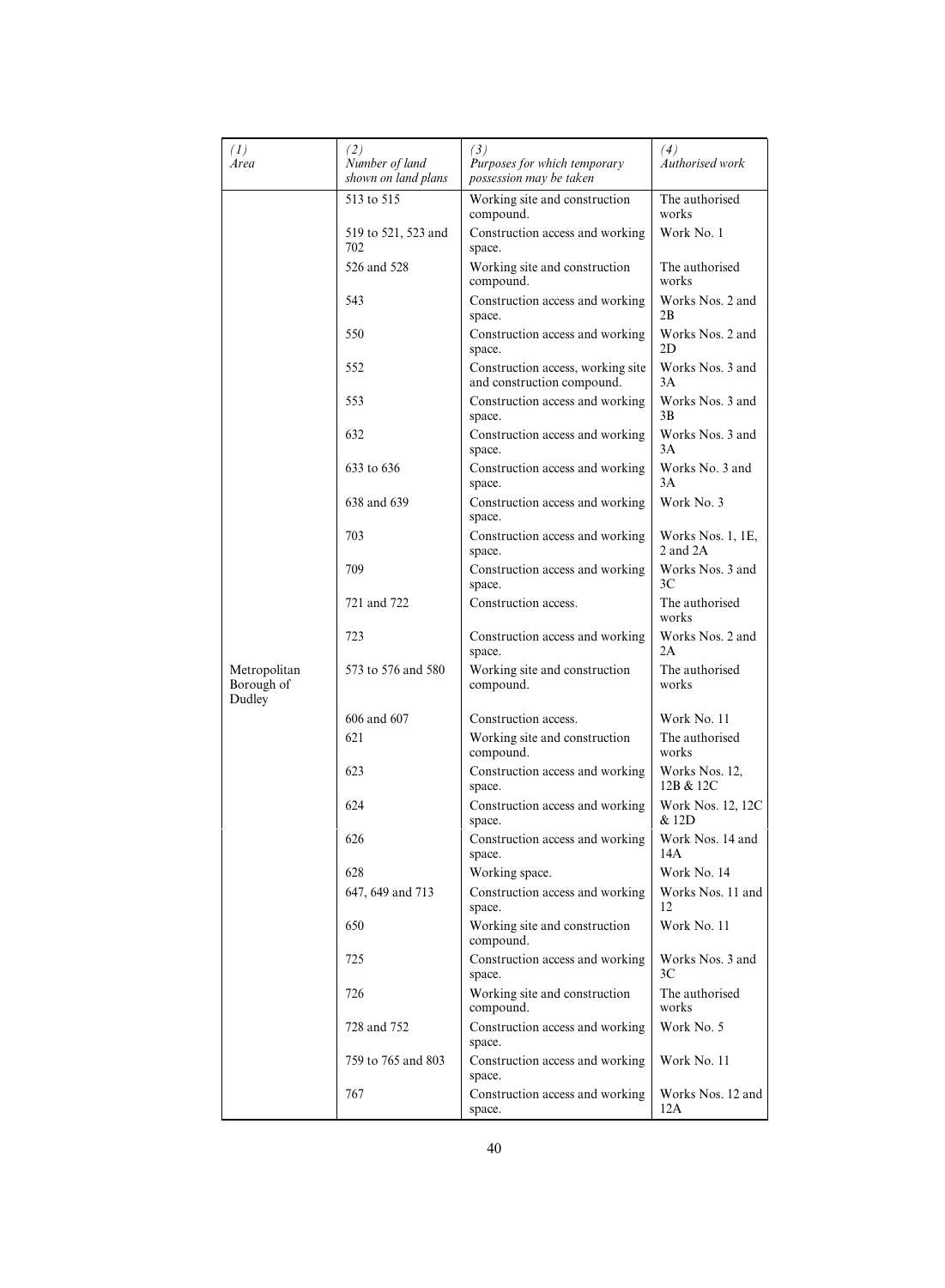| (I)<br>Area                          | (2)<br>Number of land<br>shown on land plans | (3)<br>Purposes for which temporary<br>possession may be taken  | (4)<br>Authorised work            |
|--------------------------------------|----------------------------------------------|-----------------------------------------------------------------|-----------------------------------|
|                                      | 513 to 515                                   | Working site and construction<br>compound.                      | The authorised<br>works           |
|                                      | 519 to 521, 523 and<br>702                   | Construction access and working<br>space.                       | Work No. 1                        |
|                                      | 526 and 528                                  | Working site and construction<br>compound.                      | The authorised<br>works           |
|                                      | 543                                          | Construction access and working<br>space.                       | Works Nos. 2 and<br>2B            |
|                                      | 550                                          | Construction access and working<br>space.                       | Works Nos. 2 and<br>2D            |
|                                      | 552                                          | Construction access, working site<br>and construction compound. | Works Nos. 3 and<br>3A            |
|                                      | 553                                          | Construction access and working<br>space.                       | Works Nos. 3 and<br>3B            |
|                                      | 632                                          | Construction access and working<br>space.                       | Works Nos. 3 and<br>3A            |
|                                      | 633 to 636                                   | Construction access and working<br>space.                       | Works No. 3 and<br>3A             |
|                                      | 638 and 639                                  | Construction access and working<br>space.                       | Work No. 3                        |
|                                      | 703                                          | Construction access and working<br>space.                       | Works Nos. 1, 1E,<br>$2$ and $2A$ |
|                                      | 709                                          | Construction access and working<br>space.                       | Works Nos. 3 and<br>3C            |
|                                      | 721 and 722                                  | Construction access.                                            | The authorised<br>works           |
|                                      | 723                                          | Construction access and working<br>space.                       | Works Nos. 2 and<br>2A            |
| Metropolitan<br>Borough of<br>Dudley | 573 to 576 and 580                           | Working site and construction<br>compound.                      | The authorised<br>works           |
|                                      | 606 and 607                                  | Construction access.                                            | Work No. 11                       |
|                                      | 621                                          | Working site and construction<br>compound.                      | The authorised<br>works           |
|                                      | 623                                          | Construction access and working<br>space.                       | Works Nos. 12,<br>12B & 12C       |
|                                      | 624                                          | Construction access and working<br>space.                       | Work Nos. 12, 12C<br>& 12D        |
|                                      | 626                                          | Construction access and working<br>space.                       | Work Nos. 14 and<br>14A           |
|                                      | 628                                          | Working space.                                                  | Work No. 14                       |
|                                      | 647, 649 and 713                             | Construction access and working<br>space.                       | Works Nos. 11 and<br>12           |
|                                      | 650                                          | Working site and construction<br>compound.                      | Work No. 11                       |
|                                      | 725                                          | Construction access and working<br>space.                       | Works Nos. 3 and<br>3C            |
|                                      | 726                                          | Working site and construction<br>compound.                      | The authorised<br>works           |
|                                      | 728 and 752                                  | Construction access and working<br>space.                       | Work No. 5                        |
|                                      | 759 to 765 and 803                           | Construction access and working<br>space.                       | Work No. 11                       |
|                                      | 767                                          | Construction access and working<br>space.                       | Works Nos. 12 and<br>12A          |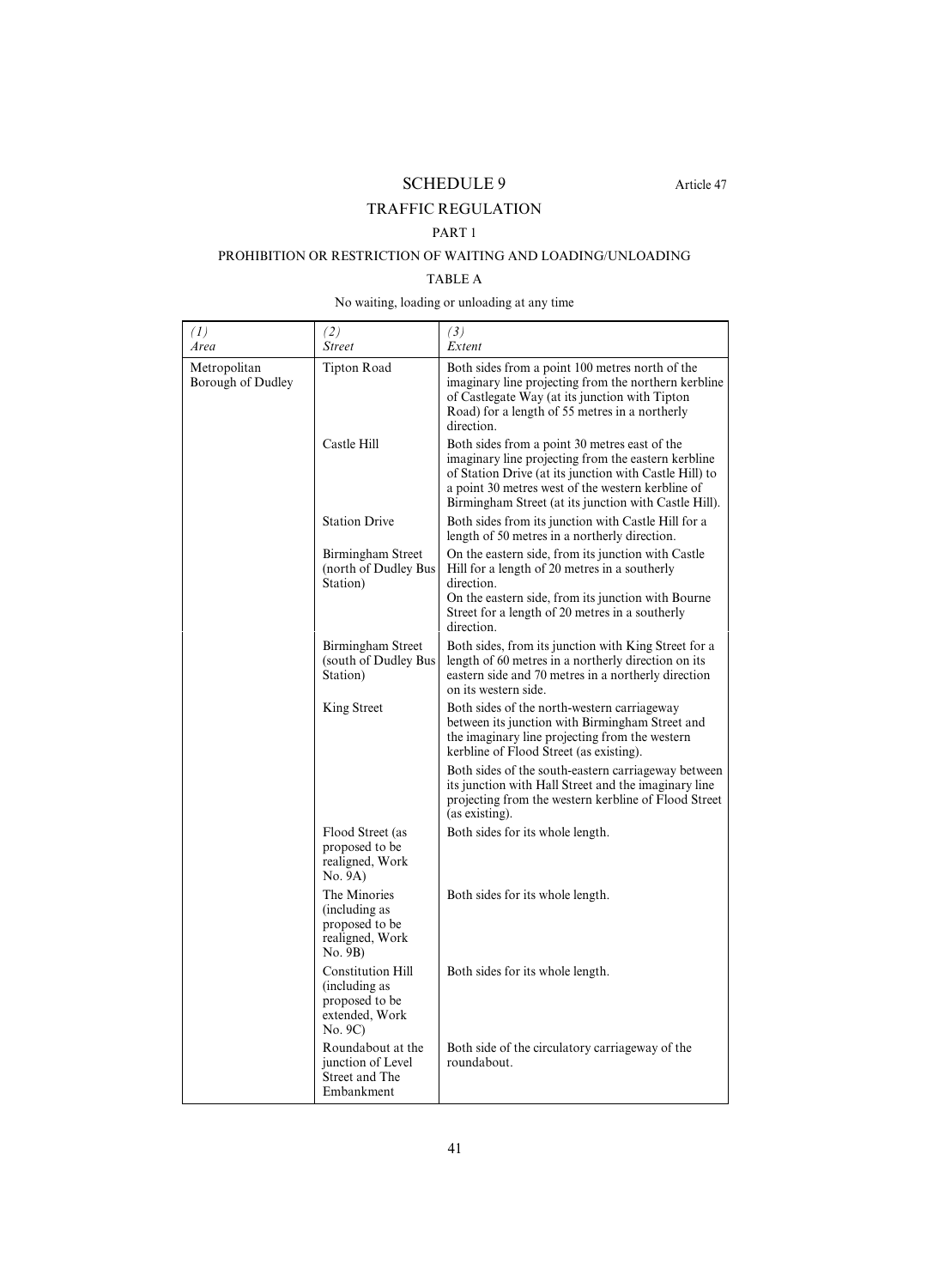SCHEDULE 9 Article 47

# TRAFFIC REGULATION

## PART 1

# PROHIBITION OR RESTRICTION OF WAITING AND LOADING/UNLOADING

# TABLE A

## No waiting, loading or unloading at any time

| (1)<br>Area                       | (2)<br><i>Street</i>                                                                     | (3)<br>Extent                                                                                                                                                                                                                                                                |
|-----------------------------------|------------------------------------------------------------------------------------------|------------------------------------------------------------------------------------------------------------------------------------------------------------------------------------------------------------------------------------------------------------------------------|
| Metropolitan<br>Borough of Dudley | <b>Tipton Road</b>                                                                       | Both sides from a point 100 metres north of the<br>imaginary line projecting from the northern kerbline<br>of Castlegate Way (at its junction with Tipton<br>Road) for a length of 55 metres in a northerly<br>direction.                                                    |
|                                   | Castle Hill                                                                              | Both sides from a point 30 metres east of the<br>imaginary line projecting from the eastern kerbline<br>of Station Drive (at its junction with Castle Hill) to<br>a point 30 metres west of the western kerbline of<br>Birmingham Street (at its junction with Castle Hill). |
|                                   | <b>Station Drive</b>                                                                     | Both sides from its junction with Castle Hill for a<br>length of 50 metres in a northerly direction.                                                                                                                                                                         |
|                                   | Birmingham Street<br>(north of Dudley Bus                                                | On the eastern side, from its junction with Castle<br>Hill for a length of 20 metres in a southerly<br>direction.                                                                                                                                                            |
|                                   | Station)                                                                                 | On the eastern side, from its junction with Bourne<br>Street for a length of 20 metres in a southerly<br>direction.                                                                                                                                                          |
|                                   | Birmingham Street<br>(south of Dudley Bus)<br>Station)                                   | Both sides, from its junction with King Street for a<br>length of 60 metres in a northerly direction on its<br>eastern side and 70 metres in a northerly direction<br>on its western side.                                                                                   |
|                                   | King Street                                                                              | Both sides of the north-western carriageway<br>between its junction with Birmingham Street and<br>the imaginary line projecting from the western<br>kerbline of Flood Street (as existing).                                                                                  |
|                                   |                                                                                          | Both sides of the south-eastern carriageway between<br>its junction with Hall Street and the imaginary line<br>projecting from the western kerbline of Flood Street<br>(as existing).                                                                                        |
|                                   | Flood Street (as<br>proposed to be<br>realigned, Work<br>No. 9A)                         | Both sides for its whole length.                                                                                                                                                                                                                                             |
|                                   | The Minories<br>(including as<br>proposed to be<br>realigned, Work<br>No. 9B)            | Both sides for its whole length.                                                                                                                                                                                                                                             |
|                                   | <b>Constitution Hill</b><br>(including as<br>proposed to be<br>extended, Work<br>No. 9C) | Both sides for its whole length.                                                                                                                                                                                                                                             |
|                                   | Roundabout at the<br>junction of Level<br>Street and The<br>Embankment                   | Both side of the circulatory carriageway of the<br>roundabout.                                                                                                                                                                                                               |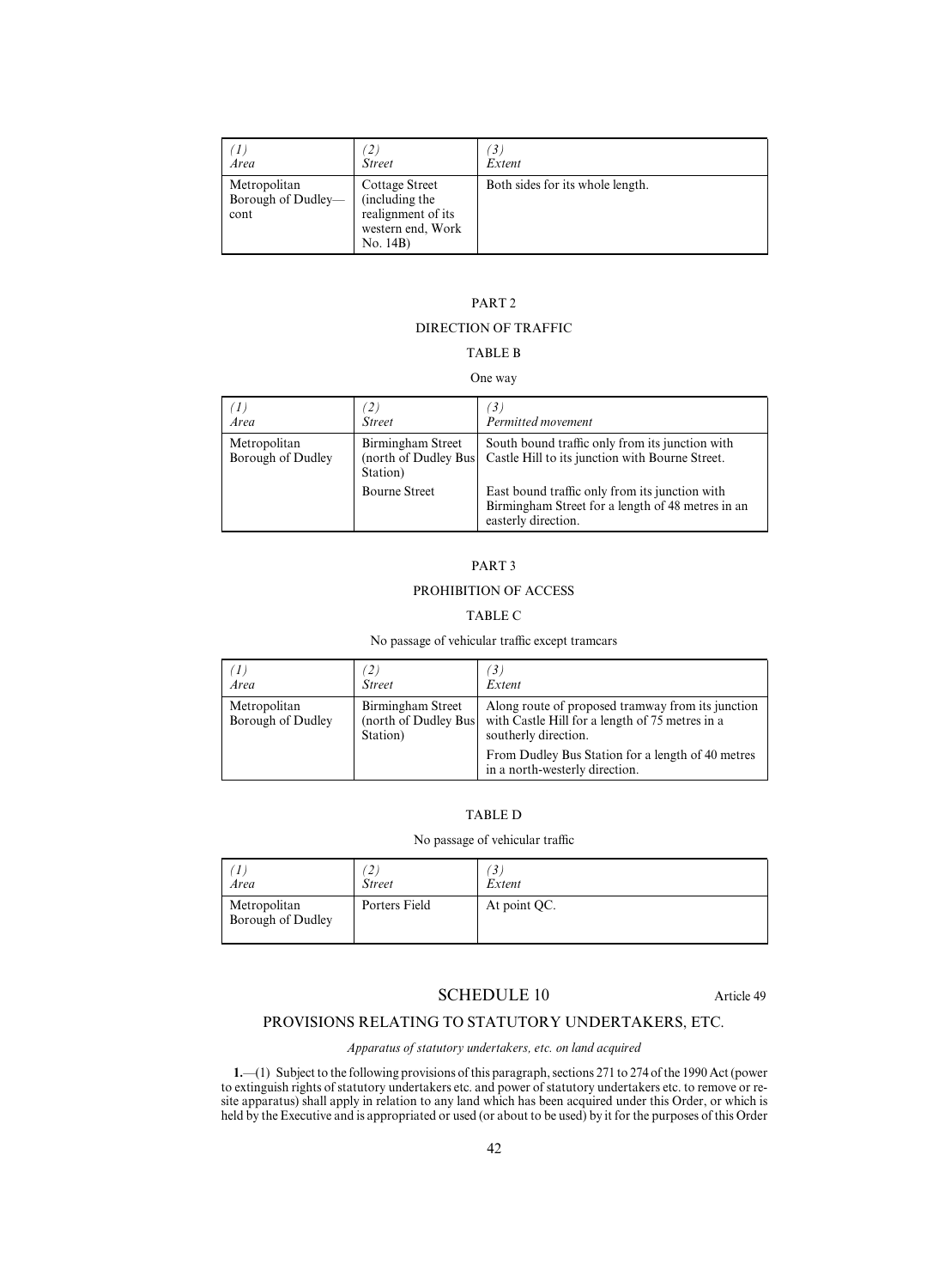| Area                                       | <b>Street</b>                                                                           | 3.<br>Extent                     |
|--------------------------------------------|-----------------------------------------------------------------------------------------|----------------------------------|
| Metropolitan<br>Borough of Dudley-<br>cont | Cottage Street<br>(including the<br>realignment of its<br>western end, Work<br>No. 14B) | Both sides for its whole length. |

# PART 2

## DIRECTION OF TRAFFIC

## TABLE B

## One way

| $\mathcal{I}$<br>Area             | $\mathbf{2}$<br><b>Street</b>                         | $\mathfrak{B}$<br>Permitted movement                                                                                       |
|-----------------------------------|-------------------------------------------------------|----------------------------------------------------------------------------------------------------------------------------|
| Metropolitan<br>Borough of Dudley | Birmingham Street<br>(north of Dudley Bus<br>Station) | South bound traffic only from its junction with<br>Castle Hill to its junction with Bourne Street.                         |
|                                   | <b>Bourne Street</b>                                  | East bound traffic only from its junction with<br>Birmingham Street for a length of 48 metres in an<br>easterly direction. |

## PART 3

## PROHIBITION OF ACCESS

## TABLE C

## No passage of vehicular traffic except tramcars

| $\left(1\right)$<br>Area          | $\mathbf{2},$<br><b>Street</b>                         | 3.<br>Extent                                                                                                                 |
|-----------------------------------|--------------------------------------------------------|------------------------------------------------------------------------------------------------------------------------------|
| Metropolitan<br>Borough of Dudley | Birmingham Street<br>(north of Dudley Bus)<br>Station) | Along route of proposed tramway from its junction<br>with Castle Hill for a length of 75 metres in a<br>southerly direction. |
|                                   |                                                        | From Dudley Bus Station for a length of 40 metres<br>in a north-westerly direction.                                          |

## TABLE D

## No passage of vehicular traffic

| Area                              | ∠<br><b>Street</b> | $\mathcal{I}$<br>Extent |
|-----------------------------------|--------------------|-------------------------|
| Metropolitan<br>Borough of Dudley | Porters Field      | At point QC.            |

## SCHEDULE 10 Article 49

# PROVISIONS RELATING TO STATUTORY UNDERTAKERS, ETC.

*Apparatus of statutory undertakers, etc. on land acquired*

**1.**—(1) Subject to the following provisions of this paragraph, sections 271 to 274 of the 1990 Act (power to extinguish rights of statutory undertakers etc. and power of statutory undertakers etc. to remove or resite apparatus) shall apply in relation to any land which has been acquired under this Order, or which is held by the Executive and is appropriated or used (or about to be used) by it for the purposes of this Order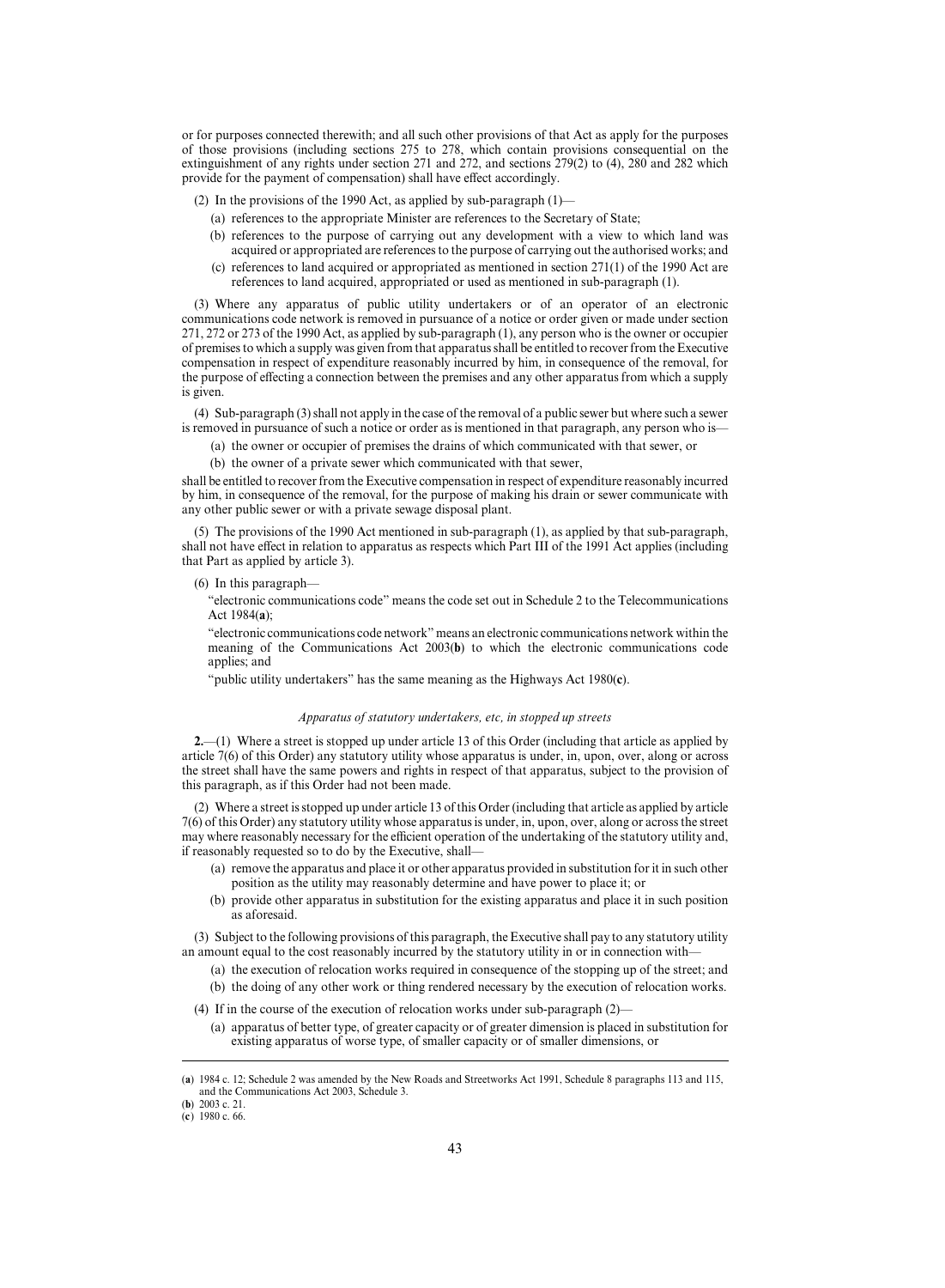or for purposes connected therewith; and all such other provisions of that Act as apply for the purposes of those provisions (including sections 275 to 278, which contain provisions consequential on the extinguishment of any rights under section 271 and 272, and sections 279(2) to (4), 280 and 282 which provide for the payment of compensation) shall have effect accordingly.

(2) In the provisions of the 1990 Act, as applied by sub-paragraph (1)—

- (a) references to the appropriate Minister are references to the Secretary of State;
- (b) references to the purpose of carrying out any development with a view to which land was acquired or appropriated are references to the purpose of carrying out the authorised works; and
- (c) references to land acquired or appropriated as mentioned in section 271(1) of the 1990 Act are references to land acquired, appropriated or used as mentioned in sub-paragraph (1).

(3) Where any apparatus of public utility undertakers or of an operator of an electronic communications code network is removed in pursuance of a notice or order given or made under section 271, 272 or 273 of the 1990 Act, as applied by sub-paragraph (1), any person who is the owner or occupier of premises to which a supply was given from that apparatus shall be entitled to recover from the Executive compensation in respect of expenditure reasonably incurred by him, in consequence of the removal, for the purpose of effecting a connection between the premises and any other apparatus from which a supply is given.

(4) Sub-paragraph (3) shall not apply in the case of the removal of a public sewer but where such a sewer is removed in pursuance of such a notice or order as is mentioned in that paragraph, any person who is—

- (a) the owner or occupier of premises the drains of which communicated with that sewer, or
- (b) the owner of a private sewer which communicated with that sewer,

shall be entitled to recover from the Executive compensation in respect of expenditure reasonably incurred by him, in consequence of the removal, for the purpose of making his drain or sewer communicate with any other public sewer or with a private sewage disposal plant.

(5) The provisions of the 1990 Act mentioned in sub-paragraph (1), as applied by that sub-paragraph, shall not have effect in relation to apparatus as respects which Part III of the 1991 Act applies (including that Part as applied by article 3).

(6) In this paragraph—

"electronic communications code" means the code set out in Schedule 2 to the Telecommunications Act 1984(**a**);

"electronic communications code network" means an electronic communications network within the meaning of the Communications Act 2003(**b**) to which the electronic communications code applies; and

"public utility undertakers" has the same meaning as the Highways Act 1980(**c**).

## *Apparatus of statutory undertakers, etc, in stopped up streets*

**2.**—(1) Where a street is stopped up under article 13 of this Order (including that article as applied by article 7(6) of this Order) any statutory utility whose apparatus is under, in, upon, over, along or across the street shall have the same powers and rights in respect of that apparatus, subject to the provision of this paragraph, as if this Order had not been made.

(2) Where a street is stopped up under article 13 of this Order (including that article as applied by article 7(6) of this Order) any statutory utility whose apparatus is under, in, upon, over, along or across the street may where reasonably necessary for the efficient operation of the undertaking of the statutory utility and, if reasonably requested so to do by the Executive, shall—

- (a) remove the apparatus and place it or other apparatus provided in substitution for it in such other position as the utility may reasonably determine and have power to place it; or
- (b) provide other apparatus in substitution for the existing apparatus and place it in such position as aforesaid.

(3) Subject to the following provisions of this paragraph, the Executive shall pay to any statutory utility an amount equal to the cost reasonably incurred by the statutory utility in or in connection with—

- (a) the execution of relocation works required in consequence of the stopping up of the street; and
- (b) the doing of any other work or thing rendered necessary by the execution of relocation works.

(4) If in the course of the execution of relocation works under sub-paragraph (2)—

(a) apparatus of better type, of greater capacity or of greater dimension is placed in substitution for existing apparatus of worse type, of smaller capacity or of smaller dimensions, or

<sup>( 1984</sup> c. 12; Schedule 2 was amended by the New Roads and Streetworks Act 1991, Schedule 8 paragraphs 113 and 115, **a**) and the Communications Act 2003, Schedule 3.

<sup>(</sup>**b**) 2003 c. 21.

<sup>(</sup>c) 1980 c. 66.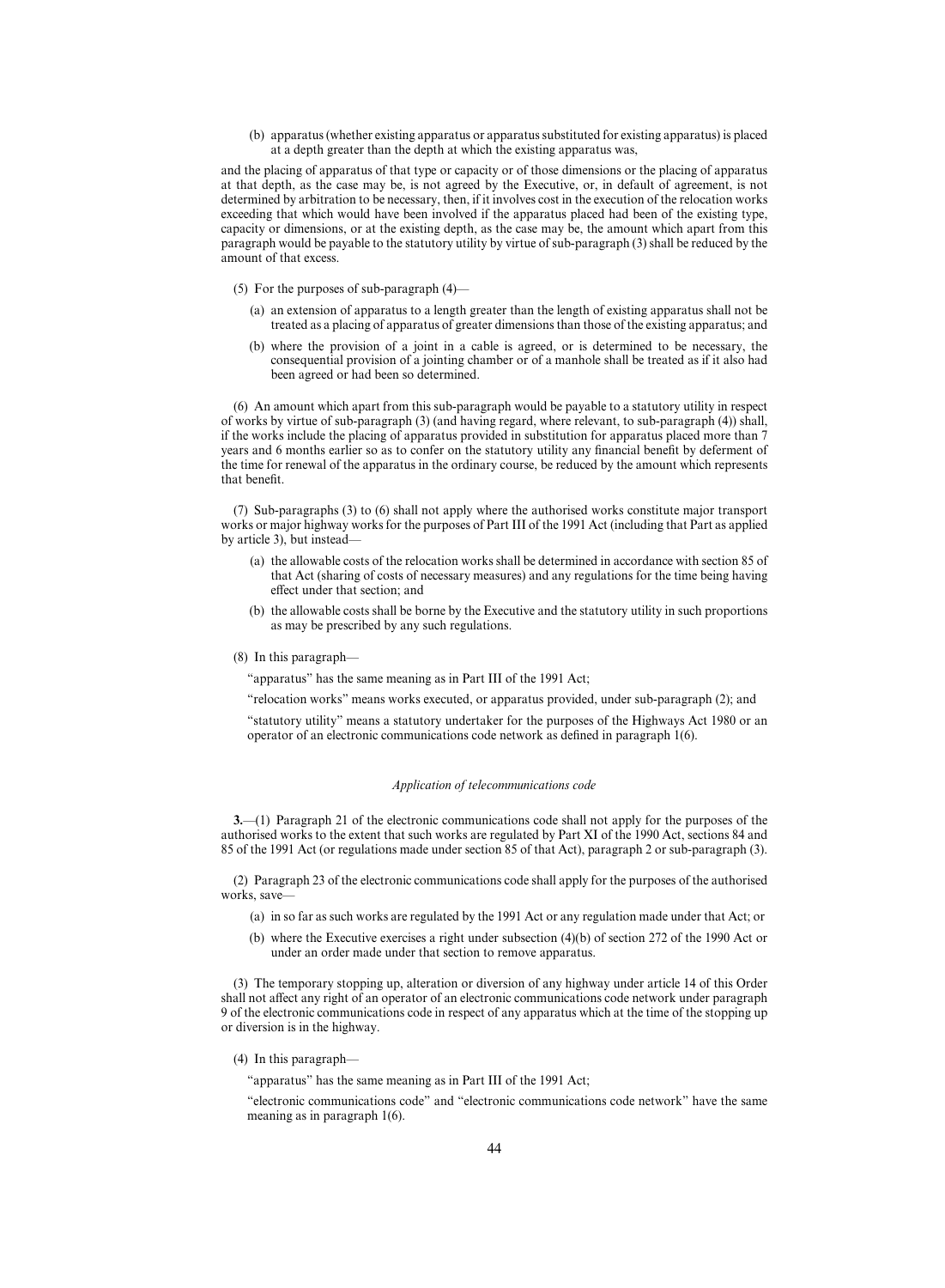(b) apparatus (whether existing apparatus or apparatus substituted for existing apparatus) is placed at a depth greater than the depth at which the existing apparatus was,

and the placing of apparatus of that type or capacity or of those dimensions or the placing of apparatus at that depth, as the case may be, is not agreed by the Executive, or, in default of agreement, is not determined by arbitration to be necessary, then, if it involves cost in the execution of the relocation works exceeding that which would have been involved if the apparatus placed had been of the existing type, capacity or dimensions, or at the existing depth, as the case may be, the amount which apart from this paragraph would be payable to the statutory utility by virtue of sub-paragraph (3) shall be reduced by the amount of that excess.

- (5) For the purposes of sub-paragraph (4)—
	- (a) an extension of apparatus to a length greater than the length of existing apparatus shall not be treated as a placing of apparatus of greater dimensions than those of the existing apparatus; and
	- (b) where the provision of a joint in a cable is agreed, or is determined to be necessary, the consequential provision of a jointing chamber or of a manhole shall be treated as if it also had been agreed or had been so determined.

(6) An amount which apart from this sub-paragraph would be payable to a statutory utility in respect of works by virtue of sub-paragraph (3) (and having regard, where relevant, to sub-paragraph (4)) shall, if the works include the placing of apparatus provided in substitution for apparatus placed more than 7 years and 6 months earlier so as to confer on the statutory utility any financial benefit by deferment of the time for renewal of the apparatus in the ordinary course, be reduced by the amount which represents that benefit.

(7) Sub-paragraphs (3) to (6) shall not apply where the authorised works constitute major transport works or major highway works for the purposes of Part III of the 1991 Act (including that Part as applied by article 3), but instead—

- (a) the allowable costs of the relocation works shall be determined in accordance with section 85 of that Act (sharing of costs of necessary measures) and any regulations for the time being having effect under that section; and
- (b) the allowable costs shall be borne by the Executive and the statutory utility in such proportions as may be prescribed by any such regulations.

#### (8) In this paragraph—

"apparatus" has the same meaning as in Part III of the 1991 Act;

"relocation works" means works executed, or apparatus provided, under sub-paragraph (2); and

"statutory utility" means a statutory undertaker for the purposes of the Highways Act 1980 or an operator of an electronic communications code network as defined in paragraph 1(6).

## *Application of telecommunications code*

**3.**—(1) Paragraph 21 of the electronic communications code shall not apply for the purposes of the authorised works to the extent that such works are regulated by Part XI of the 1990 Act, sections 84 and 85 of the 1991 Act (or regulations made under section 85 of that Act), paragraph 2 or sub-paragraph (3).

(2) Paragraph 23 of the electronic communications code shall apply for the purposes of the authorised works, save—

- (a) in so far as such works are regulated by the 1991 Act or any regulation made under that Act; or
- (b) where the Executive exercises a right under subsection (4)(b) of section 272 of the 1990 Act or under an order made under that section to remove apparatus.

(3) The temporary stopping up, alteration or diversion of any highway under article 14 of this Order shall not affect any right of an operator of an electronic communications code network under paragraph 9 of the electronic communications code in respect of any apparatus which at the time of the stopping up or diversion is in the highway.

#### (4) In this paragraph—

"apparatus" has the same meaning as in Part III of the 1991 Act;

"electronic communications code" and "electronic communications code network" have the same meaning as in paragraph 1(6).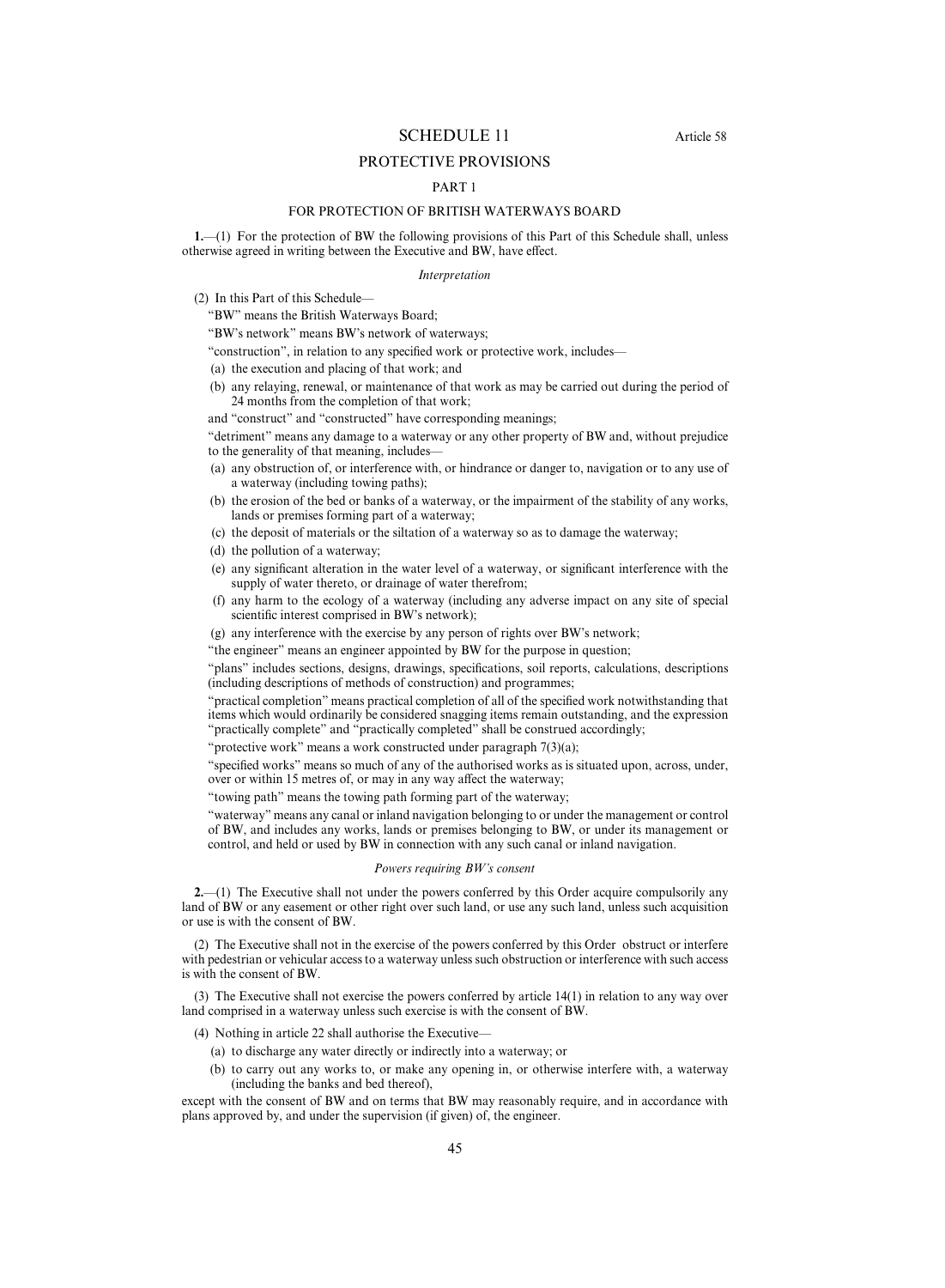## SCHEDULE 11 Article 58

## PROTECTIVE PROVISIONS

## PART 1

## FOR PROTECTION OF BRITISH WATERWAYS BOARD

**1.**—(1) For the protection of BW the following provisions of this Part of this Schedule shall, unless otherwise agreed in writing between the Executive and BW, have effect.

## *Interpretation*

(2) In this Part of this Schedule—

"BW" means the British Waterways Board;

"BW's network" means BW's network of waterways;

- "construction", in relation to any specified work or protective work, includes—
- (a) the execution and placing of that work; and
- (b) any relaying, renewal, or maintenance of that work as may be carried out during the period of 24 months from the completion of that work;

and "construct" and "constructed" have corresponding meanings;

"detriment" means any damage to a waterway or any other property of BW and, without prejudice to the generality of that meaning, includes—

- (a) any obstruction of, or interference with, or hindrance or danger to, navigation or to any use of a waterway (including towing paths);
- (b) the erosion of the bed or banks of a waterway, or the impairment of the stability of any works, lands or premises forming part of a waterway;
- (c) the deposit of materials or the siltation of a waterway so as to damage the waterway;
- (d) the pollution of a waterway;
- (e) any significant alteration in the water level of a waterway, or significant interference with the supply of water thereto, or drainage of water therefrom;
- (f) any harm to the ecology of a waterway (including any adverse impact on any site of special scientific interest comprised in BW's network);
- (g) any interference with the exercise by any person of rights over BW's network;
- "the engineer" means an engineer appointed by BW for the purpose in question;

"plans" includes sections, designs, drawings, specifications, soil reports, calculations, descriptions (including descriptions of methods of construction) and programmes;

"practical completion" means practical completion of all of the specified work notwithstanding that items which would ordinarily be considered snagging items remain outstanding, and the expression "practically complete" and "practically completed" shall be construed accordingly;

"protective work" means a work constructed under paragraph  $7(3)(a)$ ;

"specified works" means so much of any of the authorised works as is situated upon, across, under, over or within 15 metres of, or may in any way affect the waterway;

"towing path" means the towing path forming part of the waterway;

"waterway" means any canal or inland navigation belonging to or under the management or control of BW, and includes any works, lands or premises belonging to BW, or under its management or control, and held or used by BW in connection with any such canal or inland navigation.

## *Powers requiring BW's consent*

**2.**—(1) The Executive shall not under the powers conferred by this Order acquire compulsorily any land of BW or any easement or other right over such land, or use any such land, unless such acquisition or use is with the consent of BW.

(2) The Executive shall not in the exercise of the powers conferred by this Order obstruct or interfere with pedestrian or vehicular access to a waterway unless such obstruction or interference with such access is with the consent of BW.

(3) The Executive shall not exercise the powers conferred by article 14(1) in relation to any way over land comprised in a waterway unless such exercise is with the consent of BW.

(4) Nothing in article 22 shall authorise the Executive—

- (a) to discharge any water directly or indirectly into a waterway; or
- (b) to carry out any works to, or make any opening in, or otherwise interfere with, a waterway (including the banks and bed thereof),

except with the consent of BW and on terms that BW may reasonably require, and in accordance with plans approved by, and under the supervision (if given) of, the engineer.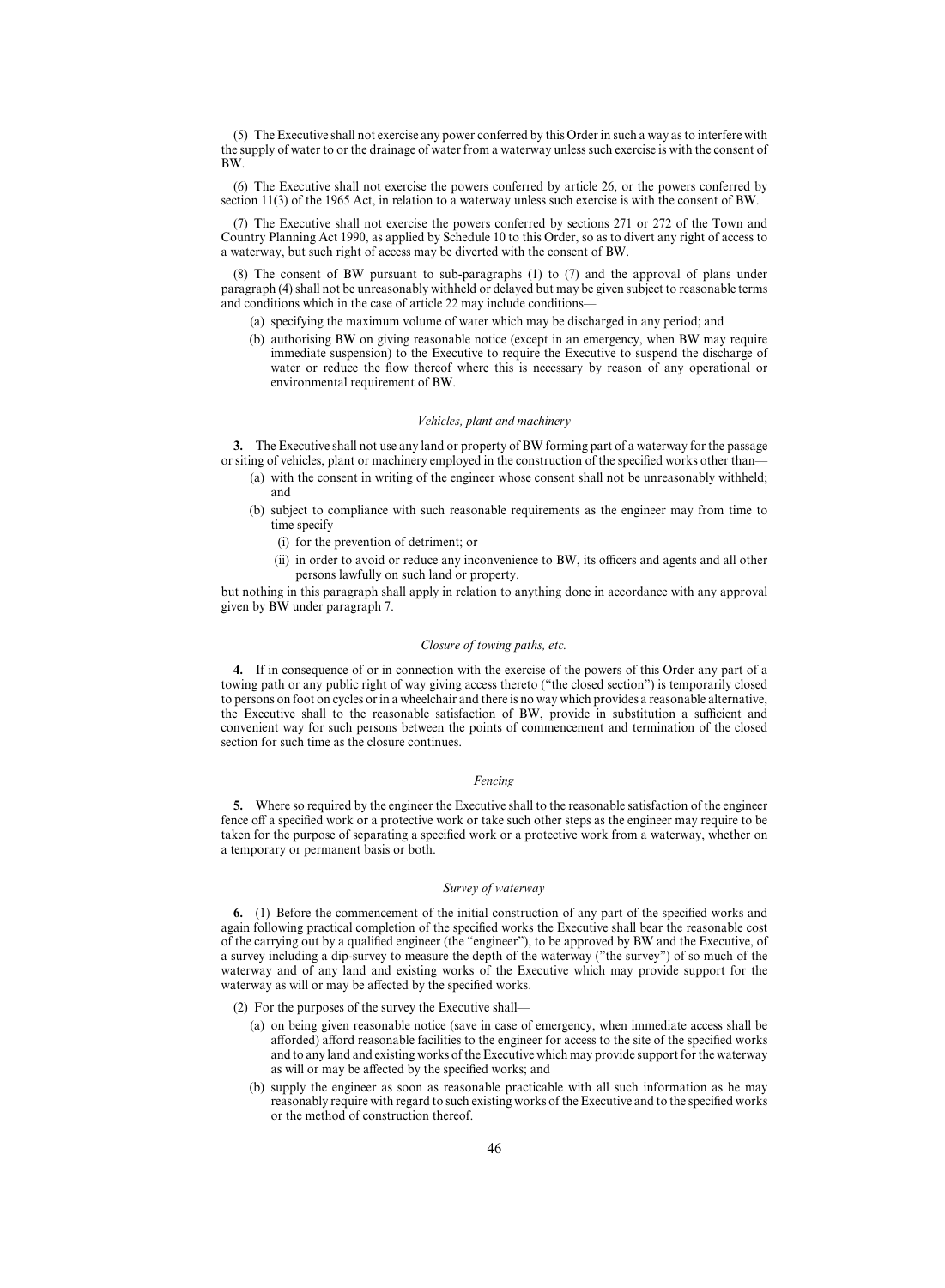(5) The Executive shall not exercise any power conferred by this Order in such a way as to interfere with the supply of water to or the drainage of water from a waterway unless such exercise is with the consent of BW.

(6) The Executive shall not exercise the powers conferred by article 26, or the powers conferred by section 11(3) of the 1965 Act, in relation to a waterway unless such exercise is with the consent of BW.

(7) The Executive shall not exercise the powers conferred by sections 271 or 272 of the Town and Country Planning Act 1990, as applied by Schedule 10 to this Order, so as to divert any right of access to a waterway, but such right of access may be diverted with the consent of BW.

(8) The consent of BW pursuant to sub-paragraphs (1) to (7) and the approval of plans under paragraph (4) shall not be unreasonably withheld or delayed but may be given subject to reasonable terms and conditions which in the case of article 22 may include conditions—

- (a) specifying the maximum volume of water which may be discharged in any period; and
- (b) authorising BW on giving reasonable notice (except in an emergency, when BW may require immediate suspension) to the Executive to require the Executive to suspend the discharge of water or reduce the flow thereof where this is necessary by reason of any operational or environmental requirement of BW.

#### *Vehicles, plant and machinery*

**3.** The Executive shall not use any land or property of BW forming part of a waterway for the passage or siting of vehicles, plant or machinery employed in the construction of the specified works other than—

- (a) with the consent in writing of the engineer whose consent shall not be unreasonably withheld; and
- (b) subject to compliance with such reasonable requirements as the engineer may from time to time specify—
	- (i) for the prevention of detriment; or
	- (ii) in order to avoid or reduce any inconvenience to BW, its officers and agents and all other persons lawfully on such land or property.

but nothing in this paragraph shall apply in relation to anything done in accordance with any approval given by BW under paragraph 7.

## *Closure of towing paths, etc.*

**4.** If in consequence of or in connection with the exercise of the powers of this Order any part of a towing path or any public right of way giving access thereto ("the closed section") is temporarily closed to persons on foot on cycles or in a wheelchair and there is no way which provides a reasonable alternative, the Executive shall to the reasonable satisfaction of BW, provide in substitution a sufficient and convenient way for such persons between the points of commencement and termination of the closed section for such time as the closure continues.

#### *Fencing*

**5.** Where so required by the engineer the Executive shall to the reasonable satisfaction of the engineer fence off a specified work or a protective work or take such other steps as the engineer may require to be taken for the purpose of separating a specified work or a protective work from a waterway, whether on a temporary or permanent basis or both.

#### *Survey of waterway*

**6.**—(1) Before the commencement of the initial construction of any part of the specified works and again following practical completion of the specified works the Executive shall bear the reasonable cost of the carrying out by a qualified engineer (the "engineer"), to be approved by BW and the Executive, of a survey including a dip-survey to measure the depth of the waterway ("the survey") of so much of the waterway and of any land and existing works of the Executive which may provide support for the waterway as will or may be affected by the specified works.

(2) For the purposes of the survey the Executive shall—

- (a) on being given reasonable notice (save in case of emergency, when immediate access shall be afforded) afford reasonable facilities to the engineer for access to the site of the specified works and to any land and existing works of the Executive which may provide support for the waterway as will or may be affected by the specified works; and
- (b) supply the engineer as soon as reasonable practicable with all such information as he may reasonably require with regard to such existing works of the Executive and to the specified works or the method of construction thereof.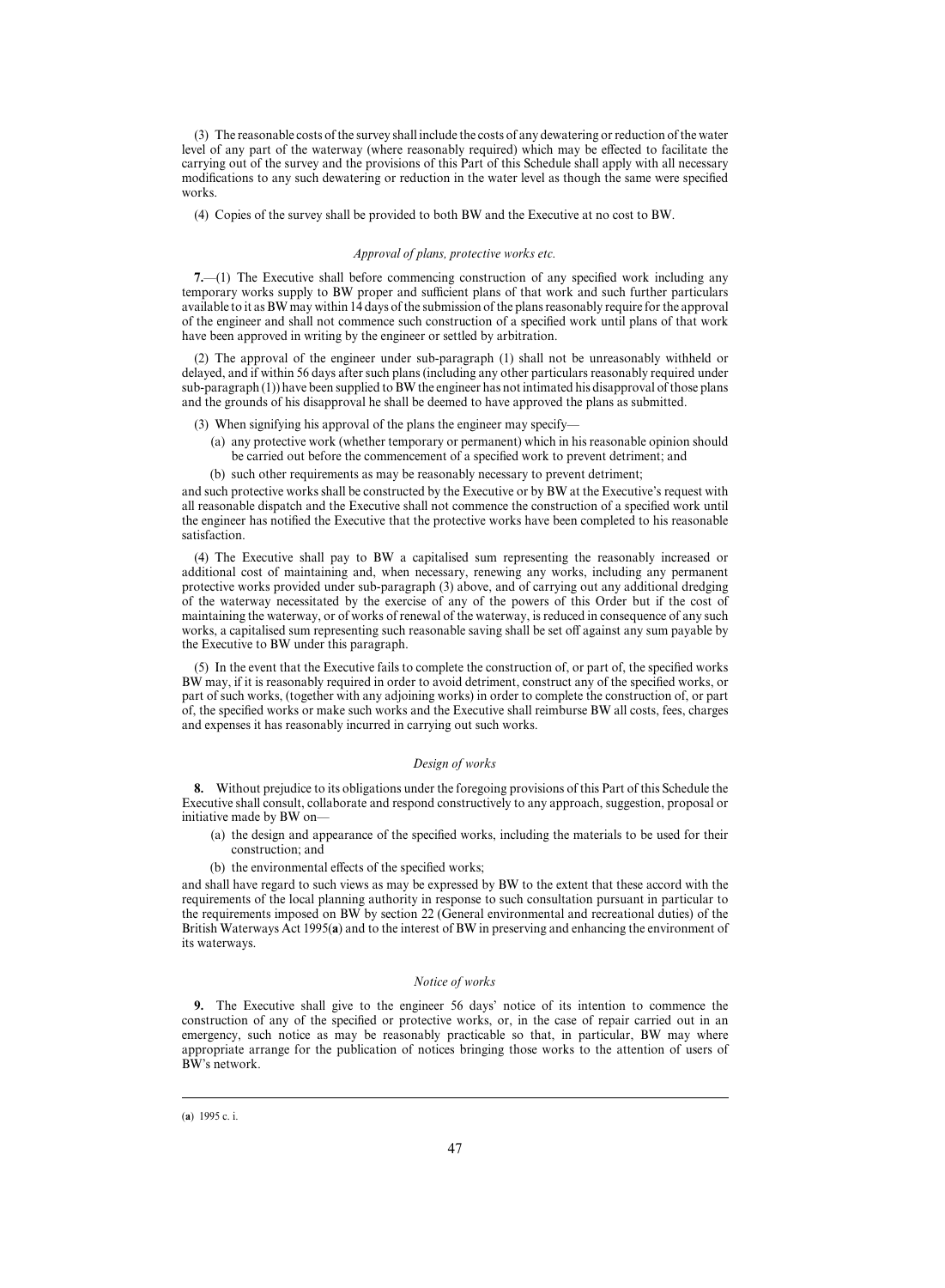(3) The reasonable costs of the survey shall include the costs of any dewatering or reduction of the water level of any part of the waterway (where reasonably required) which may be effected to facilitate the carrying out of the survey and the provisions of this Part of this Schedule shall apply with all necessary modifications to any such dewatering or reduction in the water level as though the same were specified works.

(4) Copies of the survey shall be provided to both BW and the Executive at no cost to BW.

#### *Approval of plans, protective works etc.*

**7.**—(1) The Executive shall before commencing construction of any specified work including any temporary works supply to BW proper and sufficient plans of that work and such further particulars available to it as BW may within 14 days of the submission of the plans reasonably require for the approval of the engineer and shall not commence such construction of a specified work until plans of that work have been approved in writing by the engineer or settled by arbitration.

(2) The approval of the engineer under sub-paragraph (1) shall not be unreasonably withheld or delayed, and if within 56 days after such plans (including any other particulars reasonably required under sub-paragraph (1)) have been supplied to BW the engineer has not intimated his disapproval of those plans and the grounds of his disapproval he shall be deemed to have approved the plans as submitted.

- (3) When signifying his approval of the plans the engineer may specify—
	- (a) any protective work (whether temporary or permanent) which in his reasonable opinion should be carried out before the commencement of a specified work to prevent detriment; and
	- (b) such other requirements as may be reasonably necessary to prevent detriment;

and such protective works shall be constructed by the Executive or by BW at the Executive's request with all reasonable dispatch and the Executive shall not commence the construction of a specified work until the engineer has notified the Executive that the protective works have been completed to his reasonable satisfaction.

(4) The Executive shall pay to BW a capitalised sum representing the reasonably increased or additional cost of maintaining and, when necessary, renewing any works, including any permanent protective works provided under sub-paragraph (3) above, and of carrying out any additional dredging of the waterway necessitated by the exercise of any of the powers of this Order but if the cost of maintaining the waterway, or of works of renewal of the waterway, is reduced in consequence of any such works, a capitalised sum representing such reasonable saving shall be set off against any sum payable by the Executive to BW under this paragraph.

(5) In the event that the Executive fails to complete the construction of, or part of, the specified works BW may, if it is reasonably required in order to avoid detriment, construct any of the specified works, or part of such works, (together with any adjoining works) in order to complete the construction of, or part of, the specified works or make such works and the Executive shall reimburse BW all costs, fees, charges and expenses it has reasonably incurred in carrying out such works.

#### *Design of works*

**8.** Without prejudice to its obligations under the foregoing provisions of this Part of this Schedule the Executive shall consult, collaborate and respond constructively to any approach, suggestion, proposal or initiative made by BW on—

- (a) the design and appearance of the specified works, including the materials to be used for their construction; and
- (b) the environmental effects of the specified works;

and shall have regard to such views as may be expressed by BW to the extent that these accord with the requirements of the local planning authority in response to such consultation pursuant in particular to the requirements imposed on BW by section 22 (General environmental and recreational duties) of the British Waterways Act 1995(**a**) and to the interest of BW in preserving and enhancing the environment of its waterways.

#### *Notice of works*

**9.** The Executive shall give to the engineer 56 days' notice of its intention to commence the construction of any of the specified or protective works, or, in the case of repair carried out in an emergency, such notice as may be reasonably practicable so that, in particular, BW may where appropriate arrange for the publication of notices bringing those works to the attention of users of BW's network.

<sup>(</sup>a) 1995 c. i.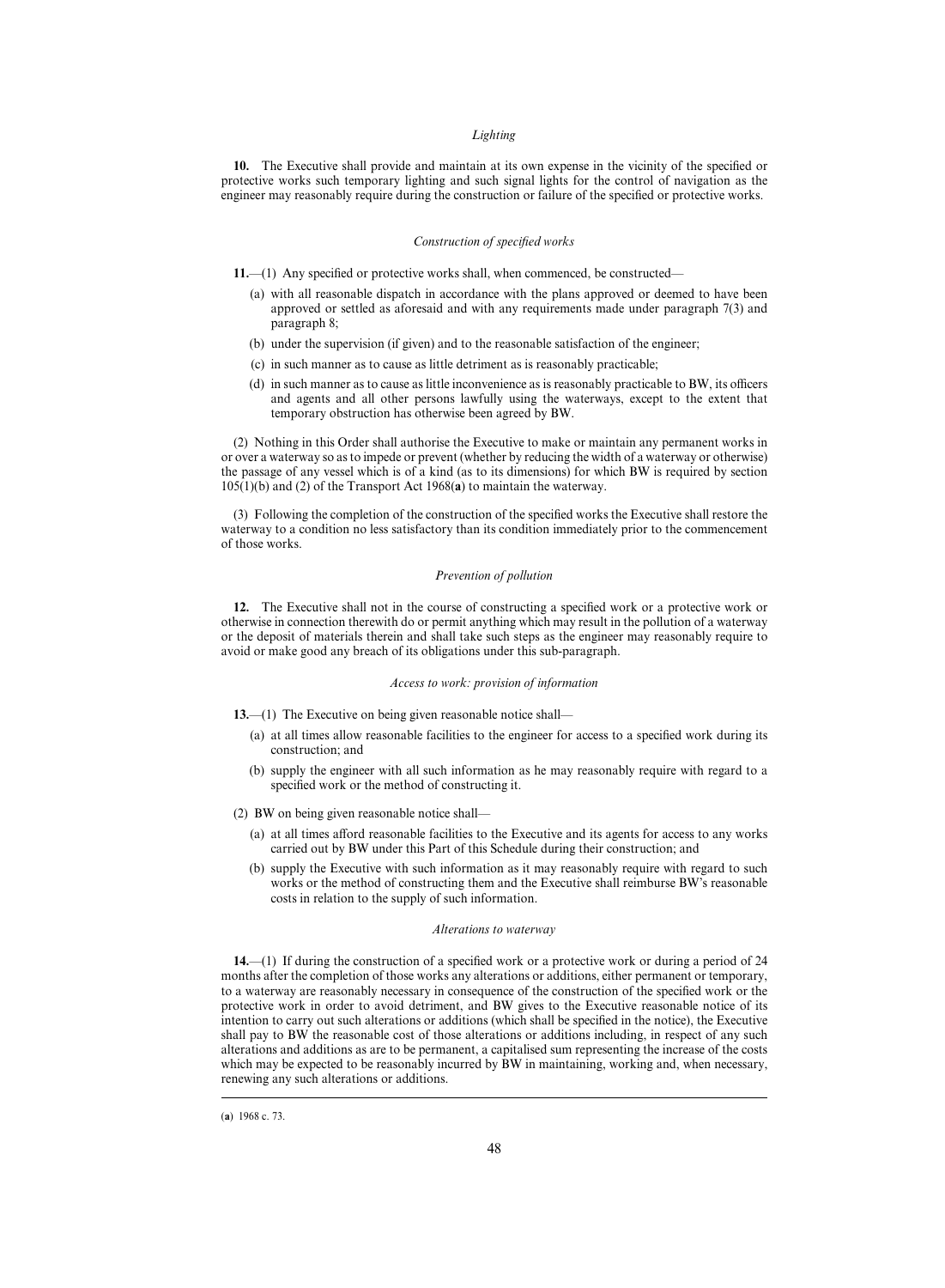#### *Lighting*

**10.** The Executive shall provide and maintain at its own expense in the vicinity of the specified or protective works such temporary lighting and such signal lights for the control of navigation as the engineer may reasonably require during the construction or failure of the specified or protective works.

#### *Construction of specified works*

**11.**—(1) Any specified or protective works shall, when commenced, be constructed—

- (a) with all reasonable dispatch in accordance with the plans approved or deemed to have been approved or settled as aforesaid and with any requirements made under paragraph 7(3) and paragraph 8;
- (b) under the supervision (if given) and to the reasonable satisfaction of the engineer;
- (c) in such manner as to cause as little detriment as is reasonably practicable;
- (d) in such manner as to cause as little inconvenience as is reasonably practicable to BW, its officers and agents and all other persons lawfully using the waterways, except to the extent that temporary obstruction has otherwise been agreed by BW.

(2) Nothing in this Order shall authorise the Executive to make or maintain any permanent works in or over a waterway so as to impede or prevent (whether by reducing the width of a waterway or otherwise) the passage of any vessel which is of a kind (as to its dimensions) for which BW is required by section 105(1)(b) and (2) of the Transport Act 1968(**a**) to maintain the waterway.

(3) Following the completion of the construction of the specified works the Executive shall restore the waterway to a condition no less satisfactory than its condition immediately prior to the commencement of those works.

## *Prevention of pollution*

**12.** The Executive shall not in the course of constructing a specified work or a protective work or otherwise in connection therewith do or permit anything which may result in the pollution of a waterway or the deposit of materials therein and shall take such steps as the engineer may reasonably require to avoid or make good any breach of its obligations under this sub-paragraph.

## *Access to work: provision of information*

**13.**—(1) The Executive on being given reasonable notice shall—

- (a) at all times allow reasonable facilities to the engineer for access to a specified work during its construction; and
- (b) supply the engineer with all such information as he may reasonably require with regard to a specified work or the method of constructing it.

(2) BW on being given reasonable notice shall—

- (a) at all times afford reasonable facilities to the Executive and its agents for access to any works carried out by BW under this Part of this Schedule during their construction; and
- (b) supply the Executive with such information as it may reasonably require with regard to such works or the method of constructing them and the Executive shall reimburse BW's reasonable costs in relation to the supply of such information.

#### *Alterations to waterway*

**14.**—(1) If during the construction of a specified work or a protective work or during a period of 24 months after the completion of those works any alterations or additions, either permanent or temporary, to a waterway are reasonably necessary in consequence of the construction of the specified work or the protective work in order to avoid detriment, and BW gives to the Executive reasonable notice of its intention to carry out such alterations or additions (which shall be specified in the notice), the Executive shall pay to BW the reasonable cost of those alterations or additions including, in respect of any such alterations and additions as are to be permanent, a capitalised sum representing the increase of the costs which may be expected to be reasonably incurred by BW in maintaining, working and, when necessary, renewing any such alterations or additions.

<sup>(</sup>a) 1968 c. 73.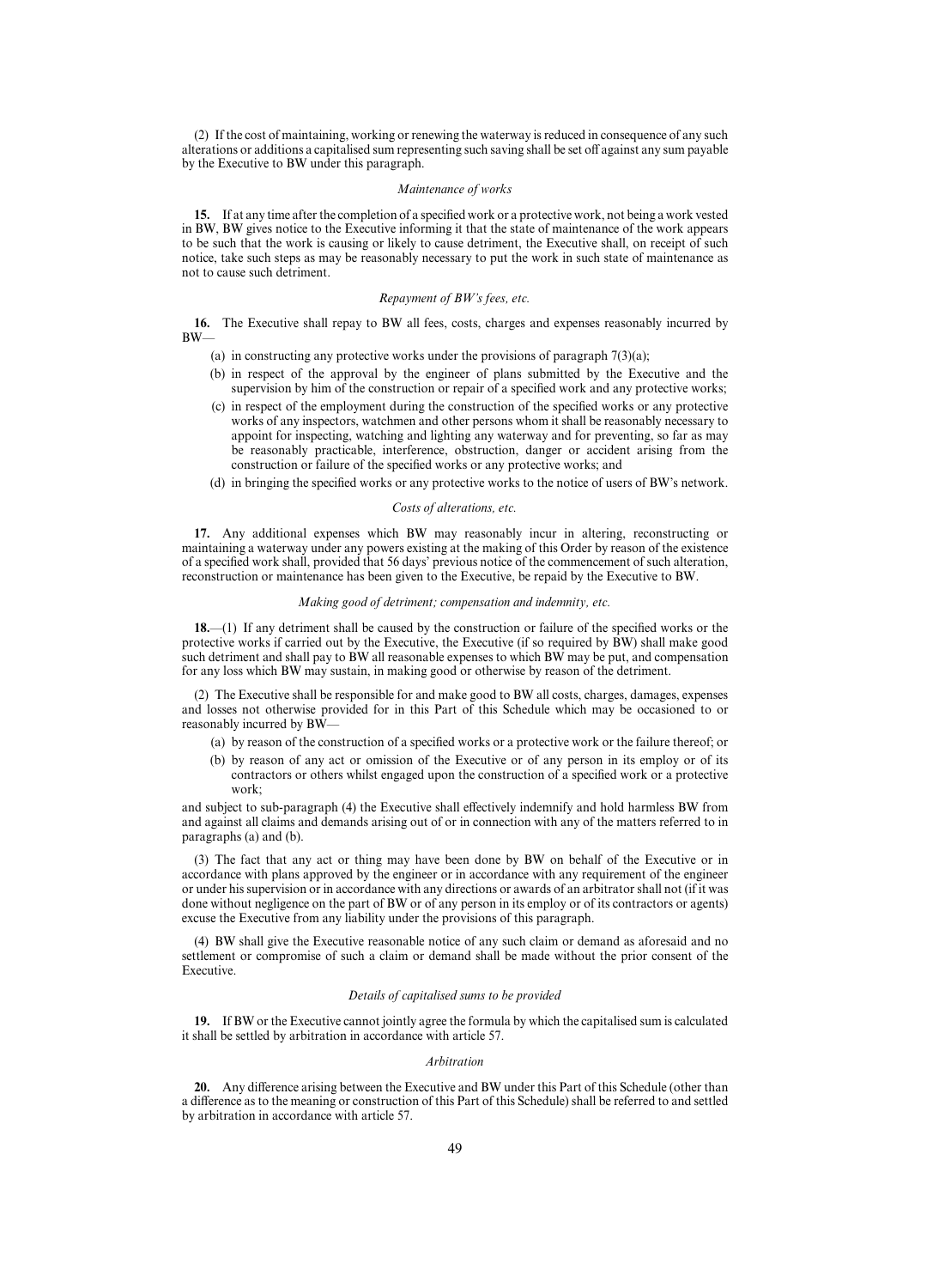(2) If the cost of maintaining, working or renewing the waterway is reduced in consequence of any such alterations or additions a capitalised sum representing such saving shall be set off against any sum payable by the Executive to BW under this paragraph.

#### *Maintenance of works*

**15.** If at any time after the completion of a specified work or a protective work, not being a work vested in BW, BW gives notice to the Executive informing it that the state of maintenance of the work appears to be such that the work is causing or likely to cause detriment, the Executive shall, on receipt of such notice, take such steps as may be reasonably necessary to put the work in such state of maintenance as not to cause such detriment.

## *Repayment of BW's fees, etc.*

**16.** The Executive shall repay to BW all fees, costs, charges and expenses reasonably incurred by BW—

- (a) in constructing any protective works under the provisions of paragraph  $7(3)(a)$ ;
- (b) in respect of the approval by the engineer of plans submitted by the Executive and the supervision by him of the construction or repair of a specified work and any protective works;
- (c) in respect of the employment during the construction of the specified works or any protective works of any inspectors, watchmen and other persons whom it shall be reasonably necessary to appoint for inspecting, watching and lighting any waterway and for preventing, so far as may be reasonably practicable, interference, obstruction, danger or accident arising from the construction or failure of the specified works or any protective works; and
- (d) in bringing the specified works or any protective works to the notice of users of BW's network.

## *Costs of alterations, etc.*

**17.** Any additional expenses which BW may reasonably incur in altering, reconstructing or maintaining a waterway under any powers existing at the making of this Order by reason of the existence of a specified work shall, provided that 56 days' previous notice of the commencement of such alteration, reconstruction or maintenance has been given to the Executive, be repaid by the Executive to BW.

#### *Making good of detriment; compensation and indemnity, etc.*

**18.**—(1) If any detriment shall be caused by the construction or failure of the specified works or the protective works if carried out by the Executive, the Executive (if so required by BW) shall make good such detriment and shall pay to BW all reasonable expenses to which BW may be put, and compensation for any loss which BW may sustain, in making good or otherwise by reason of the detriment.

(2) The Executive shall be responsible for and make good to BW all costs, charges, damages, expenses and losses not otherwise provided for in this Part of this Schedule which may be occasioned to or reasonably incurred by BW—

- (a) by reason of the construction of a specified works or a protective work or the failure thereof; or
- (b) by reason of any act or omission of the Executive or of any person in its employ or of its contractors or others whilst engaged upon the construction of a specified work or a protective work;

and subject to sub-paragraph (4) the Executive shall effectively indemnify and hold harmless BW from and against all claims and demands arising out of or in connection with any of the matters referred to in paragraphs (a) and (b).

(3) The fact that any act or thing may have been done by BW on behalf of the Executive or in accordance with plans approved by the engineer or in accordance with any requirement of the engineer or under his supervision or in accordance with any directions or awards of an arbitrator shall not (if it was done without negligence on the part of BW or of any person in its employ or of its contractors or agents) excuse the Executive from any liability under the provisions of this paragraph.

(4) BW shall give the Executive reasonable notice of any such claim or demand as aforesaid and no settlement or compromise of such a claim or demand shall be made without the prior consent of the Executive.

#### *Details of capitalised sums to be provided*

**19.** If BW or the Executive cannot jointly agree the formula by which the capitalised sum is calculated it shall be settled by arbitration in accordance with article 57.

#### *Arbitration*

**20.** Any difference arising between the Executive and BW under this Part of this Schedule (other than a difference as to the meaning or construction of this Part of this Schedule) shall be referred to and settled by arbitration in accordance with article 57.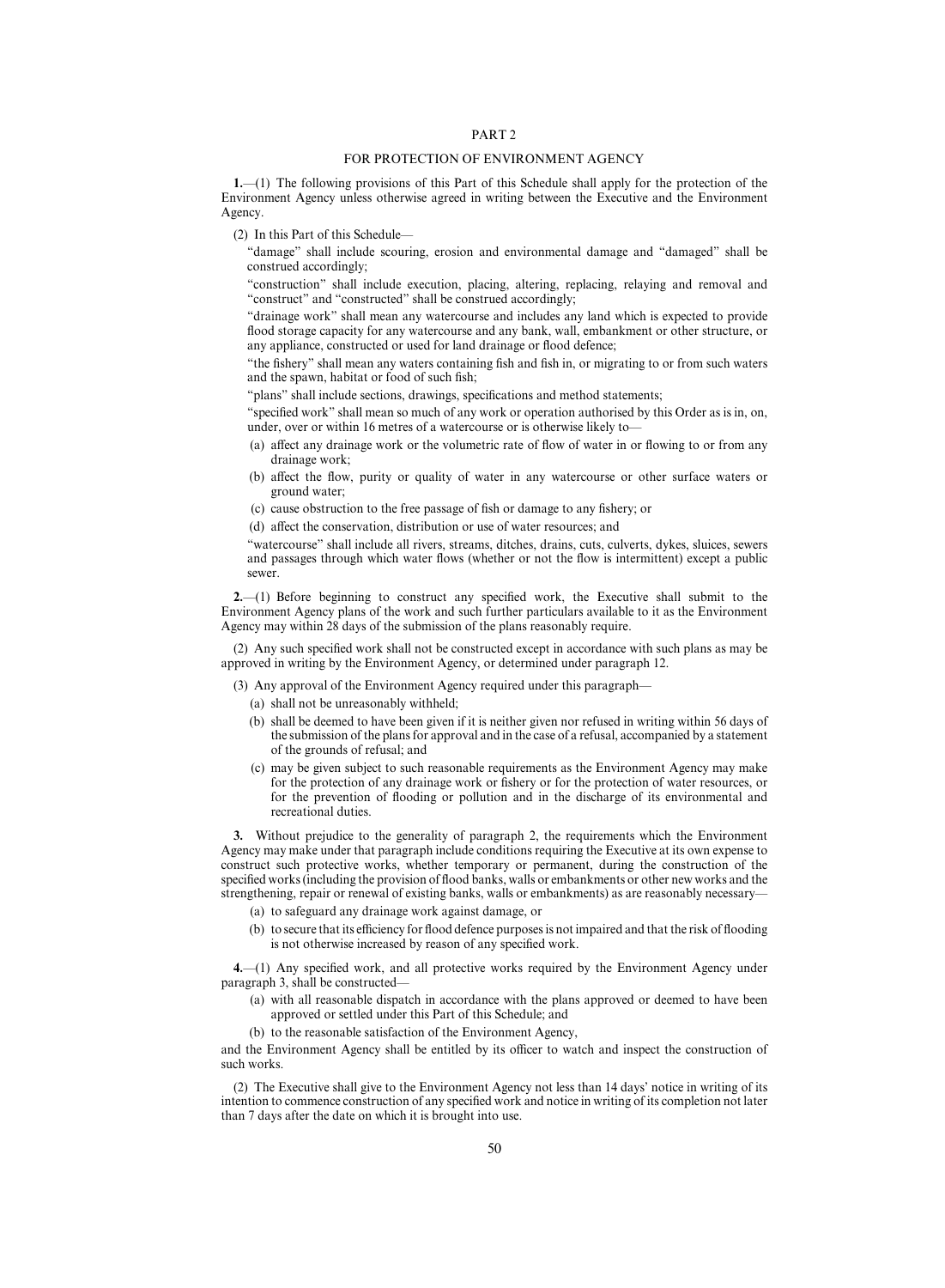## PART 2

#### FOR PROTECTION OF ENVIRONMENT AGENCY

**1.**—(1) The following provisions of this Part of this Schedule shall apply for the protection of the Environment Agency unless otherwise agreed in writing between the Executive and the Environment Agency.

(2) In this Part of this Schedule—

"damage" shall include scouring, erosion and environmental damage and "damaged" shall be construed accordingly;

"construction" shall include execution, placing, altering, replacing, relaying and removal and "construct" and "constructed" shall be construed accordingly;

"drainage work" shall mean any watercourse and includes any land which is expected to provide flood storage capacity for any watercourse and any bank, wall, embankment or other structure, or any appliance, constructed or used for land drainage or flood defence;

"the fishery" shall mean any waters containing fish and fish in, or migrating to or from such waters and the spawn, habitat or food of such fish;

"plans" shall include sections, drawings, specifications and method statements;

"specified work" shall mean so much of any work or operation authorised by this Order as is in, on, under, over or within 16 metres of a watercourse or is otherwise likely to—

- (a) affect any drainage work or the volumetric rate of flow of water in or flowing to or from any drainage work;
- (b) affect the flow, purity or quality of water in any watercourse or other surface waters or ground water;
- (c) cause obstruction to the free passage of fish or damage to any fishery; or
- (d) affect the conservation, distribution or use of water resources; and

"watercourse" shall include all rivers, streams, ditches, drains, cuts, culverts, dykes, sluices, sewers and passages through which water flows (whether or not the flow is intermittent) except a public sewer.

**2.**—(1) Before beginning to construct any specified work, the Executive shall submit to the Environment Agency plans of the work and such further particulars available to it as the Environment Agency may within 28 days of the submission of the plans reasonably require.

(2) Any such specified work shall not be constructed except in accordance with such plans as may be approved in writing by the Environment Agency, or determined under paragraph 12.

(3) Any approval of the Environment Agency required under this paragraph—

- (a) shall not be unreasonably withheld;
- (b) shall be deemed to have been given if it is neither given nor refused in writing within 56 days of the submission of the plans for approval and in the case of a refusal, accompanied by a statement of the grounds of refusal; and
- (c) may be given subject to such reasonable requirements as the Environment Agency may make for the protection of any drainage work or fishery or for the protection of water resources, or for the prevention of flooding or pollution and in the discharge of its environmental and recreational duties.

**3.** Without prejudice to the generality of paragraph 2, the requirements which the Environment Agency may make under that paragraph include conditions requiring the Executive at its own expense to construct such protective works, whether temporary or permanent, during the construction of the specified works (including the provision of flood banks, walls or embankments or other new works and the strengthening, repair or renewal of existing banks, walls or embankments) as are reasonably necessary—

- (a) to safeguard any drainage work against damage, or
- (b) to secure that its efficiency for flood defence purposes is not impaired and that the risk of flooding is not otherwise increased by reason of any specified work.

**4.**—(1) Any specified work, and all protective works required by the Environment Agency under paragraph 3, shall be constructed—

- (a) with all reasonable dispatch in accordance with the plans approved or deemed to have been approved or settled under this Part of this Schedule; and
- (b) to the reasonable satisfaction of the Environment Agency,

and the Environment Agency shall be entitled by its officer to watch and inspect the construction of such works.

(2) The Executive shall give to the Environment Agency not less than 14 days' notice in writing of its intention to commence construction of any specified work and notice in writing of its completion not later than 7 days after the date on which it is brought into use.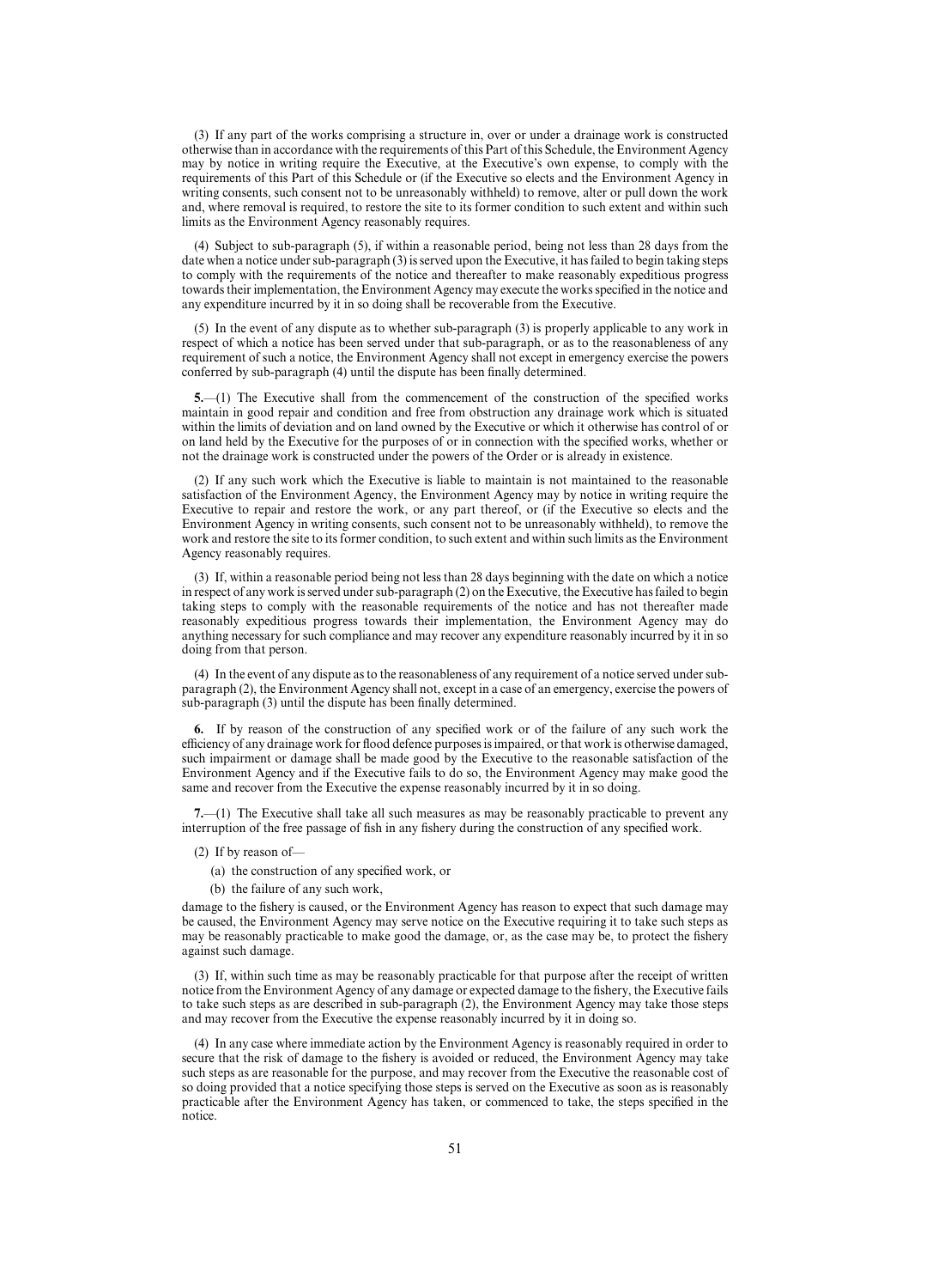(3) If any part of the works comprising a structure in, over or under a drainage work is constructed otherwise than in accordance with the requirements of this Part of this Schedule, the Environment Agency may by notice in writing require the Executive, at the Executive's own expense, to comply with the requirements of this Part of this Schedule or (if the Executive so elects and the Environment Agency in writing consents, such consent not to be unreasonably withheld) to remove, alter or pull down the work and, where removal is required, to restore the site to its former condition to such extent and within such limits as the Environment Agency reasonably requires.

(4) Subject to sub-paragraph (5), if within a reasonable period, being not less than 28 days from the date when a notice under sub-paragraph (3) is served upon the Executive, it has failed to begin taking steps to comply with the requirements of the notice and thereafter to make reasonably expeditious progress towards their implementation, the Environment Agency may execute the works specified in the notice and any expenditure incurred by it in so doing shall be recoverable from the Executive.

(5) In the event of any dispute as to whether sub-paragraph (3) is properly applicable to any work in respect of which a notice has been served under that sub-paragraph, or as to the reasonableness of any requirement of such a notice, the Environment Agency shall not except in emergency exercise the powers conferred by sub-paragraph (4) until the dispute has been finally determined.

**5.**—(1) The Executive shall from the commencement of the construction of the specified works maintain in good repair and condition and free from obstruction any drainage work which is situated within the limits of deviation and on land owned by the Executive or which it otherwise has control of or on land held by the Executive for the purposes of or in connection with the specified works, whether or not the drainage work is constructed under the powers of the Order or is already in existence.

(2) If any such work which the Executive is liable to maintain is not maintained to the reasonable satisfaction of the Environment Agency, the Environment Agency may by notice in writing require the Executive to repair and restore the work, or any part thereof, or (if the Executive so elects and the Environment Agency in writing consents, such consent not to be unreasonably withheld), to remove the work and restore the site to its former condition, to such extent and within such limits as the Environment Agency reasonably requires.

(3) If, within a reasonable period being not less than 28 days beginning with the date on which a notice in respect of any work is served under sub-paragraph (2) on the Executive, the Executive has failed to begin taking steps to comply with the reasonable requirements of the notice and has not thereafter made reasonably expeditious progress towards their implementation, the Environment Agency may do anything necessary for such compliance and may recover any expenditure reasonably incurred by it in so doing from that person.

(4) In the event of any dispute as to the reasonableness of any requirement of a notice served under subparagraph (2), the Environment Agency shall not, except in a case of an emergency, exercise the powers of sub-paragraph (3) until the dispute has been finally determined.

**6.** If by reason of the construction of any specified work or of the failure of any such work the efficiency of any drainage work for flood defence purposes is impaired, or that work is otherwise damaged, such impairment or damage shall be made good by the Executive to the reasonable satisfaction of the Environment Agency and if the Executive fails to do so, the Environment Agency may make good the same and recover from the Executive the expense reasonably incurred by it in so doing.

**7.**—(1) The Executive shall take all such measures as may be reasonably practicable to prevent any interruption of the free passage of fish in any fishery during the construction of any specified work.

(2) If by reason of—

(a) the construction of any specified work, or

(b) the failure of any such work,

damage to the fishery is caused, or the Environment Agency has reason to expect that such damage may be caused, the Environment Agency may serve notice on the Executive requiring it to take such steps as may be reasonably practicable to make good the damage, or, as the case may be, to protect the fishery against such damage.

(3) If, within such time as may be reasonably practicable for that purpose after the receipt of written notice from the Environment Agency of any damage or expected damage to the fishery, the Executive fails to take such steps as are described in sub-paragraph (2), the Environment Agency may take those steps and may recover from the Executive the expense reasonably incurred by it in doing so.

(4) In any case where immediate action by the Environment Agency is reasonably required in order to secure that the risk of damage to the fishery is avoided or reduced, the Environment Agency may take such steps as are reasonable for the purpose, and may recover from the Executive the reasonable cost of so doing provided that a notice specifying those steps is served on the Executive as soon as is reasonably practicable after the Environment Agency has taken, or commenced to take, the steps specified in the notice.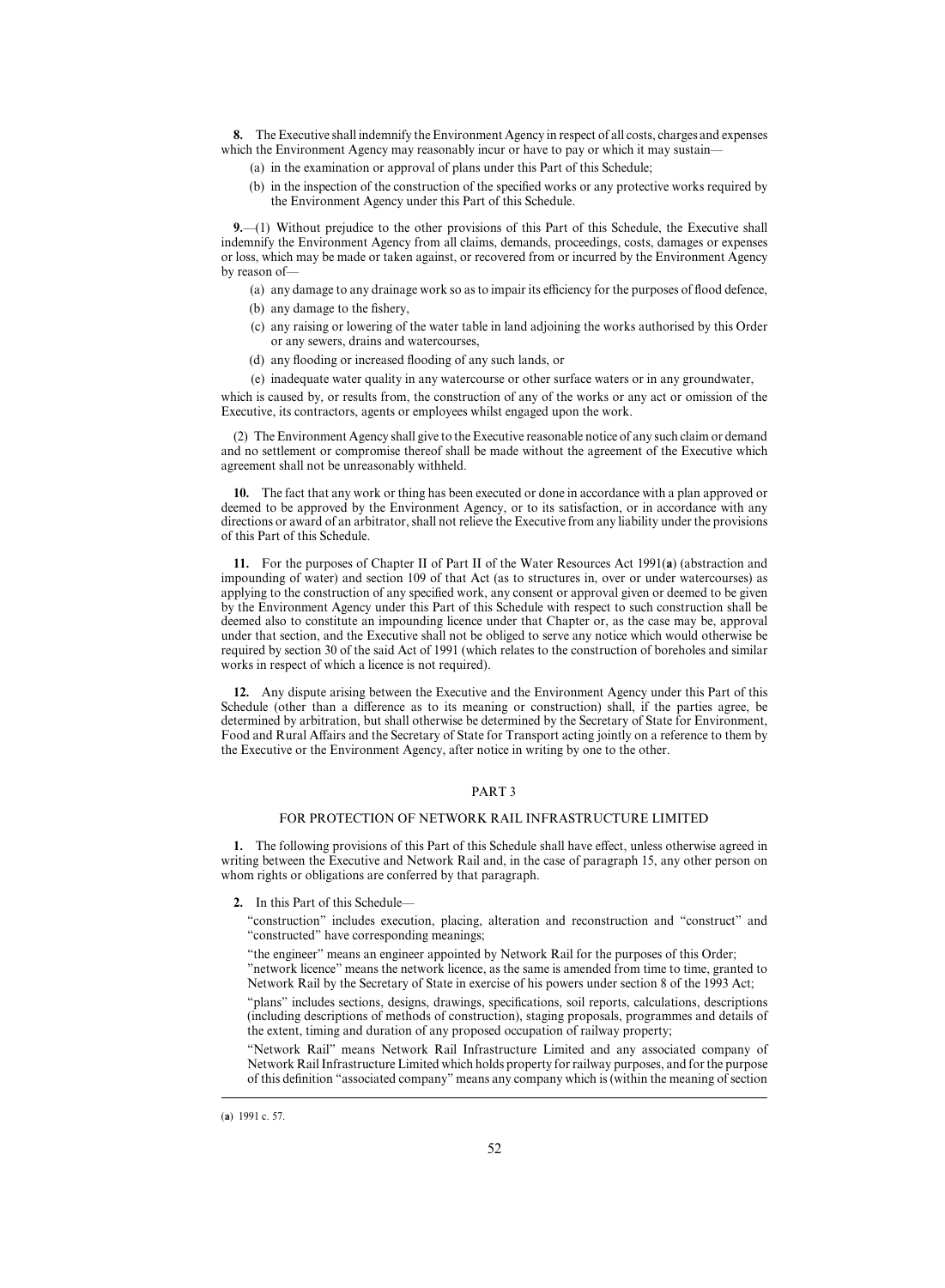**8.** The Executive shall indemnify the Environment Agency in respect of all costs, charges and expenses which the Environment Agency may reasonably incur or have to pay or which it may sustain–

- (a) in the examination or approval of plans under this Part of this Schedule;
- (b) in the inspection of the construction of the specified works or any protective works required by the Environment Agency under this Part of this Schedule.

**9.**—(1) Without prejudice to the other provisions of this Part of this Schedule, the Executive shall indemnify the Environment Agency from all claims, demands, proceedings, costs, damages or expenses or loss, which may be made or taken against, or recovered from or incurred by the Environment Agency by reason of—

- (a) any damage to any drainage work so as to impair its efficiency for the purposes of flood defence,
- (b) any damage to the fishery,
- (c) any raising or lowering of the water table in land adjoining the works authorised by this Order or any sewers, drains and watercourses,
- (d) any flooding or increased flooding of any such lands, or
- (e) inadequate water quality in any watercourse or other surface waters or in any groundwater,

which is caused by, or results from, the construction of any of the works or any act or omission of the Executive, its contractors, agents or employees whilst engaged upon the work.

(2) The Environment Agency shall give to the Executive reasonable notice of any such claim or demand and no settlement or compromise thereof shall be made without the agreement of the Executive which agreement shall not be unreasonably withheld.

**10.** The fact that any work or thing has been executed or done in accordance with a plan approved or deemed to be approved by the Environment Agency, or to its satisfaction, or in accordance with any directions or award of an arbitrator, shall not relieve the Executive from any liability under the provisions of this Part of this Schedule.

**11.** For the purposes of Chapter II of Part II of the Water Resources Act 1991(**a**) (abstraction and impounding of water) and section 109 of that Act (as to structures in, over or under watercourses) as applying to the construction of any specified work, any consent or approval given or deemed to be given by the Environment Agency under this Part of this Schedule with respect to such construction shall be deemed also to constitute an impounding licence under that Chapter or, as the case may be, approval under that section, and the Executive shall not be obliged to serve any notice which would otherwise be required by section 30 of the said Act of 1991 (which relates to the construction of boreholes and similar works in respect of which a licence is not required).

**12.** Any dispute arising between the Executive and the Environment Agency under this Part of this Schedule (other than a difference as to its meaning or construction) shall, if the parties agree, be determined by arbitration, but shall otherwise be determined by the Secretary of State for Environment, Food and Rural Affairs and the Secretary of State for Transport acting jointly on a reference to them by the Executive or the Environment Agency, after notice in writing by one to the other.

## PART 3

## FOR PROTECTION OF NETWORK RAIL INFRASTRUCTURE LIMITED

1. The following provisions of this Part of this Schedule shall have effect, unless otherwise agreed in writing between the Executive and Network Rail and, in the case of paragraph 15, any other person on whom rights or obligations are conferred by that paragraph.

**2.** In this Part of this Schedule—

"construction" includes execution, placing, alteration and reconstruction and "construct" and "constructed" have corresponding meanings;

"the engineer" means an engineer appointed by Network Rail for the purposes of this Order; "network licence" means the network licence, as the same is amended from time to time, granted to

Network Rail by the Secretary of State in exercise of his powers under section 8 of the 1993 Act;

"plans" includes sections, designs, drawings, specifications, soil reports, calculations, descriptions (including descriptions of methods of construction), staging proposals, programmes and details of the extent, timing and duration of any proposed occupation of railway property;

"Network Rail" means Network Rail Infrastructure Limited and any associated company of Network Rail Infrastructure Limited which holds property for railway purposes, and for the purpose of this definition "associated company" means any company which is (within the meaning of section

<sup>(</sup>a) 1991 c. 57.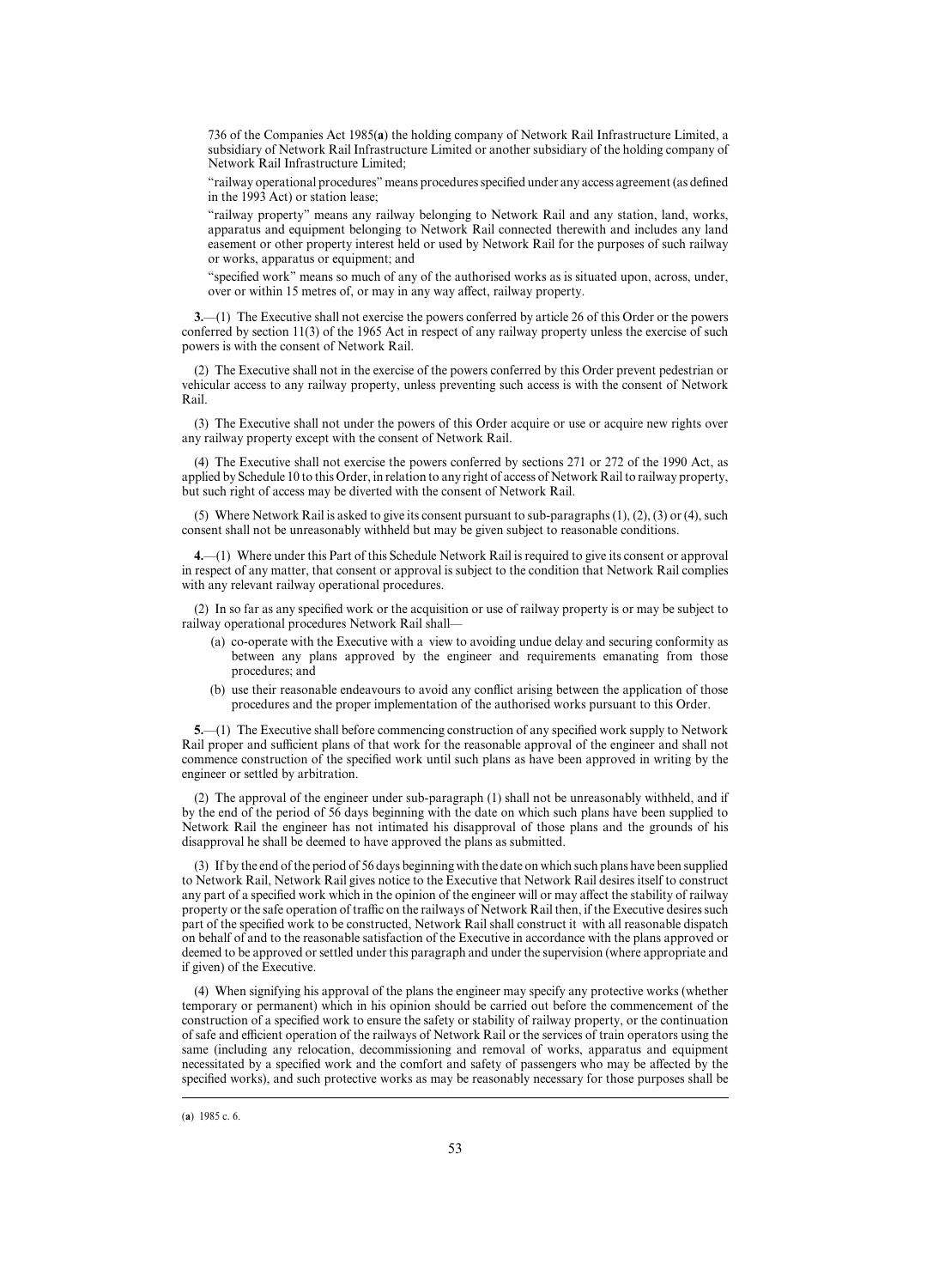736 of the Companies Act 1985(**a**) the holding company of Network Rail Infrastructure Limited, a subsidiary of Network Rail Infrastructure Limited or another subsidiary of the holding company of Network Rail Infrastructure Limited;

"railway operational procedures" means procedures specified under any access agreement (as defined in the 1993 Act) or station lease;

"railway property" means any railway belonging to Network Rail and any station, land, works, apparatus and equipment belonging to Network Rail connected therewith and includes any land easement or other property interest held or used by Network Rail for the purposes of such railway or works, apparatus or equipment; and

"specified work" means so much of any of the authorised works as is situated upon, across, under, over or within 15 metres of, or may in any way affect, railway property.

**3.**—(1) The Executive shall not exercise the powers conferred by article 26 of this Order or the powers conferred by section 11(3) of the 1965 Act in respect of any railway property unless the exercise of such powers is with the consent of Network Rail.

(2) The Executive shall not in the exercise of the powers conferred by this Order prevent pedestrian or vehicular access to any railway property, unless preventing such access is with the consent of Network Rail.

(3) The Executive shall not under the powers of this Order acquire or use or acquire new rights over any railway property except with the consent of Network Rail.

(4) The Executive shall not exercise the powers conferred by sections 271 or 272 of the 1990 Act, as applied by Schedule 10 to this Order, in relation to any right of access of Network Rail to railway property, but such right of access may be diverted with the consent of Network Rail.

(5) Where Network Rail is asked to give its consent pursuant to sub-paragraphs  $(1)$ ,  $(2)$ ,  $(3)$  or  $(4)$ , such consent shall not be unreasonably withheld but may be given subject to reasonable conditions.

**4.**—(1) Where under this Part of this Schedule Network Rail is required to give its consent or approval in respect of any matter, that consent or approval is subject to the condition that Network Rail complies with any relevant railway operational procedures.

(2) In so far as any specified work or the acquisition or use of railway property is or may be subject to railway operational procedures Network Rail shall—

- (a) co-operate with the Executive with a view to avoiding undue delay and securing conformity as between any plans approved by the engineer and requirements emanating from those procedures; and
- (b) use their reasonable endeavours to avoid any conflict arising between the application of those procedures and the proper implementation of the authorised works pursuant to this Order.

**5.**—(1) The Executive shall before commencing construction of any specified work supply to Network Rail proper and sufficient plans of that work for the reasonable approval of the engineer and shall not commence construction of the specified work until such plans as have been approved in writing by the engineer or settled by arbitration.

(2) The approval of the engineer under sub-paragraph (1) shall not be unreasonably withheld, and if by the end of the period of 56 days beginning with the date on which such plans have been supplied to Network Rail the engineer has not intimated his disapproval of those plans and the grounds of his disapproval he shall be deemed to have approved the plans as submitted.

(3) If by the end of the period of 56 days beginning with the date on which such plans have been supplied to Network Rail, Network Rail gives notice to the Executive that Network Rail desires itself to construct any part of a specified work which in the opinion of the engineer will or may affect the stability of railway property or the safe operation of traffic on the railways of Network Rail then, if the Executive desires such part of the specified work to be constructed, Network Rail shall construct it with all reasonable dispatch on behalf of and to the reasonable satisfaction of the Executive in accordance with the plans approved or deemed to be approved or settled under this paragraph and under the supervision (where appropriate and if given) of the Executive.

(4) When signifying his approval of the plans the engineer may specify any protective works (whether temporary or permanent) which in his opinion should be carried out before the commencement of the construction of a specified work to ensure the safety or stability of railway property, or the continuation of safe and efficient operation of the railways of Network Rail or the services of train operators using the same (including any relocation, decommissioning and removal of works, apparatus and equipment necessitated by a specified work and the comfort and safety of passengers who may be affected by the specified works), and such protective works as may be reasonably necessary for those purposes shall be

<sup>(</sup>a) 1985 c. 6.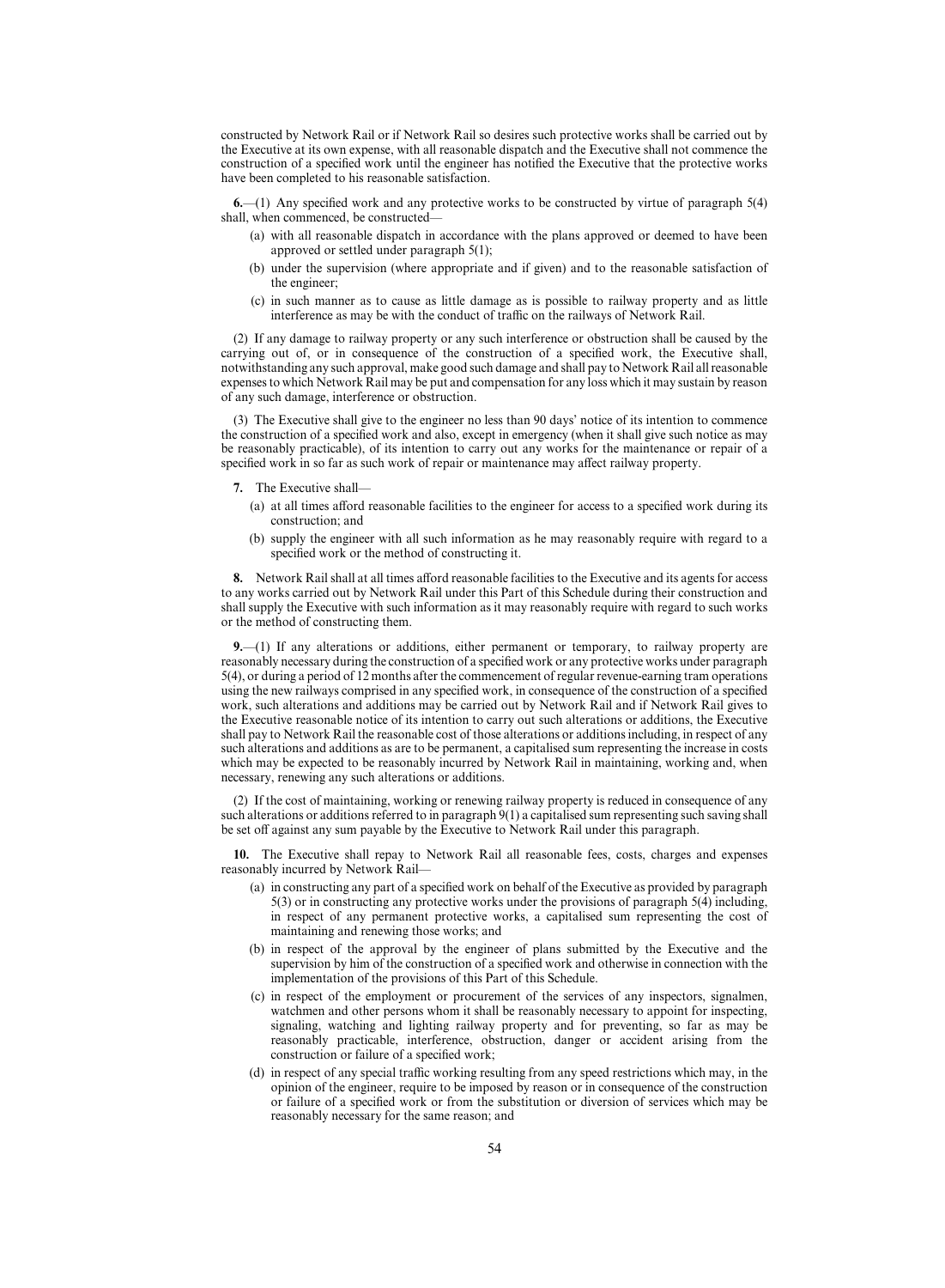constructed by Network Rail or if Network Rail so desires such protective works shall be carried out by the Executive at its own expense, with all reasonable dispatch and the Executive shall not commence the construction of a specified work until the engineer has notified the Executive that the protective works have been completed to his reasonable satisfaction.

**6.**—(1) Any specified work and any protective works to be constructed by virtue of paragraph 5(4) shall, when commenced, be constructed—

- (a) with all reasonable dispatch in accordance with the plans approved or deemed to have been approved or settled under paragraph 5(1);
- (b) under the supervision (where appropriate and if given) and to the reasonable satisfaction of the engineer;
- (c) in such manner as to cause as little damage as is possible to railway property and as little interference as may be with the conduct of traffic on the railways of Network Rail.

(2) If any damage to railway property or any such interference or obstruction shall be caused by the carrying out of, or in consequence of the construction of a specified work, the Executive shall, notwithstanding any such approval, make good such damage and shall pay to Network Rail all reasonable expenses to which Network Rail may be put and compensation for any loss which it may sustain by reason of any such damage, interference or obstruction.

(3) The Executive shall give to the engineer no less than 90 days' notice of its intention to commence the construction of a specified work and also, except in emergency (when it shall give such notice as may be reasonably practicable), of its intention to carry out any works for the maintenance or repair of a specified work in so far as such work of repair or maintenance may affect railway property.

#### **7.** The Executive shall—

- (a) at all times afford reasonable facilities to the engineer for access to a specified work during its construction; and
- (b) supply the engineer with all such information as he may reasonably require with regard to a specified work or the method of constructing it.

**8.** Network Rail shall at all times afford reasonable facilities to the Executive and its agents for access to any works carried out by Network Rail under this Part of this Schedule during their construction and shall supply the Executive with such information as it may reasonably require with regard to such works or the method of constructing them.

**9.**—(1) If any alterations or additions, either permanent or temporary, to railway property are reasonably necessary during the construction of a specified work or any protective works under paragraph 5(4), or during a period of 12 months after the commencement of regular revenue-earning tram operations using the new railways comprised in any specified work, in consequence of the construction of a specified work, such alterations and additions may be carried out by Network Rail and if Network Rail gives to the Executive reasonable notice of its intention to carry out such alterations or additions, the Executive shall pay to Network Rail the reasonable cost of those alterations or additions including, in respect of any such alterations and additions as are to be permanent, a capitalised sum representing the increase in costs which may be expected to be reasonably incurred by Network Rail in maintaining, working and, when necessary, renewing any such alterations or additions.

(2) If the cost of maintaining, working or renewing railway property is reduced in consequence of any such alterations or additions referred to in paragraph 9(1) a capitalised sum representing such saving shall be set off against any sum payable by the Executive to Network Rail under this paragraph.

**10.** The Executive shall repay to Network Rail all reasonable fees, costs, charges and expenses reasonably incurred by Network Rail—

- (a) in constructing any part of a specified work on behalf of the Executive as provided by paragraph 5(3) or in constructing any protective works under the provisions of paragraph 5(4) including, in respect of any permanent protective works, a capitalised sum representing the cost of maintaining and renewing those works; and
- (b) in respect of the approval by the engineer of plans submitted by the Executive and the supervision by him of the construction of a specified work and otherwise in connection with the implementation of the provisions of this Part of this Schedule.
- (c) in respect of the employment or procurement of the services of any inspectors, signalmen, watchmen and other persons whom it shall be reasonably necessary to appoint for inspecting, signaling, watching and lighting railway property and for preventing, so far as may be reasonably practicable, interference, obstruction, danger or accident arising from the construction or failure of a specified work;
- (d) in respect of any special traffic working resulting from any speed restrictions which may, in the opinion of the engineer, require to be imposed by reason or in consequence of the construction or failure of a specified work or from the substitution or diversion of services which may be reasonably necessary for the same reason; and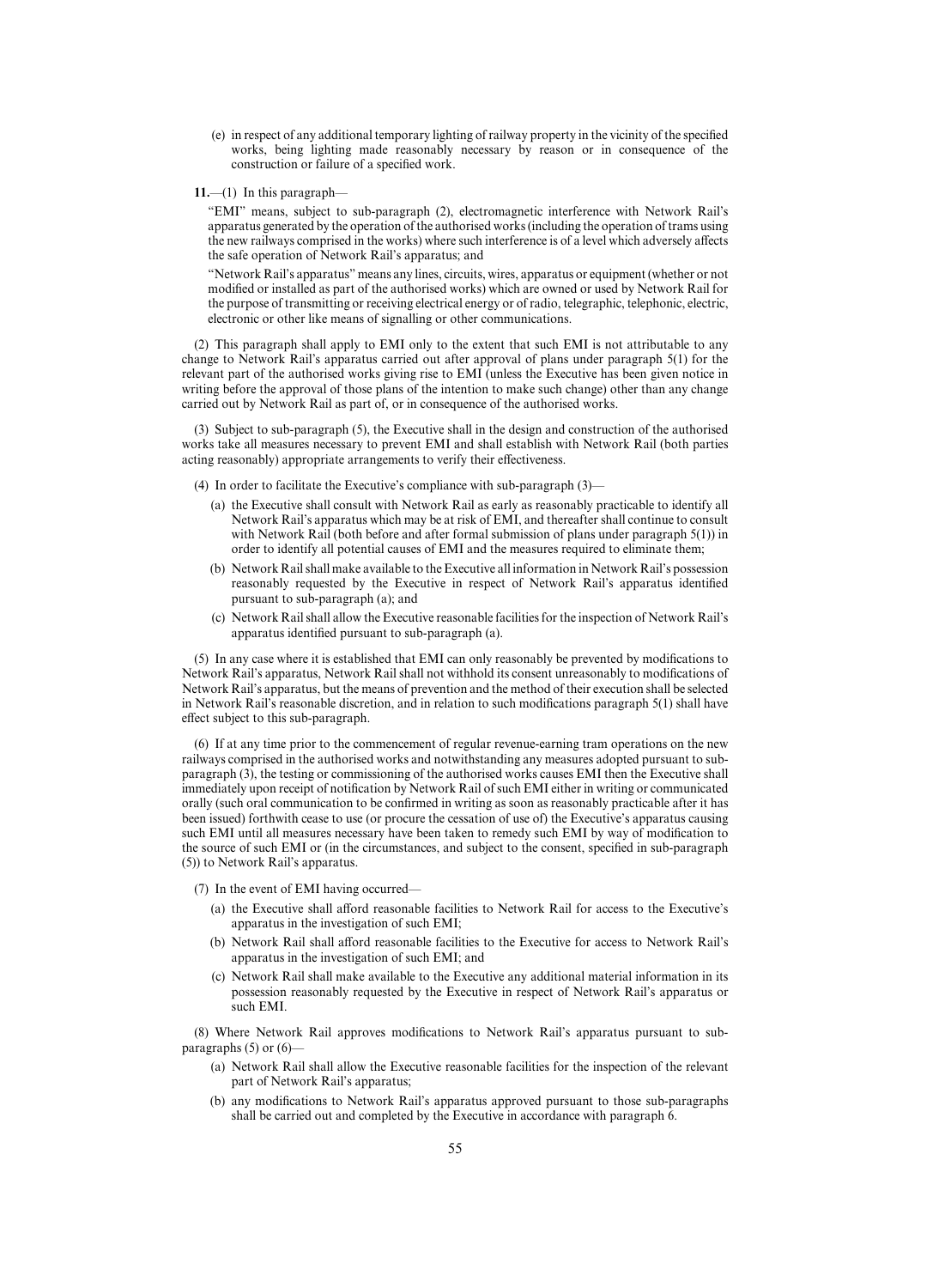- (e) in respect of any additional temporary lighting of railway property in the vicinity of the specified works, being lighting made reasonably necessary by reason or in consequence of the construction or failure of a specified work.
- **11.**—(1) In this paragraph—

"EMI" means, subject to sub-paragraph (2), electromagnetic interference with Network Rail's apparatus generated by the operation of the authorised works (including the operation of trams using the new railways comprised in the works) where such interference is of a level which adversely affects the safe operation of Network Rail's apparatus; and

"Network Rail's apparatus" means any lines, circuits, wires, apparatus or equipment (whether or not modified or installed as part of the authorised works) which are owned or used by Network Rail for the purpose of transmitting or receiving electrical energy or of radio, telegraphic, telephonic, electric, electronic or other like means of signalling or other communications.

(2) This paragraph shall apply to EMI only to the extent that such EMI is not attributable to any change to Network Rail's apparatus carried out after approval of plans under paragraph 5(1) for the relevant part of the authorised works giving rise to EMI (unless the Executive has been given notice in writing before the approval of those plans of the intention to make such change) other than any change carried out by Network Rail as part of, or in consequence of the authorised works.

(3) Subject to sub-paragraph (5), the Executive shall in the design and construction of the authorised works take all measures necessary to prevent EMI and shall establish with Network Rail (both parties acting reasonably) appropriate arrangements to verify their effectiveness.

(4) In order to facilitate the Executive's compliance with sub-paragraph (3)—

- (a) the Executive shall consult with Network Rail as early as reasonably practicable to identify all Network Rail's apparatus which may be at risk of EMI, and thereafter shall continue to consult with Network Rail (both before and after formal submission of plans under paragraph 5(1)) in order to identify all potential causes of EMI and the measures required to eliminate them;
- (b) Network Rail shall make available to the Executive all information in Network Rail's possession reasonably requested by the Executive in respect of Network Rail's apparatus identified pursuant to sub-paragraph (a); and
- (c) Network Rail shall allow the Executive reasonable facilities for the inspection of Network Rail's apparatus identified pursuant to sub-paragraph (a).

(5) In any case where it is established that EMI can only reasonably be prevented by modifications to Network Rail's apparatus, Network Rail shall not withhold its consent unreasonably to modifications of Network Rail's apparatus, but the means of prevention and the method of their execution shall be selected in Network Rail's reasonable discretion, and in relation to such modifications paragraph 5(1) shall have effect subject to this sub-paragraph.

(6) If at any time prior to the commencement of regular revenue-earning tram operations on the new railways comprised in the authorised works and notwithstanding any measures adopted pursuant to subparagraph (3), the testing or commissioning of the authorised works causes EMI then the Executive shall immediately upon receipt of notification by Network Rail of such EMI either in writing or communicated orally (such oral communication to be confirmed in writing as soon as reasonably practicable after it has been issued) forthwith cease to use (or procure the cessation of use of) the Executive's apparatus causing such EMI until all measures necessary have been taken to remedy such EMI by way of modification to the source of such EMI or (in the circumstances, and subject to the consent, specified in sub-paragraph (5)) to Network Rail's apparatus.

(7) In the event of EMI having occurred—

- (a) the Executive shall afford reasonable facilities to Network Rail for access to the Executive's apparatus in the investigation of such EMI;
- (b) Network Rail shall afford reasonable facilities to the Executive for access to Network Rail's apparatus in the investigation of such EMI; and
- (c) Network Rail shall make available to the Executive any additional material information in its possession reasonably requested by the Executive in respect of Network Rail's apparatus or such EMI.

(8) Where Network Rail approves modifications to Network Rail's apparatus pursuant to subparagraphs (5) or (6)—

- (a) Network Rail shall allow the Executive reasonable facilities for the inspection of the relevant part of Network Rail's apparatus;
- (b) any modifications to Network Rail's apparatus approved pursuant to those sub-paragraphs shall be carried out and completed by the Executive in accordance with paragraph 6.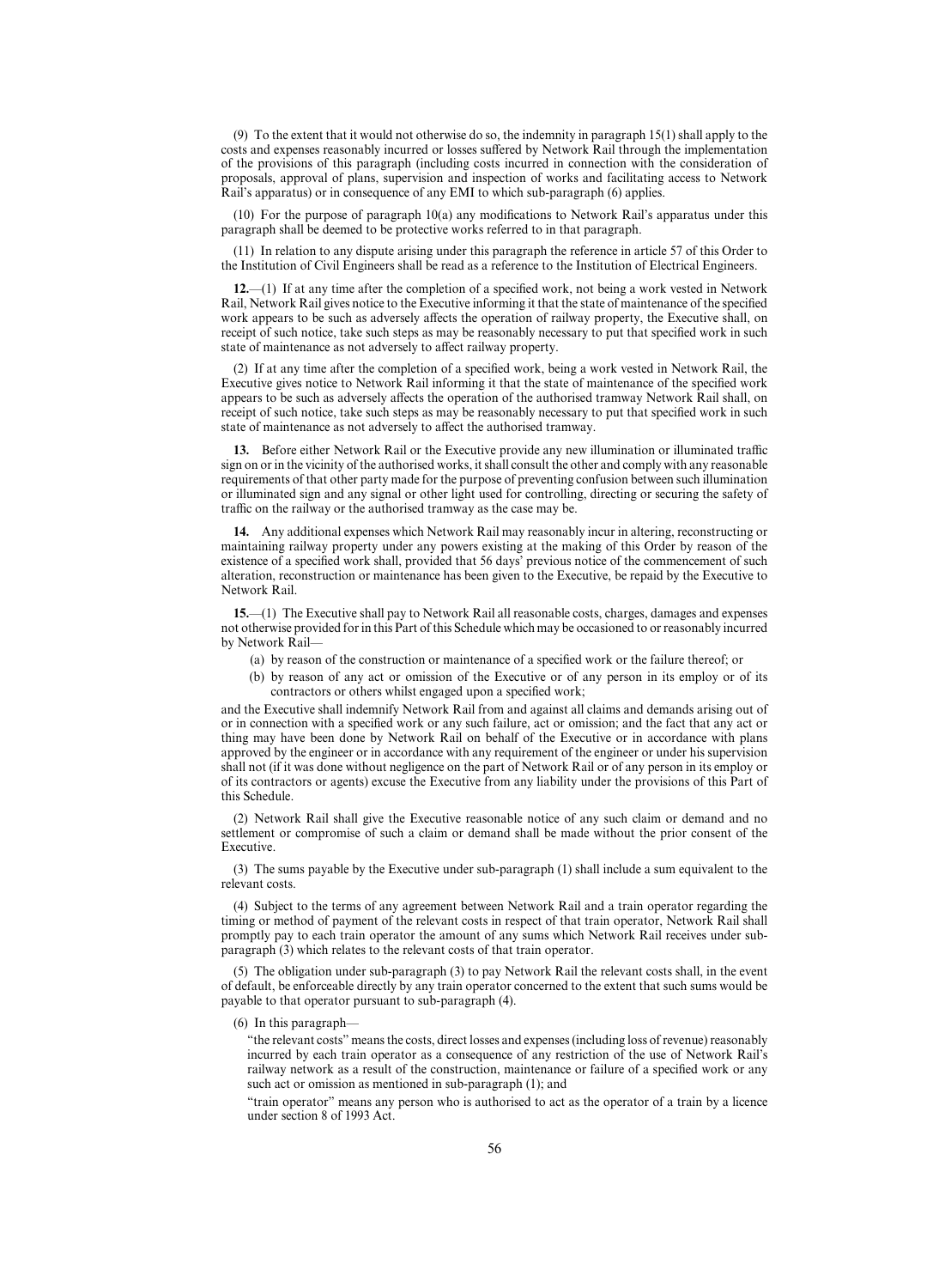(9) To the extent that it would not otherwise do so, the indemnity in paragraph 15(1) shall apply to the costs and expenses reasonably incurred or losses suffered by Network Rail through the implementation of the provisions of this paragraph (including costs incurred in connection with the consideration of proposals, approval of plans, supervision and inspection of works and facilitating access to Network Rail's apparatus) or in consequence of any EMI to which sub-paragraph (6) applies.

(10) For the purpose of paragraph 10(a) any modifications to Network Rail's apparatus under this paragraph shall be deemed to be protective works referred to in that paragraph.

(11) In relation to any dispute arising under this paragraph the reference in article 57 of this Order to the Institution of Civil Engineers shall be read as a reference to the Institution of Electrical Engineers.

**12.**—(1) If at any time after the completion of a specified work, not being a work vested in Network Rail, Network Rail gives notice to the Executive informing it that the state of maintenance of the specified work appears to be such as adversely affects the operation of railway property, the Executive shall, on receipt of such notice, take such steps as may be reasonably necessary to put that specified work in such state of maintenance as not adversely to affect railway property.

(2) If at any time after the completion of a specified work, being a work vested in Network Rail, the Executive gives notice to Network Rail informing it that the state of maintenance of the specified work appears to be such as adversely affects the operation of the authorised tramway Network Rail shall, on receipt of such notice, take such steps as may be reasonably necessary to put that specified work in such state of maintenance as not adversely to affect the authorised tramway.

**13.** Before either Network Rail or the Executive provide any new illumination or illuminated traffic sign on or in the vicinity of the authorised works, it shall consult the other and comply with any reasonable requirements of that other party made for the purpose of preventing confusion between such illumination or illuminated sign and any signal or other light used for controlling, directing or securing the safety of traffic on the railway or the authorised tramway as the case may be.

**14.** Any additional expenses which Network Rail may reasonably incur in altering, reconstructing or maintaining railway property under any powers existing at the making of this Order by reason of the existence of a specified work shall, provided that 56 days' previous notice of the commencement of such alteration, reconstruction or maintenance has been given to the Executive, be repaid by the Executive to Network Rail.

**15.**—(1) The Executive shall pay to Network Rail all reasonable costs, charges, damages and expenses not otherwise provided for in this Part of this Schedule which may be occasioned to or reasonably incurred by Network Rail—

- (a) by reason of the construction or maintenance of a specified work or the failure thereof; or
- (b) by reason of any act or omission of the Executive or of any person in its employ or of its contractors or others whilst engaged upon a specified work;

and the Executive shall indemnify Network Rail from and against all claims and demands arising out of or in connection with a specified work or any such failure, act or omission; and the fact that any act or thing may have been done by Network Rail on behalf of the Executive or in accordance with plans approved by the engineer or in accordance with any requirement of the engineer or under his supervision shall not (if it was done without negligence on the part of Network Rail or of any person in its employ or of its contractors or agents) excuse the Executive from any liability under the provisions of this Part of this Schedule.

(2) Network Rail shall give the Executive reasonable notice of any such claim or demand and no settlement or compromise of such a claim or demand shall be made without the prior consent of the Executive.

(3) The sums payable by the Executive under sub-paragraph (1) shall include a sum equivalent to the relevant costs.

(4) Subject to the terms of any agreement between Network Rail and a train operator regarding the timing or method of payment of the relevant costs in respect of that train operator, Network Rail shall promptly pay to each train operator the amount of any sums which Network Rail receives under subparagraph (3) which relates to the relevant costs of that train operator.

(5) The obligation under sub-paragraph (3) to pay Network Rail the relevant costs shall, in the event of default, be enforceable directly by any train operator concerned to the extent that such sums would be payable to that operator pursuant to sub-paragraph (4).

(6) In this paragraph—

"the relevant costs" means the costs, direct losses and expenses (including loss of revenue) reasonably incurred by each train operator as a consequence of any restriction of the use of Network Rail's railway network as a result of the construction, maintenance or failure of a specified work or any such act or omission as mentioned in sub-paragraph (1); and

"train operator" means any person who is authorised to act as the operator of a train by a licence under section 8 of 1993 Act.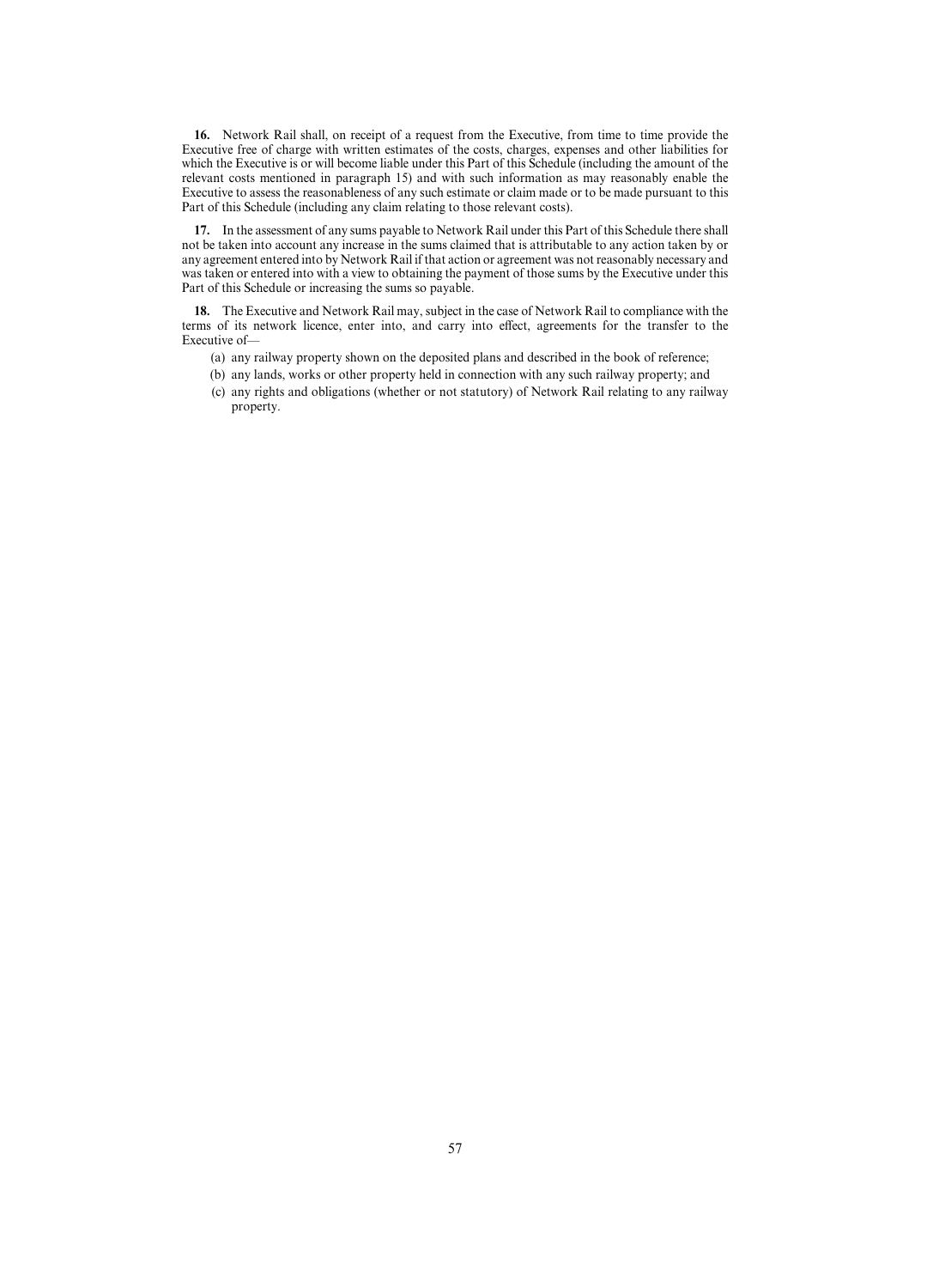**16.** Network Rail shall, on receipt of a request from the Executive, from time to time provide the Executive free of charge with written estimates of the costs, charges, expenses and other liabilities for which the Executive is or will become liable under this Part of this Schedule (including the amount of the relevant costs mentioned in paragraph 15) and with such information as may reasonably enable the Executive to assess the reasonableness of any such estimate or claim made or to be made pursuant to this Part of this Schedule (including any claim relating to those relevant costs).

**17.** In the assessment of any sums payable to Network Rail under this Part of this Schedule there shall not be taken into account any increase in the sums claimed that is attributable to any action taken by or any agreement entered into by Network Rail if that action or agreement was not reasonably necessary and was taken or entered into with a view to obtaining the payment of those sums by the Executive under this Part of this Schedule or increasing the sums so payable.

**18.** The Executive and Network Rail may, subject in the case of Network Rail to compliance with the terms of its network licence, enter into, and carry into effect, agreements for the transfer to the Executive of—

- (a) any railway property shown on the deposited plans and described in the book of reference;
- (b) any lands, works or other property held in connection with any such railway property; and
- (c) any rights and obligations (whether or not statutory) of Network Rail relating to any railway property.